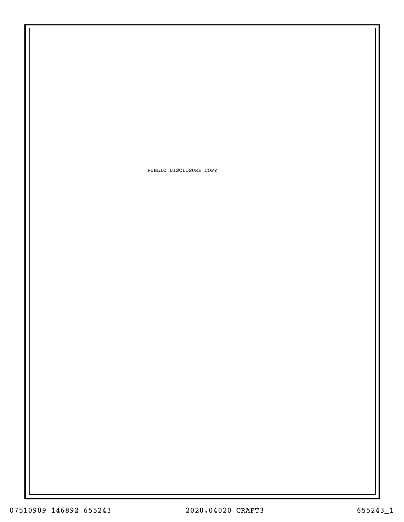PUBLIC DISCLOSURE COPY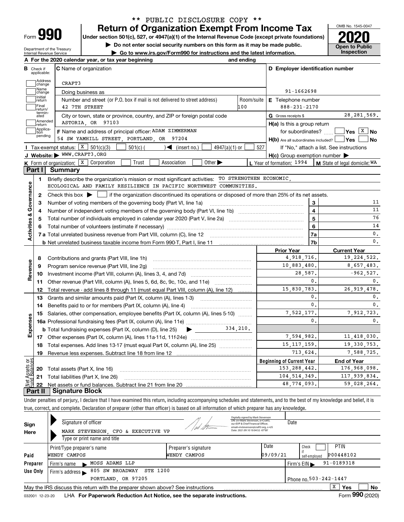| -orm |  |
|------|--|

Department of the Treasury Internal Revenue Service

## **Return of Organization Exempt From Income Tax** \*\* PUBLIC DISCLOSURE COPY \*\*

**Under section 501(c), 527, or 4947(a)(1) of the Internal Revenue Code (except private foundations) 2020**

**| Do not enter social security numbers on this form as it may be made public.**

**| Go to www.irs.gov/Form990 for instructions and the latest information. Inspection**



|                         |                             | A For the 2020 calendar year, or tax year beginning                                                                                       | and ending                |                                                                       |                                          |
|-------------------------|-----------------------------|-------------------------------------------------------------------------------------------------------------------------------------------|---------------------------|-----------------------------------------------------------------------|------------------------------------------|
| В                       | Check if<br>applicable:     | <b>C</b> Name of organization                                                                                                             |                           | D Employer identification number                                      |                                          |
|                         | Address<br>change           | CRAFT3                                                                                                                                    |                           |                                                                       |                                          |
|                         | Name<br>change              | Doing business as                                                                                                                         |                           | 91-1662698                                                            |                                          |
|                         | Initial<br>return           | Number and street (or P.O. box if mail is not delivered to street address)                                                                | <b>E</b> Telephone number |                                                                       |                                          |
|                         | Final<br>return/            | 42 7TH STREET                                                                                                                             | $888 - 231 - 2170$        |                                                                       |                                          |
|                         | termin-<br>ated             | City or town, state or province, country, and ZIP or foreign postal code                                                                  |                           | G Gross receipts \$                                                   | 28, 281, 569.                            |
|                         | Amended<br>Ireturn          | ASTORIA, OR 97103                                                                                                                         |                           | $H(a)$ is this a group return                                         |                                          |
|                         | Applica-<br>tion<br>pending | F Name and address of principal officer: ADAM ZIMMERMAN<br>54 SW YAMHILL STREET, PORTLAND, OR 97204                                       |                           | for subordinates?<br>$H(b)$ Are all subordinates included? $\Box$ Yes | $Yes \boxed{X}$ No<br>  No               |
|                         |                             | Tax-exempt status: $X \mid 501(c)(3)$<br>$4947(a)(1)$ or<br>$501(c)$ (<br>$\sqrt{\frac{1}{1}}$ (insert no.)                               | 527                       |                                                                       | If "No," attach a list. See instructions |
|                         |                             | J Website: WWW.CRAFT3.ORG                                                                                                                 |                           | $H(c)$ Group exemption number $\blacktriangleright$                   |                                          |
|                         |                             | K Form of organization: X Corporation<br>Other $\blacktriangleright$<br>Trust<br>Association                                              |                           | L Year of formation: 1994                                             | M State of legal domicile: WA            |
| Part I                  |                             | Summary                                                                                                                                   |                           |                                                                       |                                          |
|                         | 1.                          | Briefly describe the organization's mission or most significant activities: TO STRENGTHEN ECONOMIC,                                       |                           |                                                                       |                                          |
|                         |                             | ECOLOGICAL AND FAMILY RESILIENCE IN PACIFIC NORTHWEST COMMUNITIES.                                                                        |                           |                                                                       |                                          |
| Activities & Governance | $\mathbf{2}$                | Check this box $\blacktriangleright$  <br>if the organization discontinued its operations or disposed of more than 25% of its net assets. |                           |                                                                       |                                          |
|                         | з                           | Number of voting members of the governing body (Part VI, line 1a)                                                                         |                           | 3                                                                     | 11                                       |
|                         | 4                           |                                                                                                                                           |                           | 4                                                                     | 11                                       |
|                         | 5                           |                                                                                                                                           |                           | 5                                                                     | 76                                       |
|                         | 6                           |                                                                                                                                           |                           | 6                                                                     | 14                                       |
|                         |                             |                                                                                                                                           |                           | 7a                                                                    | $\mathbf{0}$ .                           |
|                         |                             |                                                                                                                                           |                           | 7b                                                                    | $\mathbf{0}$ .                           |
|                         |                             |                                                                                                                                           |                           | <b>Prior Year</b>                                                     | <b>Current Year</b>                      |
|                         | 8                           | Contributions and grants (Part VIII, line 1h)                                                                                             |                           | 4,918,716.                                                            | 19, 224, 522.                            |
| Revenue                 | 9                           | Program service revenue (Part VIII, line 2g)                                                                                              |                           | 10,883,480.                                                           | 8,657,483.                               |
|                         | 10                          |                                                                                                                                           |                           | 28,587.                                                               | $-962,527.$                              |
|                         | 11                          | Other revenue (Part VIII, column (A), lines 5, 6d, 8c, 9c, 10c, and 11e)                                                                  |                           | 0.                                                                    | $\mathbf{0}$ .                           |
|                         | 12                          | Total revenue - add lines 8 through 11 (must equal Part VIII, column (A), line 12)                                                        |                           | 15,830,783.                                                           | 26, 919, 478.                            |
|                         | 13                          | Grants and similar amounts paid (Part IX, column (A), lines 1-3)                                                                          |                           | 0.                                                                    | 0.                                       |
|                         | 14                          |                                                                                                                                           |                           | 0.                                                                    | $\mathbf{0}$ .                           |
|                         | 15                          | Salaries, other compensation, employee benefits (Part IX, column (A), lines 5-10)                                                         |                           | 7.522.177.                                                            | 7.912.723.                               |
| Expenses                |                             |                                                                                                                                           |                           | 0.                                                                    | $\mathbf{0}$ .                           |
|                         |                             | <b>b</b> Total fundraising expenses (Part IX, column (D), line 25)<br>$\blacktriangleright$ and $\blacktriangleright$                     | 334.210.                  |                                                                       |                                          |
|                         |                             |                                                                                                                                           |                           | 7,594,982.                                                            | 11,418,030.                              |
|                         | 18                          | Total expenses. Add lines 13-17 (must equal Part IX, column (A), line 25) [                                                               |                           | 15, 117, 159.                                                         | 19, 330, 753.                            |
|                         | 19                          |                                                                                                                                           |                           | 713.624.                                                              | 7,588,725.                               |
| ۆ5                      |                             |                                                                                                                                           |                           | <b>Beginning of Current Year</b>                                      | <b>End of Year</b>                       |
|                         |                             | <b>20</b> Total assets (Part X, line 16)                                                                                                  |                           | 153, 288, 442.                                                        | 176,968,098.                             |
| 57<br>इ                 |                             |                                                                                                                                           |                           |                                                                       |                                          |
|                         |                             | 21 Total liabilities (Part X, line 26)                                                                                                    |                           | 104, 514, 349.                                                        | 117,939,834.                             |

Under penalties of perjury, I declare that I have examined this return, including accompanying schedules and statements, and to the best of my knowledge and belief, it is true, correct, and complete. Declaration of preparer (other than officer) is based on all information of which preparer has any knowledge.

| Sign<br>Here     | Signature of officer<br>MARK STEVENSON, CFO & EXECUTIVE VP<br>Type or print name and title |                                      | Digitally signed by Mark Stevenson<br>DN: cn=Mark Stevenson, o=Craft3.<br>ou=EVP & Chief Financial Officer.<br>email=mstevenson@craft3.org, c=US<br>Date: 2021.09.10 10:04:52 -07'00' | Date                                                                                                     |
|------------------|--------------------------------------------------------------------------------------------|--------------------------------------|---------------------------------------------------------------------------------------------------------------------------------------------------------------------------------------|----------------------------------------------------------------------------------------------------------|
| Paid<br>Preparer | Print/Type preparer's name<br>WENDY CAMPOS<br>MOSS ADAMS LLP<br>Firm's name                | Preparer's signature<br>WENDY CAMPOS | Date<br>09/09/21                                                                                                                                                                      | <b>PTIN</b><br>Check<br>P00448102<br>self-employed<br>$91 - 0189318$<br>Firm's $EIN \blacktriangleright$ |
| Use Only         | 805 SW BROADWAY<br><b>STE 1200</b><br>Firm's address<br>OR 97205<br>PORTLAND.              |                                      |                                                                                                                                                                                       | Phone no. 503-242-1447                                                                                   |
|                  | May the IRS discuss this return with the preparer shown above? See instructions            |                                      |                                                                                                                                                                                       | $\mathbf{v}$<br>Yes<br>No<br>A<br>$\mathbf{a}\mathbf{a}\mathbf{a}$                                       |

032001 12-23-20 LHA **For Paperwork Reduction Act Notice, see the separate instructions. Form 990 (2020)**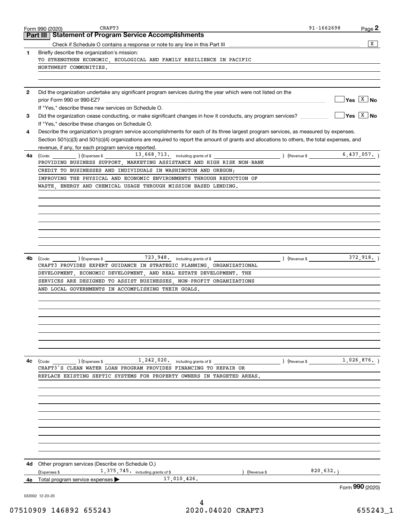|              | CRAFT3<br>Form 990 (2020)                                                                                                                                       | $91 - 1662698$          | Page 2               |
|--------------|-----------------------------------------------------------------------------------------------------------------------------------------------------------------|-------------------------|----------------------|
| Part III     | <b>Statement of Program Service Accomplishments</b>                                                                                                             |                         |                      |
|              |                                                                                                                                                                 |                         | $\overline{X}$       |
| 1            | Briefly describe the organization's mission:<br>TO STRENGTHEN ECONOMIC ECOLOGICAL AND FAMILY RESILIENCE IN PACIFIC                                              |                         |                      |
|              | NORTHWEST COMMUNITIES.                                                                                                                                          |                         |                      |
|              |                                                                                                                                                                 |                         |                      |
|              |                                                                                                                                                                 |                         |                      |
| $\mathbf{2}$ | Did the organization undertake any significant program services during the year which were not listed on the                                                    |                         |                      |
|              |                                                                                                                                                                 |                         | $Yes \ \boxed{X}$ No |
|              | If "Yes," describe these new services on Schedule O.                                                                                                            |                         | $Yes \ \boxed{X}$ No |
| 3            | Did the organization cease conducting, or make significant changes in how it conducts, any program services?<br>If "Yes," describe these changes on Schedule O. |                         |                      |
| 4            | Describe the organization's program service accomplishments for each of its three largest program services, as measured by expenses.                            |                         |                      |
|              | Section 501(c)(3) and 501(c)(4) organizations are required to report the amount of grants and allocations to others, the total expenses, and                    |                         |                      |
|              | revenue, if any, for each program service reported.                                                                                                             |                         |                      |
| 4a           |                                                                                                                                                                 |                         |                      |
|              | PROVIDING BUSINESS SUPPORT, MARKETING ASSISTANCE AND HIGH RISK NON-BANK                                                                                         |                         |                      |
|              | CREDIT TO BUSINESSES AND INDIVIDUALS IN WASHINGTON AND OREGON;                                                                                                  |                         |                      |
|              | IMPROVING THE PHYSICAL AND ECONOMIC ENVIRONMENTS THROUGH REDUCTION OF                                                                                           |                         |                      |
|              | WASTE ENERGY AND CHEMICAL USAGE THROUGH MISSION BASED LENDING.                                                                                                  |                         |                      |
|              |                                                                                                                                                                 |                         |                      |
|              |                                                                                                                                                                 |                         |                      |
|              |                                                                                                                                                                 |                         |                      |
|              |                                                                                                                                                                 |                         |                      |
|              |                                                                                                                                                                 |                         |                      |
|              |                                                                                                                                                                 |                         |                      |
|              |                                                                                                                                                                 |                         |                      |
| 4b           | (Code: (Code: ) (Expenses \$ 723, 948, including grants of \$ ) (Revenue \$ )                                                                                   |                         | 372,918.             |
|              | CRAFT3 PROVIDES EXPERT GUIDANCE IN STRATEGIC PLANNING, ORGANIZATIONAL                                                                                           |                         |                      |
|              | DEVELOPMENT, ECONOMIC DEVELOPMENT, AND REAL ESTATE DEVELOPMENT. THE                                                                                             |                         |                      |
|              | SERVICES ARE DESIGNED TO ASSIST BUSINESSES, NON-PROFIT ORGANIZATIONS                                                                                            |                         |                      |
|              | AND LOCAL GOVERNMENTS IN ACCOMPLISHING THEIR GOALS.                                                                                                             |                         |                      |
|              |                                                                                                                                                                 |                         |                      |
|              |                                                                                                                                                                 |                         |                      |
|              |                                                                                                                                                                 |                         |                      |
|              |                                                                                                                                                                 |                         |                      |
|              |                                                                                                                                                                 |                         |                      |
|              |                                                                                                                                                                 |                         |                      |
|              |                                                                                                                                                                 |                         |                      |
| 4c           | $(\text{Code:})$ $(\text{Express } \text{\$})$ $(\text{Express } \text{\$})$ $(1, 242, 020, \text{ including grants of } \text{\$})$                            | (Revenue \$ 1,026,876.) |                      |
|              | CRAFT3'S CLEAN WATER LOAN PROGRAM PROVIDES FINANCING TO REPAIR OR                                                                                               |                         |                      |
|              | REPLACE EXISTING SEPTIC SYSTEMS FOR PROPERTY OWNERS IN TARGETED AREAS.                                                                                          |                         |                      |
|              |                                                                                                                                                                 |                         |                      |
|              |                                                                                                                                                                 |                         |                      |
|              |                                                                                                                                                                 |                         |                      |
|              |                                                                                                                                                                 |                         |                      |
|              |                                                                                                                                                                 |                         |                      |
|              |                                                                                                                                                                 |                         |                      |
|              |                                                                                                                                                                 |                         |                      |
|              |                                                                                                                                                                 |                         |                      |
|              |                                                                                                                                                                 |                         |                      |
|              |                                                                                                                                                                 |                         |                      |
|              |                                                                                                                                                                 |                         |                      |
|              | 4d Other program services (Describe on Schedule O.)                                                                                                             | 820,632.                |                      |
| 4е           | 1, 375, 745. including grants of \$<br>(Expenses \$<br>(Revenue \$<br>17,010,426.<br>Total program service expenses                                             |                         |                      |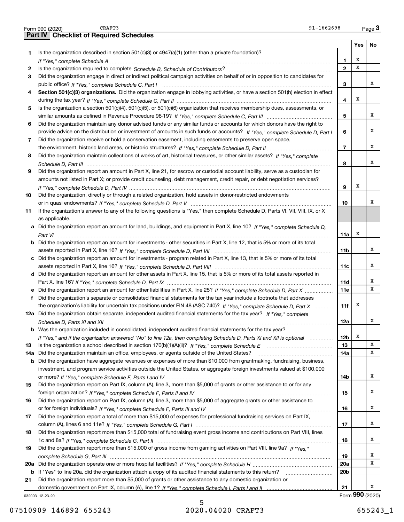|     | 91-1662698<br>CRAFT3<br>Form 990 (2020)                                                                                          |                 |         | $Page$ 3        |
|-----|----------------------------------------------------------------------------------------------------------------------------------|-----------------|---------|-----------------|
|     | <b>Checklist of Required Schedules</b><br><b>Part IV</b>                                                                         |                 |         |                 |
|     |                                                                                                                                  |                 | Yes $ $ | No              |
| 1   | Is the organization described in section $501(c)(3)$ or $4947(a)(1)$ (other than a private foundation)?                          |                 |         |                 |
|     |                                                                                                                                  | 1               | х       |                 |
| 2   |                                                                                                                                  | $\overline{2}$  | X       |                 |
| 3   | Did the organization engage in direct or indirect political campaign activities on behalf of or in opposition to candidates for  |                 |         |                 |
|     |                                                                                                                                  | 3               |         | x               |
| 4   | Section 501(c)(3) organizations. Did the organization engage in lobbying activities, or have a section 501(h) election in effect |                 |         |                 |
|     |                                                                                                                                  | 4               | х       |                 |
| 5   | Is the organization a section 501(c)(4), 501(c)(5), or 501(c)(6) organization that receives membership dues, assessments, or     |                 |         |                 |
|     |                                                                                                                                  | 5               |         | x               |
| 6   | Did the organization maintain any donor advised funds or any similar funds or accounts for which donors have the right to        |                 |         |                 |
|     | provide advice on the distribution or investment of amounts in such funds or accounts? If "Yes," complete Schedule D, Part I     | 6               |         | x               |
|     |                                                                                                                                  |                 |         |                 |
| 7   | Did the organization receive or hold a conservation easement, including easements to preserve open space,                        | $\overline{7}$  |         | x               |
|     |                                                                                                                                  |                 |         |                 |
| 8   | Did the organization maintain collections of works of art, historical treasures, or other similar assets? If "Yes," complete     |                 |         | х               |
|     |                                                                                                                                  | 8               |         |                 |
| 9   | Did the organization report an amount in Part X, line 21, for escrow or custodial account liability, serve as a custodian for    |                 |         |                 |
|     | amounts not listed in Part X; or provide credit counseling, debt management, credit repair, or debt negotiation services?        |                 |         |                 |
|     |                                                                                                                                  | 9               | Х       |                 |
| 10  | Did the organization, directly or through a related organization, hold assets in donor-restricted endowments                     |                 |         |                 |
|     |                                                                                                                                  | 10              |         | x               |
| 11  | If the organization's answer to any of the following questions is "Yes," then complete Schedule D, Parts VI, VII, VIII, IX, or X |                 |         |                 |
|     | as applicable.                                                                                                                   |                 |         |                 |
|     | a Did the organization report an amount for land, buildings, and equipment in Part X, line 10? If "Yes," complete Schedule D,    |                 |         |                 |
|     |                                                                                                                                  | 11a             | х       |                 |
|     | b Did the organization report an amount for investments - other securities in Part X, line 12, that is 5% or more of its total   |                 |         |                 |
|     |                                                                                                                                  | 11 <sub>b</sub> |         | x               |
|     | c Did the organization report an amount for investments - program related in Part X, line 13, that is 5% or more of its total    |                 |         |                 |
|     |                                                                                                                                  | 11c             |         | x               |
|     | d Did the organization report an amount for other assets in Part X, line 15, that is 5% or more of its total assets reported in  |                 |         |                 |
|     |                                                                                                                                  | 11d             |         | x               |
|     | e Did the organization report an amount for other liabilities in Part X, line 25? If "Yes," complete Schedule D, Part X          | <b>11e</b>      |         | x               |
| f   | Did the organization's separate or consolidated financial statements for the tax year include a footnote that addresses          |                 |         |                 |
|     | the organization's liability for uncertain tax positions under FIN 48 (ASC 740)? If "Yes," complete Schedule D, Part X           | 11f             | х       |                 |
|     | 12a Did the organization obtain separate, independent audited financial statements for the tax year? If "Yes," complete          |                 |         |                 |
|     |                                                                                                                                  | 12a             |         | A               |
|     | <b>b</b> Was the organization included in consolidated, independent audited financial statements for the tax year?               |                 |         |                 |
|     | If "Yes," and if the organization answered "No" to line 12a, then completing Schedule D, Parts XI and XII is optional            | 12b             | х       |                 |
| 13  |                                                                                                                                  | 13              |         | х               |
| 14a | Did the organization maintain an office, employees, or agents outside of the United States?                                      | 14a             |         | х               |
| b   | Did the organization have aggregate revenues or expenses of more than \$10,000 from grantmaking, fundraising, business,          |                 |         |                 |
|     | investment, and program service activities outside the United States, or aggregate foreign investments valued at \$100,000       |                 |         |                 |
|     |                                                                                                                                  | 14b             |         | х               |
| 15  | Did the organization report on Part IX, column (A), line 3, more than \$5,000 of grants or other assistance to or for any        |                 |         |                 |
|     |                                                                                                                                  | 15              |         | х               |
|     | Did the organization report on Part IX, column (A), line 3, more than \$5,000 of aggregate grants or other assistance to         |                 |         |                 |
| 16  |                                                                                                                                  |                 |         | х               |
|     |                                                                                                                                  | 16              |         |                 |
| 17  | Did the organization report a total of more than \$15,000 of expenses for professional fundraising services on Part IX,          |                 |         |                 |
|     |                                                                                                                                  | 17              |         | х               |
| 18  | Did the organization report more than \$15,000 total of fundraising event gross income and contributions on Part VIII, lines     |                 |         |                 |
|     |                                                                                                                                  | 18              |         | x               |
| 19  | Did the organization report more than \$15,000 of gross income from gaming activities on Part VIII, line 9a? If "Yes."           |                 |         |                 |
|     |                                                                                                                                  | 19              |         | x               |
|     |                                                                                                                                  | <b>20a</b>      |         | х               |
| b   | If "Yes" to line 20a, did the organization attach a copy of its audited financial statements to this return?                     | 20 <sub>b</sub> |         |                 |
| 21  | Did the organization report more than \$5,000 of grants or other assistance to any domestic organization or                      |                 |         |                 |
|     |                                                                                                                                  | 21              |         | x               |
|     | 032003 12-23-20                                                                                                                  |                 |         | Form 990 (2020) |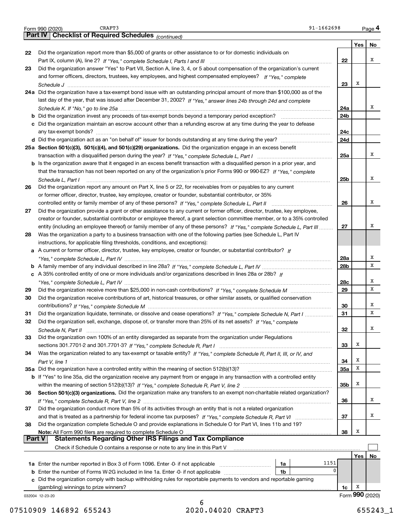|               | 91-1662698<br>CRAFT3<br>Form 990 (2020)                                                                                            |     |     | Page 4          |
|---------------|------------------------------------------------------------------------------------------------------------------------------------|-----|-----|-----------------|
|               | Part IV   Checklist of Required Schedules (continued)                                                                              |     |     |                 |
|               |                                                                                                                                    |     | Yes | No              |
| 22            | Did the organization report more than \$5,000 of grants or other assistance to or for domestic individuals on                      |     |     |                 |
|               |                                                                                                                                    | 22  |     | x               |
| 23            | Did the organization answer "Yes" to Part VII, Section A, line 3, 4, or 5 about compensation of the organization's current         |     |     |                 |
|               | and former officers, directors, trustees, key employees, and highest compensated employees? If "Yes," complete                     |     |     |                 |
|               |                                                                                                                                    | 23  | X   |                 |
|               | 24a Did the organization have a tax-exempt bond issue with an outstanding principal amount of more than \$100,000 as of the        |     |     |                 |
|               | last day of the year, that was issued after December 31, 2002? If "Yes," answer lines 24b through 24d and complete                 |     |     |                 |
|               |                                                                                                                                    | 24a |     | x               |
|               |                                                                                                                                    | 24b |     |                 |
|               | c Did the organization maintain an escrow account other than a refunding escrow at any time during the year to defease             |     |     |                 |
|               |                                                                                                                                    | 24c |     |                 |
|               |                                                                                                                                    | 24d |     |                 |
|               | 25a Section 501(c)(3), 501(c)(4), and 501(c)(29) organizations. Did the organization engage in an excess benefit                   |     |     |                 |
|               |                                                                                                                                    | 25a |     | x               |
|               | b Is the organization aware that it engaged in an excess benefit transaction with a disqualified person in a prior year, and       |     |     |                 |
|               | that the transaction has not been reported on any of the organization's prior Forms 990 or 990-EZ? If "Yes," complete              |     |     |                 |
|               | Schedule L, Part I                                                                                                                 | 25b |     | x               |
| 26            | Did the organization report any amount on Part X, line 5 or 22, for receivables from or payables to any current                    |     |     |                 |
|               | or former officer, director, trustee, key employee, creator or founder, substantial contributor, or 35%                            |     |     |                 |
|               |                                                                                                                                    | 26  |     | x               |
| 27            | Did the organization provide a grant or other assistance to any current or former officer, director, trustee, key employee,        |     |     |                 |
|               | creator or founder, substantial contributor or employee thereof, a grant selection committee member, or to a 35% controlled        |     |     |                 |
|               | entity (including an employee thereof) or family member of any of these persons? If "Yes," complete Schedule L, Part III           | 27  |     | х               |
| 28            | Was the organization a party to a business transaction with one of the following parties (see Schedule L, Part IV                  |     |     |                 |
|               | instructions, for applicable filing thresholds, conditions, and exceptions):                                                       |     |     |                 |
|               | a A current or former officer, director, trustee, key employee, creator or founder, or substantial contributor? If                 |     |     |                 |
|               |                                                                                                                                    | 28a |     | х               |
|               |                                                                                                                                    | 28b |     | х               |
|               | c A 35% controlled entity of one or more individuals and/or organizations described in lines 28a or 28b? If                        |     |     |                 |
|               |                                                                                                                                    | 28c |     | х               |
| 29            |                                                                                                                                    | 29  |     | х               |
| 30            | Did the organization receive contributions of art, historical treasures, or other similar assets, or qualified conservation        |     |     |                 |
|               |                                                                                                                                    | 30  |     | х               |
| 31            | Did the organization liquidate, terminate, or dissolve and cease operations? If "Yes," complete Schedule N, Part I                 | 31  |     | X               |
| 32            | Did the organization sell, exchange, dispose of, or transfer more than 25% of its net assets? If "Yes," complete                   |     |     |                 |
|               | Schedule N, Part II                                                                                                                | 32  |     | х               |
| 33            | Did the organization own 100% of an entity disregarded as separate from the organization under Regulations                         |     |     |                 |
|               |                                                                                                                                    | 33  | х   |                 |
| 34            | Was the organization related to any tax-exempt or taxable entity? If "Yes," complete Schedule R, Part II, III, or IV, and          |     |     |                 |
|               |                                                                                                                                    | 34  | х   |                 |
|               | 35a Did the organization have a controlled entity within the meaning of section 512(b)(13)?                                        | 35a | X   |                 |
|               | <b>b</b> If "Yes" to line 35a, did the organization receive any payment from or engage in any transaction with a controlled entity |     |     |                 |
|               |                                                                                                                                    | 35b | х   |                 |
| 36            | Section 501(c)(3) organizations. Did the organization make any transfers to an exempt non-charitable related organization?         |     |     |                 |
|               |                                                                                                                                    | 36  |     | х               |
| 37            | Did the organization conduct more than 5% of its activities through an entity that is not a related organization                   |     |     |                 |
|               |                                                                                                                                    | 37  |     | х               |
| 38            | Did the organization complete Schedule O and provide explanations in Schedule O for Part VI, lines 11b and 19?                     |     |     |                 |
|               |                                                                                                                                    | 38  | X   |                 |
| <b>Part V</b> | <b>Statements Regarding Other IRS Filings and Tax Compliance</b>                                                                   |     |     |                 |
|               | Check if Schedule O contains a response or note to any line in this Part V                                                         |     |     |                 |
|               |                                                                                                                                    |     | Yes | No              |
|               | 1151<br>1a                                                                                                                         |     |     |                 |
|               | 0<br>1b                                                                                                                            |     |     |                 |
|               | c Did the organization comply with backup withholding rules for reportable payments to vendors and reportable gaming               |     |     |                 |
|               | (gambling) winnings to prize winners?                                                                                              | 1c  | х   |                 |
|               | 032004 12-23-20                                                                                                                    |     |     | Form 990 (2020) |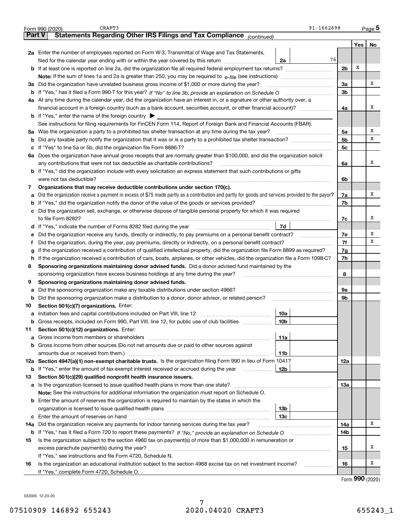|               | CRAFT3<br>91-1662698<br>Form 990 (2020)                                                                                                         |                |     | Page 5 |
|---------------|-------------------------------------------------------------------------------------------------------------------------------------------------|----------------|-----|--------|
| <b>Part V</b> | Statements Regarding Other IRS Filings and Tax Compliance (continued)                                                                           |                |     |        |
|               |                                                                                                                                                 |                | Yes | No     |
|               | 2a Enter the number of employees reported on Form W-3, Transmittal of Wage and Tax Statements,                                                  |                |     |        |
|               | 76<br>filed for the calendar year ending with or within the year covered by this return<br>2a                                                   |                |     |        |
|               |                                                                                                                                                 | 2 <sub>b</sub> | х   |        |
|               |                                                                                                                                                 |                |     |        |
|               | 3a Did the organization have unrelated business gross income of \$1,000 or more during the year?                                                | 3a             |     | x      |
| b             |                                                                                                                                                 | 3b             |     |        |
|               | 4a At any time during the calendar year, did the organization have an interest in, or a signature or other authority over, a                    |                |     |        |
|               | financial account in a foreign country (such as a bank account, securities account, or other financial account)?                                | 4a             |     | х      |
|               | <b>b</b> If "Yes," enter the name of the foreign country $\blacktriangleright$                                                                  |                |     |        |
|               | See instructions for filing requirements for FinCEN Form 114, Report of Foreign Bank and Financial Accounts (FBAR).                             |                |     |        |
|               | 5a Was the organization a party to a prohibited tax shelter transaction at any time during the tax year?                                        | 5a             |     | х      |
| b             |                                                                                                                                                 | 5b             |     | х      |
| c             |                                                                                                                                                 | 5c             |     |        |
|               | 6a Does the organization have annual gross receipts that are normally greater than \$100,000, and did the organization solicit                  |                |     |        |
|               | any contributions that were not tax deductible as charitable contributions?                                                                     | 6a             |     | х      |
|               | <b>b</b> If "Yes," did the organization include with every solicitation an express statement that such contributions or gifts                   |                |     |        |
|               |                                                                                                                                                 | 6b             |     |        |
| 7             | Organizations that may receive deductible contributions under section 170(c).                                                                   |                |     |        |
| а             | Did the organization receive a payment in excess of \$75 made partly as a contribution and partly for goods and services provided to the payor? | 7a             |     | х      |
| b             | If "Yes," did the organization notify the donor of the value of the goods or services provided?                                                 | 7b             |     |        |
| c             | Did the organization sell, exchange, or otherwise dispose of tangible personal property for which it was required                               |                |     |        |
|               |                                                                                                                                                 | 7c             |     | х      |
|               | 7d                                                                                                                                              |                |     |        |
| е             | Did the organization receive any funds, directly or indirectly, to pay premiums on a personal benefit contract?                                 | 7e             |     | х      |
| f             | Did the organization, during the year, pay premiums, directly or indirectly, on a personal benefit contract?                                    | 7f             |     | х      |
| g             | If the organization received a contribution of qualified intellectual property, did the organization file Form 8899 as required?                | 7g             |     |        |
| h             | If the organization received a contribution of cars, boats, airplanes, or other vehicles, did the organization file a Form 1098-C?              | 7h             |     |        |
| 8             | Sponsoring organizations maintaining donor advised funds. Did a donor advised fund maintained by the                                            |                |     |        |
|               | sponsoring organization have excess business holdings at any time during the year?                                                              | 8              |     |        |
| 9             | Sponsoring organizations maintaining donor advised funds.                                                                                       |                |     |        |
| а             | Did the sponsoring organization make any taxable distributions under section 4966?                                                              | 9a             |     |        |
| b             | Did the sponsoring organization make a distribution to a donor, donor advisor, or related person?                                               | 9b             |     |        |
| 10            | Section 501(c)(7) organizations. Enter:                                                                                                         |                |     |        |
| a             | 10a                                                                                                                                             |                |     |        |
|               | 10 <sub>b</sub><br>Gross receipts, included on Form 990, Part VIII, line 12, for public use of club facilities                                  |                |     |        |
| 11            | Section 501(c)(12) organizations. Enter:                                                                                                        |                |     |        |
| a             | Gross income from members or shareholders<br>11a                                                                                                |                |     |        |
| b             | Gross income from other sources (Do not net amounts due or paid to other sources against                                                        |                |     |        |
|               | amounts due or received from them.)<br><b>11b</b>                                                                                               |                |     |        |
|               | 12a Section 4947(a)(1) non-exempt charitable trusts. Is the organization filing Form 990 in lieu of Form 1041?                                  | 12a            |     |        |
| b             | If "Yes," enter the amount of tax-exempt interest received or accrued during the year<br>12b                                                    |                |     |        |
| 13            | Section 501(c)(29) qualified nonprofit health insurance issuers.                                                                                |                |     |        |
| а             | Is the organization licensed to issue qualified health plans in more than one state?                                                            | 13а            |     |        |
|               | Note: See the instructions for additional information the organization must report on Schedule O.                                               |                |     |        |
| b             | Enter the amount of reserves the organization is required to maintain by the states in which the                                                |                |     |        |
|               | 13b                                                                                                                                             |                |     |        |
|               | 13c                                                                                                                                             |                |     |        |
| 14a           | Did the organization receive any payments for indoor tanning services during the tax year?                                                      | 14a            |     | x      |
| b             | If "Yes," has it filed a Form 720 to report these payments? If "No," provide an explanation on Schedule O                                       | 14b            |     |        |
| 15            | Is the organization subject to the section 4960 tax on payment(s) of more than \$1,000,000 in remuneration or                                   |                |     |        |
|               |                                                                                                                                                 | 15             |     | х      |
|               | If "Yes," see instructions and file Form 4720, Schedule N.                                                                                      |                |     |        |
| 16            | Is the organization an educational institution subject to the section 4968 excise tax on net investment income?                                 | 16             |     | х      |
|               | If "Yes," complete Form 4720, Schedule O.                                                                                                       |                |     |        |
|               |                                                                                                                                                 |                | റററ |        |

Form (2020) **990**

032005 12-23-20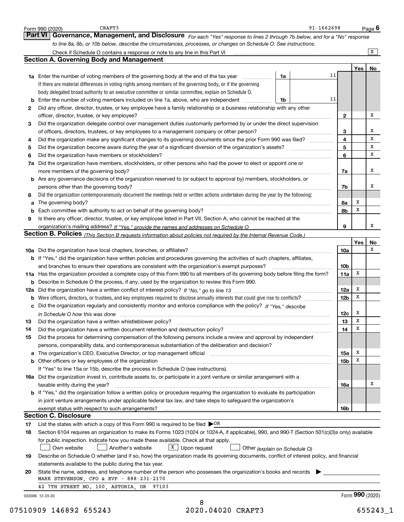|    | Form 990 (2020)<br>Governance, Management, and Disclosure For each "Yes" response to lines 2 through 7b below, and for a "No" response<br>Part VI                                                                              |                 |                 | Page 6         |
|----|--------------------------------------------------------------------------------------------------------------------------------------------------------------------------------------------------------------------------------|-----------------|-----------------|----------------|
|    | to line 8a, 8b, or 10b below, describe the circumstances, processes, or changes on Schedule O. See instructions.                                                                                                               |                 |                 |                |
|    |                                                                                                                                                                                                                                |                 |                 | $\overline{X}$ |
|    | <b>Section A. Governing Body and Management</b>                                                                                                                                                                                |                 |                 |                |
|    |                                                                                                                                                                                                                                |                 | Yes             | No             |
|    | <b>1a</b> Enter the number of voting members of the governing body at the end of the tax year <i>manumum</i><br>1a                                                                                                             | 11              |                 |                |
|    | If there are material differences in voting rights among members of the governing body, or if the governing                                                                                                                    |                 |                 |                |
|    | body delegated broad authority to an executive committee or similar committee, explain on Schedule O.                                                                                                                          |                 |                 |                |
| b  | Enter the number of voting members included on line 1a, above, who are independent<br>1b                                                                                                                                       | 11              |                 |                |
| 2  | Did any officer, director, trustee, or key employee have a family relationship or a business relationship with any other                                                                                                       |                 |                 |                |
|    | officer, director, trustee, or key employee?                                                                                                                                                                                   | $\mathbf{2}$    |                 | Χ              |
| 3  | Did the organization delegate control over management duties customarily performed by or under the direct supervision                                                                                                          |                 |                 |                |
|    | of officers, directors, trustees, or key employees to a management company or other person?                                                                                                                                    | 3               |                 | х              |
| 4  | Did the organization make any significant changes to its governing documents since the prior Form 990 was filed?                                                                                                               | 4               |                 | $\mathbf x$    |
| 5  | Did the organization become aware during the year of a significant diversion of the organization's assets?                                                                                                                     | 5               |                 | X              |
| 6  | Did the organization have members or stockholders?                                                                                                                                                                             | 6               |                 | x              |
| 7a | Did the organization have members, stockholders, or other persons who had the power to elect or appoint one or                                                                                                                 |                 |                 |                |
|    | more members of the governing body?                                                                                                                                                                                            | 7a              |                 | x              |
|    | <b>b</b> Are any governance decisions of the organization reserved to (or subject to approval by) members, stockholders, or                                                                                                    |                 |                 |                |
|    | persons other than the governing body?                                                                                                                                                                                         | 7b              |                 | х              |
| 8  | Did the organization contemporaneously document the meetings held or written actions undertaken during the year by the following:                                                                                              |                 |                 |                |
| a  |                                                                                                                                                                                                                                | 8a              | х               |                |
| b  |                                                                                                                                                                                                                                | 8b              | х               |                |
| 9  | Is there any officer, director, trustee, or key employee listed in Part VII, Section A, who cannot be reached at the                                                                                                           |                 |                 |                |
|    |                                                                                                                                                                                                                                | 9               |                 | x              |
|    | Section B. Policies (This Section B requests information about policies not required by the Internal Revenue Code.)                                                                                                            |                 |                 |                |
|    |                                                                                                                                                                                                                                |                 | Yes             | No             |
|    |                                                                                                                                                                                                                                | 10a             |                 | х              |
|    | b If "Yes," did the organization have written policies and procedures governing the activities of such chapters, affiliates,                                                                                                   |                 |                 |                |
|    | and branches to ensure their operations are consistent with the organization's exempt purposes?                                                                                                                                | 10 <sub>b</sub> |                 |                |
|    | 11a Has the organization provided a complete copy of this Form 990 to all members of its governing body before filing the form?                                                                                                | 11a             | x               |                |
|    | <b>b</b> Describe in Schedule O the process, if any, used by the organization to review this Form 990.                                                                                                                         |                 |                 |                |
|    |                                                                                                                                                                                                                                | <b>12a</b>      | х               |                |
| b  |                                                                                                                                                                                                                                | 12 <sub>b</sub> | x               |                |
| с  | Did the organization regularly and consistently monitor and enforce compliance with the policy? If "Yes." describe                                                                                                             |                 |                 |                |
|    | in Schedule O how this was done manufactured and continuum control of the state of the state of the state of t                                                                                                                 | 12c             | x               |                |
| 13 | Did the organization have a written whistleblower policy?                                                                                                                                                                      | 13              | х               |                |
| 14 | Did the organization have a written document retention and destruction policy? [11] manufaction policy? [11] manufaction policy? [11] manufaction policy? [11] manufaction policy? [11] manufaction policy? [11] manufaction p | 14              | х               |                |
| 15 | Did the process for determining compensation of the following persons include a review and approval by independent                                                                                                             |                 |                 |                |
|    | persons, comparability data, and contemporaneous substantiation of the deliberation and decision?                                                                                                                              |                 |                 |                |
| а  | The organization's CEO, Executive Director, or top management official manufactured content content of the organization's CEO, Executive Director, or top management official manufactured content of the organization's       | 15a             | x               |                |
| b  | Other officers or key employees of the organization manufaction manufacture of the content of the organization                                                                                                                 | 15 <sub>b</sub> | х               |                |
|    | If "Yes" to line 15a or 15b, describe the process in Schedule O (see instructions).                                                                                                                                            |                 |                 |                |
|    | 16a Did the organization invest in, contribute assets to, or participate in a joint venture or similar arrangement with a                                                                                                      |                 |                 |                |
|    | taxable entity during the year?                                                                                                                                                                                                | 16a             |                 | Х              |
|    | <b>b</b> If "Yes," did the organization follow a written policy or procedure requiring the organization to evaluate its participation                                                                                          |                 |                 |                |
|    | in joint venture arrangements under applicable federal tax law, and take steps to safeguard the organization's                                                                                                                 |                 |                 |                |
|    |                                                                                                                                                                                                                                | 16b             |                 |                |
|    | <b>Section C. Disclosure</b>                                                                                                                                                                                                   |                 |                 |                |
| 17 | List the states with which a copy of this Form 990 is required to be filed $\triangleright$ OR                                                                                                                                 |                 |                 |                |
| 18 | Section 6104 requires an organization to make its Forms 1023 (1024 or 1024-A, if applicable), 990, and 990-T (Section 501(c)(3)s only) available                                                                               |                 |                 |                |
|    | for public inspection. Indicate how you made these available. Check all that apply.                                                                                                                                            |                 |                 |                |
|    | $X$ Upon request<br>Own website<br>Another's website<br>Other (explain on Schedule O)                                                                                                                                          |                 |                 |                |
| 19 | Describe on Schedule O whether (and if so, how) the organization made its governing documents, conflict of interest policy, and financial                                                                                      |                 |                 |                |
|    | statements available to the public during the tax year.                                                                                                                                                                        |                 |                 |                |
| 20 | State the name, address, and telephone number of the person who possesses the organization's books and records                                                                                                                 |                 |                 |                |
|    | MARK STEVENSON, CFO & EVP - 888-231-2170                                                                                                                                                                                       |                 |                 |                |
|    |                                                                                                                                                                                                                                |                 |                 |                |
|    | 42 7TH STREET NO. 100, ASTORIA, OR 97103                                                                                                                                                                                       |                 |                 |                |
|    | 032006 12-23-20                                                                                                                                                                                                                |                 | Form 990 (2020) |                |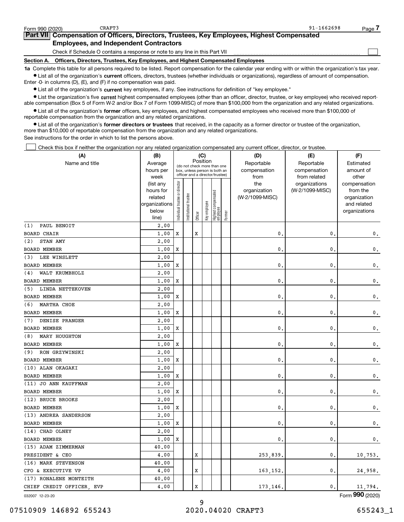**•** List all of the organization's current officers, directors, trustees (whether individuals or organizations), regardless of amount of compensation. Enter -0- in columns (D), (E), and (F) if no compensation was paid.

 $\bullet$  List all of the organization's  $\,$ current key employees, if any. See instructions for definition of "key employee."

**•** List the organization's five current highest compensated employees (other than an officer, director, trustee, or key employee) who received reportable compensation (Box 5 of Form W-2 and/or Box 7 of Form 1099-MISC) of more than \$100,000 from the organization and any related organizations.

**•** List all of the organization's former officers, key employees, and highest compensated employees who received more than \$100,000 of reportable compensation from the organization and any related organizations.

**former directors or trustees**  ¥ List all of the organization's that received, in the capacity as a former director or trustee of the organization, more than \$10,000 of reportable compensation from the organization and any related organizations.

See instructions for the order in which to list the persons above.

Check this box if neither the organization nor any related organization compensated any current officer, director, or trustee.  $\mathcal{L}^{\text{max}}$ 

| (A)                       | (B)               |                                |                                                                  |         | (C)          |                                 |        | (D)             | (E)                           | (F)                   |
|---------------------------|-------------------|--------------------------------|------------------------------------------------------------------|---------|--------------|---------------------------------|--------|-----------------|-------------------------------|-----------------------|
| Name and title            | Average           |                                | (do not check more than one                                      |         | Position     |                                 |        | Reportable      | Reportable                    | Estimated             |
|                           | hours per         |                                | box, unless person is both an<br>officer and a director/trustee) |         |              |                                 |        | compensation    | compensation                  | amount of             |
|                           | week<br>(list any |                                |                                                                  |         |              |                                 |        | from<br>the     | from related<br>organizations | other<br>compensation |
|                           | hours for         |                                |                                                                  |         |              |                                 |        | organization    | (W-2/1099-MISC)               | from the              |
|                           | related           |                                |                                                                  |         |              |                                 |        | (W-2/1099-MISC) |                               | organization          |
|                           | organizations     |                                |                                                                  |         |              |                                 |        |                 |                               | and related           |
|                           | below             | Individual trustee or director | Institutional trustee                                            |         | Key employee | Highest compensated<br>employee | Former |                 |                               | organizations         |
|                           | line)             |                                |                                                                  | Officer |              |                                 |        |                 |                               |                       |
| PAUL BENOIT<br>(1)        | 2.00              |                                |                                                                  |         |              |                                 |        |                 |                               |                       |
| <b>BOARD CHAIR</b>        | 1,00              | X                              |                                                                  | X       |              |                                 |        | $\mathbf{0}$ .  | $\mathbf{0}$                  | $\mathbf 0$ .         |
| STAN AMY<br>(2)           | 2.00              |                                |                                                                  |         |              |                                 |        |                 |                               |                       |
| BOARD MEMBER              | 1.00              | X                              |                                                                  |         |              |                                 |        | $\mathbf{0}$    | $\mathbf 0$                   | $\mathbf 0$ .         |
| LEE WINSLETT<br>(3)       | 2,00              |                                |                                                                  |         |              |                                 |        |                 |                               |                       |
| <b>BOARD MEMBER</b>       | 1.00              | X                              |                                                                  |         |              |                                 |        | $\mathbf{0}$ .  | $\mathbf{0}$                  | $\mathbf 0$ .         |
| WALT KRUMBHOLZ<br>(4)     | 2,00              |                                |                                                                  |         |              |                                 |        |                 |                               |                       |
| BOARD MEMBER              | 1.00              | х                              |                                                                  |         |              |                                 |        | $\mathbf{0}$ .  | 0                             | 0.                    |
| LINDA NETTEKOVEN<br>(5)   | 2,00              |                                |                                                                  |         |              |                                 |        |                 |                               |                       |
| <b>BOARD MEMBER</b>       | 1.00              | X                              |                                                                  |         |              |                                 |        | $\mathbf{0}$ .  | $\mathbf 0$                   | 0.                    |
| MARTHA CHOE<br>(6)        | 2,00              |                                |                                                                  |         |              |                                 |        |                 |                               |                       |
| <b>BOARD MEMBER</b>       | 1,00              | х                              |                                                                  |         |              |                                 |        | $\mathbf{0}$    | 0                             | 0.                    |
| DENISE PRANGER<br>(7)     | 2,00              |                                |                                                                  |         |              |                                 |        |                 |                               |                       |
| <b>BOARD MEMBER</b>       | 1,00              | X                              |                                                                  |         |              |                                 |        | $\mathbf{0}$ .  | $\mathbf 0$                   | $\mathbf 0$ .         |
| MARY HOUGHTON<br>(8)      | 2,00              |                                |                                                                  |         |              |                                 |        |                 |                               |                       |
| <b>BOARD MEMBER</b>       | 1,00              | х                              |                                                                  |         |              |                                 |        | $\mathbf{0}$ .  | $\mathbf 0$                   | 0.                    |
| RON GRZYWINSKI<br>(9)     | 2,00              |                                |                                                                  |         |              |                                 |        |                 |                               |                       |
| <b>BOARD MEMBER</b>       | 1,00              | X                              |                                                                  |         |              |                                 |        | 0.              | 0                             | $\mathbf 0$ .         |
| (10) ALAN OKAGAKI         | 2,00              |                                |                                                                  |         |              |                                 |        |                 |                               |                       |
| <b>BOARD MEMBER</b>       | 1,00              | X                              |                                                                  |         |              |                                 |        | $\mathbf{0}$    | 0                             | $\mathbf{0}$ .        |
| (11) JO ANN KAUFFMAN      | 2,00              |                                |                                                                  |         |              |                                 |        |                 |                               |                       |
| <b>BOARD MEMBER</b>       | 1.00              | X                              |                                                                  |         |              |                                 |        | $\mathbf{0}$ .  | $\mathbf 0$                   | $\mathfrak o$ .       |
| (12) BRUCE BROOKS         | 2,00              |                                |                                                                  |         |              |                                 |        |                 |                               |                       |
| <b>BOARD MEMBER</b>       | 1,00              | X                              |                                                                  |         |              |                                 |        | $\mathbf{0}$ .  | 0                             | $\mathbf 0$ .         |
| (13) ANDREA SANDERSON     | 2,00              |                                |                                                                  |         |              |                                 |        |                 |                               |                       |
| <b>BOARD MEMBER</b>       | 1,00              | X                              |                                                                  |         |              |                                 |        | $\mathbf{0}$ .  | $\mathbf{0}$                  | $\mathsf{0}\,.$       |
| (14) CHAD OLNEY           | 2,00              |                                |                                                                  |         |              |                                 |        |                 |                               |                       |
| <b>BOARD MEMBER</b>       | 1,00              | X                              |                                                                  |         |              |                                 |        | $\mathbf{0}$ .  | 0                             | $\mathbf{0}$ .        |
| (15) ADAM ZIMMERMAN       | 40.00             |                                |                                                                  |         |              |                                 |        |                 |                               |                       |
| PRESIDENT & CEO           | 4.00              |                                |                                                                  | X       |              |                                 |        | 253,839,        | $\mathbf{0}$                  | 10,753.               |
| (16) MARK STEVENSON       | 40.00             |                                |                                                                  |         |              |                                 |        |                 |                               |                       |
| CFO & EXECUTIVE VP        | 4.00              |                                |                                                                  | X       |              |                                 |        | 163,152.        | $\mathbf{0}$                  | 24,958.               |
| (17) RONALENE MONTEITH    | 40.00             |                                |                                                                  |         |              |                                 |        |                 |                               |                       |
| CHIEF CREDIT OFFICER, EVP | 4.00              |                                |                                                                  | X       |              |                                 |        | 173,146.        | 0.                            | 11,794.               |
|                           |                   |                                |                                                                  |         |              |                                 |        |                 |                               |                       |

032007 12-23-20

Form (2020) **990**

## 07510909 146892 655243 2020.04020 CRAFT3 655243\_1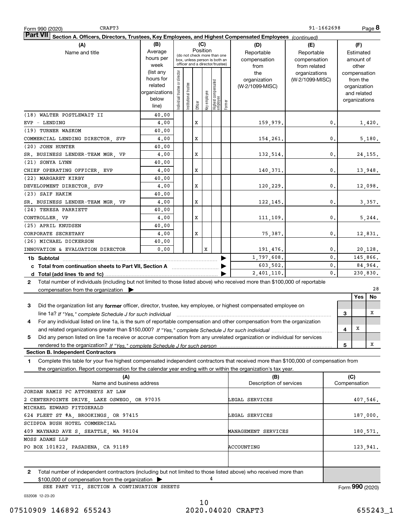| CRAFT3<br>Form 990 (2020)                                                                                                                                                                                                                                   |                      |                               |                 |          |              |                                 |        |                                | 91-1662698      |                |                     |                              | Page 8   |
|-------------------------------------------------------------------------------------------------------------------------------------------------------------------------------------------------------------------------------------------------------------|----------------------|-------------------------------|-----------------|----------|--------------|---------------------------------|--------|--------------------------------|-----------------|----------------|---------------------|------------------------------|----------|
| <b>Part VI</b><br>Section A. Officers, Directors, Trustees, Key Employees, and Highest Compensated Employees (continued)                                                                                                                                    |                      |                               |                 |          |              |                                 |        |                                |                 |                |                     |                              |          |
| (A)                                                                                                                                                                                                                                                         | (B)                  |                               |                 |          | (C)          |                                 |        | (D)                            | (E)             |                |                     | (F)                          |          |
| Name and title                                                                                                                                                                                                                                              | Average              |                               |                 | Position |              | (do not check more than one     |        | Reportable                     | Reportable      |                |                     | Estimated                    |          |
|                                                                                                                                                                                                                                                             | hours per            |                               |                 |          |              | box, unless person is both an   |        | compensation                   | compensation    |                |                     | amount of                    |          |
|                                                                                                                                                                                                                                                             | week                 |                               |                 |          |              | officer and a director/trustee) |        | from                           | from related    |                |                     | other                        |          |
|                                                                                                                                                                                                                                                             | (list any            |                               |                 |          |              |                                 |        | the                            | organizations   |                |                     | compensation                 |          |
|                                                                                                                                                                                                                                                             | hours for<br>related |                               |                 |          |              |                                 |        | organization                   | (W-2/1099-MISC) |                |                     | from the                     |          |
|                                                                                                                                                                                                                                                             | organizations        |                               | I trustee       |          |              |                                 |        | (W-2/1099-MISC)                |                 |                |                     | organization                 |          |
|                                                                                                                                                                                                                                                             | below                |                               |                 |          |              |                                 |        |                                |                 |                |                     | and related<br>organizations |          |
|                                                                                                                                                                                                                                                             | line)                | ndividual trustee or director | Institutional t | Officer  | key employee | Highest compensated<br>employee | Former |                                |                 |                |                     |                              |          |
| (18) WALTER POSTLEWAIT II                                                                                                                                                                                                                                   | 40.00                |                               |                 |          |              |                                 |        |                                |                 |                |                     |                              |          |
| EVP - LENDING                                                                                                                                                                                                                                               | 4,00                 |                               |                 | X        |              |                                 |        | 159,979.                       |                 | 0.             |                     |                              | 1,420.   |
| (19) TURNER WASKOM                                                                                                                                                                                                                                          | 40.00                |                               |                 |          |              |                                 |        |                                |                 |                |                     |                              |          |
| COMMERCIAL LENDING DIRECTOR SVP                                                                                                                                                                                                                             | 4,00                 |                               |                 | x        |              |                                 |        | 154,261.                       |                 | $\mathbf{0}$ . |                     |                              | 5,180.   |
| (20) JOHN HUNTER                                                                                                                                                                                                                                            | 40.00                |                               |                 |          |              |                                 |        |                                |                 |                |                     |                              |          |
| SR. BUSINESS LENDER-TEAM MGR, VP                                                                                                                                                                                                                            | 4,00                 |                               |                 | x        |              |                                 |        | 132,514.                       |                 | $\mathbf{0}$ . |                     |                              | 24,155.  |
| (21) SONYA LYNN                                                                                                                                                                                                                                             | 40.00                |                               |                 |          |              |                                 |        |                                |                 |                |                     |                              |          |
| CHIEF OPERATING OFFICER, EVP                                                                                                                                                                                                                                | 4,00                 |                               |                 | x        |              |                                 |        | 140,371.                       |                 | $\mathbf{0}$ . |                     |                              | 13,948.  |
| (22) MARGARET KIRBY                                                                                                                                                                                                                                         | 40.00                |                               |                 |          |              |                                 |        |                                |                 |                |                     |                              |          |
| DEVELOPMENT DIRECTOR, SVP                                                                                                                                                                                                                                   | 4,00                 |                               |                 | x        |              |                                 |        | 120,229.                       |                 | $\mathbf{0}$ . |                     |                              | 12,098.  |
| (23) SAIF HAKIM                                                                                                                                                                                                                                             | 40.00                |                               |                 |          |              |                                 |        |                                |                 |                |                     |                              |          |
| SR. BUSINESS LENDER-TEAM MGR. VP                                                                                                                                                                                                                            | 4,00                 |                               |                 | x        |              |                                 |        |                                |                 | $\mathbf{0}$ . |                     |                              |          |
| (24) TERESA PARRIETT                                                                                                                                                                                                                                        | 40.00                |                               |                 |          |              |                                 |        | 122,145.                       |                 |                |                     |                              | 3,357.   |
|                                                                                                                                                                                                                                                             |                      |                               |                 | x        |              |                                 |        |                                |                 | $\mathbf{0}$ . |                     |                              |          |
| CONTROLLER, VP<br>(25) APRIL KNUDSEN                                                                                                                                                                                                                        | 4,00<br>40.00        |                               |                 |          |              |                                 |        | 111,109.                       |                 |                |                     |                              | 5, 244.  |
| CORPORATE SECRETARY                                                                                                                                                                                                                                         | 4,00                 |                               |                 | x        |              |                                 |        |                                |                 | $\mathbf{0}$ . |                     |                              |          |
|                                                                                                                                                                                                                                                             |                      |                               |                 |          |              |                                 |        | 75,387.                        |                 |                |                     |                              | 12,831.  |
| (26) MICHAEL DICKERSON                                                                                                                                                                                                                                      | 40.00<br>0.00        |                               |                 |          |              |                                 |        |                                |                 |                |                     |                              |          |
| INNOVATION & EVALUATION DIRECTOR                                                                                                                                                                                                                            |                      |                               |                 |          | x            |                                 |        | 191,476.                       |                 | 0.<br>0.       |                     |                              | 20,128.  |
|                                                                                                                                                                                                                                                             |                      |                               |                 |          |              |                                 |        | 1,797,608.                     |                 |                |                     |                              | 145,866. |
| c Total from continuation sheets to Part VII, Section A [11] [12] Total from continuation sheets to Part VII, Section A                                                                                                                                     |                      |                               |                 |          |              |                                 |        | 603,502.                       |                 | $\mathbf{0}$ . |                     |                              | 84,964.  |
|                                                                                                                                                                                                                                                             |                      |                               |                 |          |              |                                 |        | 2,401,110.                     |                 | 0.             |                     |                              | 230,830. |
| 2 Total number of individuals (including but not limited to those listed above) who received more than \$100,000 of reportable                                                                                                                              |                      |                               |                 |          |              |                                 |        |                                |                 |                |                     |                              |          |
| compensation from the organization $\blacktriangleright$                                                                                                                                                                                                    |                      |                               |                 |          |              |                                 |        |                                |                 |                |                     | Yes                          | 28       |
|                                                                                                                                                                                                                                                             |                      |                               |                 |          |              |                                 |        |                                |                 |                |                     |                              | No       |
| Did the organization list any former officer, director, trustee, key employee, or highest compensated employee on<br>3                                                                                                                                      |                      |                               |                 |          |              |                                 |        |                                |                 |                |                     |                              | x        |
| line 1a? If "Yes," complete Schedule J for such individual manufactured contained and the line 1a? If "Yes," complete Schedule J for such individual                                                                                                        |                      |                               |                 |          |              |                                 |        |                                |                 |                | 3                   |                              |          |
| For any individual listed on line 1a, is the sum of reportable compensation and other compensation from the organization<br>4                                                                                                                               |                      |                               |                 |          |              |                                 |        |                                |                 |                |                     | X                            |          |
|                                                                                                                                                                                                                                                             |                      |                               |                 |          |              |                                 |        |                                |                 |                | 4                   |                              |          |
| Did any person listed on line 1a receive or accrue compensation from any unrelated organization or individual for services<br>5                                                                                                                             |                      |                               |                 |          |              |                                 |        |                                |                 |                |                     |                              |          |
|                                                                                                                                                                                                                                                             |                      |                               |                 |          |              |                                 |        |                                |                 |                | 5                   |                              | x        |
| <b>Section B. Independent Contractors</b>                                                                                                                                                                                                                   |                      |                               |                 |          |              |                                 |        |                                |                 |                |                     |                              |          |
| Complete this table for your five highest compensated independent contractors that received more than \$100,000 of compensation from<br>1<br>the organization. Report compensation for the calendar year ending with or within the organization's tax year. |                      |                               |                 |          |              |                                 |        |                                |                 |                |                     |                              |          |
|                                                                                                                                                                                                                                                             |                      |                               |                 |          |              |                                 |        |                                |                 |                |                     |                              |          |
| (A)<br>Name and business address                                                                                                                                                                                                                            |                      |                               |                 |          |              |                                 |        | (B)<br>Description of services |                 |                | (C)<br>Compensation |                              |          |
| JORDAN RAMIS PC ATTORNEYS AT LAW                                                                                                                                                                                                                            |                      |                               |                 |          |              |                                 |        |                                |                 |                |                     |                              |          |
| 2 CENTERPOINTE DRIVE, LAKE OSWEGO, OR 97035                                                                                                                                                                                                                 |                      |                               |                 |          |              |                                 |        | LEGAL SERVICES                 |                 |                |                     |                              | 407,546. |
| MICHAEL EDWARD FITZGERALD                                                                                                                                                                                                                                   |                      |                               |                 |          |              |                                 |        |                                |                 |                |                     |                              |          |
| 624 FLEET ST #A, BROOKINGS, OR 97415                                                                                                                                                                                                                        |                      |                               |                 |          |              |                                 |        | LEGAL SERVICES                 |                 |                |                     |                              |          |
|                                                                                                                                                                                                                                                             |                      |                               |                 |          |              |                                 |        |                                |                 |                |                     |                              | 187,000. |
| SCIDPDA BUSH HOTEL COMMERCIAL                                                                                                                                                                                                                               |                      |                               |                 |          |              |                                 |        |                                |                 |                |                     |                              |          |
| 409 MAYNARD AVE S, SEATTLE, WA 98104                                                                                                                                                                                                                        |                      |                               |                 |          |              |                                 |        | MANAGEMENT SERVICES            |                 |                |                     |                              | 180,571. |
| MOSS ADAMS LLP                                                                                                                                                                                                                                              |                      |                               |                 |          |              |                                 |        |                                |                 |                |                     |                              |          |
| PO BOX 101822, PASADENA, CA 91189                                                                                                                                                                                                                           |                      |                               |                 |          |              |                                 |        | ACCOUNTING                     |                 |                |                     |                              | 123,941. |
|                                                                                                                                                                                                                                                             |                      |                               |                 |          |              |                                 |        |                                |                 |                |                     |                              |          |
| $\mathbf{2}$<br>Total number of independent contractors (including but not limited to those listed above) who received more than                                                                                                                            |                      |                               |                 |          |              |                                 |        |                                |                 |                |                     |                              |          |
| \$100,000 of compensation from the organization                                                                                                                                                                                                             |                      |                               |                 |          |              | 4                               |        |                                |                 |                |                     |                              |          |
| SEE PART VII, SECTION A CONTINUATION SHEETS                                                                                                                                                                                                                 |                      |                               |                 |          |              |                                 |        |                                |                 |                |                     | Form 990 (2020)              |          |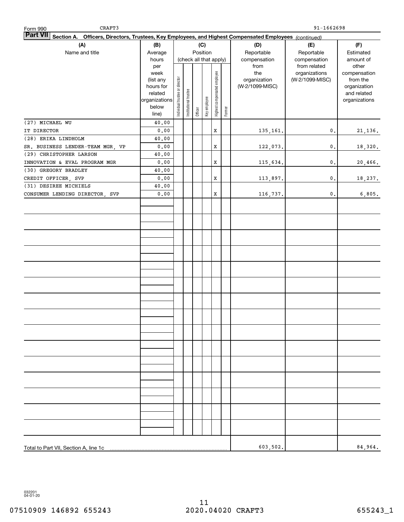| CRAFT3<br>Form 990                                                                                                        |               |                                |                        |         |              |                              |            |                 | 91-1662698                    |                       |
|---------------------------------------------------------------------------------------------------------------------------|---------------|--------------------------------|------------------------|---------|--------------|------------------------------|------------|-----------------|-------------------------------|-----------------------|
| <b>Part VII</b><br>Section A. Officers, Directors, Trustees, Key Employees, and Highest Compensated Employees (continued) |               |                                |                        |         |              |                              |            |                 |                               |                       |
| (A)                                                                                                                       | (B)           |                                |                        |         | (C)          |                              |            | (D)             | (E)                           | (F)                   |
| Name and title                                                                                                            | Average       |                                | Position               |         |              | Reportable                   | Reportable | Estimated       |                               |                       |
|                                                                                                                           | hours         |                                | (check all that apply) |         |              |                              |            | compensation    | compensation                  | amount of             |
|                                                                                                                           | per<br>week   |                                |                        |         |              |                              |            | from<br>the     | from related<br>organizations | other<br>compensation |
|                                                                                                                           | (list any     |                                |                        |         |              |                              |            | organization    | (W-2/1099-MISC)               | from the              |
|                                                                                                                           | hours for     |                                |                        |         |              |                              |            | (W-2/1099-MISC) |                               | organization          |
|                                                                                                                           | related       |                                |                        |         |              |                              |            |                 |                               | and related           |
|                                                                                                                           | organizations | Individual trustee or director | Institutional trustee  |         | Key employee | Highest compensated employee |            |                 |                               | organizations         |
|                                                                                                                           | below         |                                |                        | Officer |              |                              | Former     |                 |                               |                       |
|                                                                                                                           | line)         |                                |                        |         |              |                              |            |                 |                               |                       |
| (27) MICHAEL WU<br>IT DIRECTOR                                                                                            | 40.00<br>0.00 |                                |                        |         |              | X                            |            | 135,161.        | 0.                            | 21, 136.              |
| (28) ERIKA LINDHOLM                                                                                                       | 40.00         |                                |                        |         |              |                              |            |                 |                               |                       |
| SR. BUSINESS LENDER-TEAM MGR, VP                                                                                          | 0.00          |                                |                        |         |              | X                            |            | 122,073.        | $\mathbf{0}$ .                | 18,320.               |
| (29) CHRISTOPHER LARSON                                                                                                   | 40.00         |                                |                        |         |              |                              |            |                 |                               |                       |
| INNOVATION & EVAL PROGRAM MGR                                                                                             | 0.00          |                                |                        |         |              | X                            |            | 115,634.        | 0.                            | 20,466.               |
| (30) GREGORY BRADLEY                                                                                                      | 40.00         |                                |                        |         |              |                              |            |                 |                               |                       |
| CREDIT OFFICER, SVP                                                                                                       | 0.00          |                                |                        |         |              | X                            |            | 113,897.        | 0.                            | 18,237.               |
| (31) DESIREE MICHIELS                                                                                                     | 40.00         |                                |                        |         |              |                              |            |                 |                               |                       |
| CONSUMER LENDING DIRECTOR, SVP                                                                                            | 0.00          |                                |                        |         |              | X                            |            | 116,737.        | 0.                            | 6,805.                |
|                                                                                                                           |               |                                |                        |         |              |                              |            |                 |                               |                       |
|                                                                                                                           |               |                                |                        |         |              |                              |            |                 |                               |                       |
|                                                                                                                           |               |                                |                        |         |              |                              |            |                 |                               |                       |
|                                                                                                                           |               |                                |                        |         |              |                              |            |                 |                               |                       |
|                                                                                                                           |               |                                |                        |         |              |                              |            |                 |                               |                       |
|                                                                                                                           |               |                                |                        |         |              |                              |            |                 |                               |                       |
|                                                                                                                           |               |                                |                        |         |              |                              |            |                 |                               |                       |
|                                                                                                                           |               |                                |                        |         |              |                              |            |                 |                               |                       |
|                                                                                                                           |               |                                |                        |         |              |                              |            |                 |                               |                       |
|                                                                                                                           |               |                                |                        |         |              |                              |            |                 |                               |                       |
|                                                                                                                           |               |                                |                        |         |              |                              |            |                 |                               |                       |
|                                                                                                                           |               |                                |                        |         |              |                              |            |                 |                               |                       |
|                                                                                                                           |               |                                |                        |         |              |                              |            |                 |                               |                       |
|                                                                                                                           |               |                                |                        |         |              |                              |            |                 |                               |                       |
|                                                                                                                           |               |                                |                        |         |              |                              |            |                 |                               |                       |
|                                                                                                                           |               |                                |                        |         |              |                              |            |                 |                               |                       |
|                                                                                                                           |               |                                |                        |         |              |                              |            |                 |                               |                       |
|                                                                                                                           |               |                                |                        |         |              |                              |            |                 |                               |                       |
|                                                                                                                           |               |                                |                        |         |              |                              |            |                 |                               |                       |
|                                                                                                                           |               |                                |                        |         |              |                              |            |                 |                               |                       |
|                                                                                                                           |               |                                |                        |         |              |                              |            |                 |                               |                       |
|                                                                                                                           |               |                                |                        |         |              |                              |            |                 |                               |                       |
|                                                                                                                           |               |                                |                        |         |              |                              |            |                 |                               |                       |
|                                                                                                                           |               |                                |                        |         |              |                              |            |                 |                               |                       |
|                                                                                                                           |               |                                |                        |         |              |                              |            |                 |                               |                       |
|                                                                                                                           |               |                                |                        |         |              |                              |            |                 |                               |                       |
|                                                                                                                           |               |                                |                        |         |              |                              |            |                 |                               |                       |
|                                                                                                                           |               |                                |                        |         |              |                              |            |                 |                               |                       |
|                                                                                                                           |               |                                |                        |         |              |                              |            |                 |                               |                       |
| Total to Part VII, Section A, line 1c                                                                                     |               |                                |                        |         |              |                              |            | 603,502.        |                               | 84,964.               |

032201 04-01-20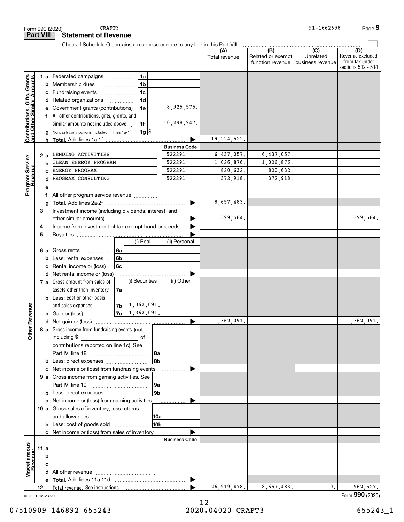|                                                           | Form 990 (2020)   |                                                                                                                         | CRAFT3                                                                                                                                                                              |                          |  |                                                    |                                                              |                                                  |                                                           | 91-1662698                    | Page 9                                    |
|-----------------------------------------------------------|-------------------|-------------------------------------------------------------------------------------------------------------------------|-------------------------------------------------------------------------------------------------------------------------------------------------------------------------------------|--------------------------|--|----------------------------------------------------|--------------------------------------------------------------|--------------------------------------------------|-----------------------------------------------------------|-------------------------------|-------------------------------------------|
|                                                           | <b>Part VIII</b>  |                                                                                                                         | <b>Statement of Revenue</b>                                                                                                                                                         |                          |  |                                                    |                                                              |                                                  |                                                           |                               |                                           |
|                                                           |                   |                                                                                                                         | Check if Schedule O contains a response or note to any line in this Part VIII                                                                                                       |                          |  |                                                    |                                                              | (A)<br>Total revenue                             | $\overline{(B)}$<br>Related or exempt<br>function revenue | $\overline{(C)}$<br>Unrelated | (D)<br>Revenue excluded<br>from tax under |
| Contributions, Gifts, Grants<br>and Other Similar Amounts | b<br>с<br>d<br>е  |                                                                                                                         | 1 a Federated campaigns<br>Membership dues<br>Fundraising events<br>Related organizations<br>Government grants (contributions)                                                      | $\overline{\phantom{a}}$ |  | 1a<br>1 <sub>b</sub><br>1c<br>1 <sub>d</sub><br>1e | 8,925,575.                                                   |                                                  |                                                           | business revenue              | sections 512 - 514                        |
|                                                           | g                 | h.                                                                                                                      | f All other contributions, gifts, grants, and<br>similar amounts not included above<br>Noncash contributions included in lines 1a-1f<br><b>Total.</b> Add lines 1a-1f               |                          |  | 1f<br>$1g$ \$                                      | 10,298,947.                                                  | 19, 224, 522.                                    |                                                           |                               |                                           |
| Program Service<br>Revenue                                | 2a<br>b<br>C<br>d |                                                                                                                         | LENDING ACTIVITIES<br>CLEAN ENERGY PROGRAM<br>ENERGY PROGRAM<br>PROGRAM CONSULTING                                                                                                  |                          |  |                                                    | <b>Business Code</b><br>522291<br>522291<br>522291<br>522291 | 6,437,057.<br>1,026,876.<br>820,632.<br>372,918. | 6,437,057.<br>1,026,876.<br>820,632.<br>372,918.          |                               |                                           |
|                                                           | е<br>f<br>a<br>3  |                                                                                                                         | All other program service revenue                                                                                                                                                   |                          |  |                                                    |                                                              | 8,657,483.                                       |                                                           |                               |                                           |
|                                                           | 4<br>5            | Investment income (including dividends, interest, and<br>Income from investment of tax-exempt bond proceeds<br>(i) Real |                                                                                                                                                                                     |                          |  |                                                    | (ii) Personal                                                | 399,564.                                         |                                                           |                               | 399,564.                                  |
|                                                           | 6а                | Gross rents<br>6а<br>.<br>6b<br>Less: rental expenses<br>b<br>Rental income or (loss)<br>6c<br>c                        |                                                                                                                                                                                     |                          |  |                                                    |                                                              |                                                  |                                                           |                               |                                           |
|                                                           | d                 |                                                                                                                         | Net rental income or (loss)<br>7 a Gross amount from sales of<br>assets other than inventory<br><b>b</b> Less: cost or other basis                                                  | (i) Securities<br>7a     |  |                                                    | (ii) Other                                                   |                                                  |                                                           |                               |                                           |
| evenue<br>Other R                                         |                   |                                                                                                                         | and sales expenses<br>c Gain or (loss)<br>8 a Gross income from fundraising events (not                                                                                             | 7b<br>7c                 |  | 1,362,091.<br>$-1, 362, 091.$                      |                                                              | $-1, 362, 091.$                                  |                                                           |                               | $-1, 362, 091.$                           |
|                                                           |                   |                                                                                                                         | including \$<br><u> 1990 - Johann Barbara, martxa a</u><br>contributions reported on line 1c). See                                                                                  |                          |  | of<br>  8a                                         |                                                              |                                                  |                                                           |                               |                                           |
|                                                           | b<br>с<br>b       |                                                                                                                         | Net income or (loss) from fundraising events<br>9 a Gross income from gaming activities. See                                                                                        |                          |  | 8b<br> 9a<br>9 <sub>b</sub>                        |                                                              |                                                  |                                                           |                               |                                           |
|                                                           |                   |                                                                                                                         | c Net income or (loss) from gaming activities<br>10 a Gross sales of inventory, less returns<br><b>b</b> Less: cost of goods sold<br>c Net income or (loss) from sales of inventory |                          |  | 10a<br>10b                                         |                                                              |                                                  |                                                           |                               |                                           |
| Miscellaneous<br>Revenue                                  | 11a<br>b<br>c     |                                                                                                                         | the control of the control of the control of the control of the control of the control of                                                                                           |                          |  |                                                    | <b>Business Code</b>                                         |                                                  |                                                           |                               |                                           |
|                                                           | 12                |                                                                                                                         |                                                                                                                                                                                     |                          |  |                                                    | $\blacktriangleright$                                        | 26, 919, 478.                                    | 8,657,483.                                                | 0.                            | $-962,527.$                               |

032009 12-23-20

Form (2020) **990**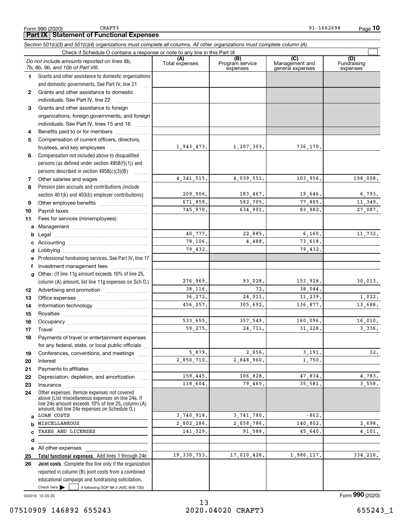CRAFT3

#### Check here  $\bullet$  if following SOP 98-2 (ASC 958-720) **Total functional expenses.**  Add lines 1 through 24e **Joint costs.** Complete this line only if the organization **(A)**<br>Total expenses **(B) (C) (D) 1234567891011abcdefg12131415161718192021222324abcde2526***Section 501(c)(3) and 501(c)(4) organizations must complete all columns. All other organizations must complete column (A).* Grants and other assistance to domestic organizations and domestic governments. See Part IV, line 21 Compensation not included above to disqualified persons (as defined under section 4958(f)(1)) and persons described in section 4958(c)(3)(B) Pension plan accruals and contributions (include section 401(k) and 403(b) employer contributions) Professional fundraising services. See Part IV, line 17 Other. (If line 11g amount exceeds 10% of line 25, column (A) amount, list line 11g expenses on Sch O.) Other expenses. Itemize expenses not covered above (List miscellaneous expenses on line 24e. If line 24e amount exceeds 10% of line 25, column (A) amount, list line 24e expenses on Schedule O.) reported in column (B) joint costs from a combined educational campaign and fundraising solicitation. Check if Schedule O contains a response or note to any line in this Part IX (C) (C) (C) (C) (C) (C) Program service expensesManagement and general expenses Fundraising expensesGrants and other assistance to domestic individuals. See Part IV, line 22 ..................... Grants and other assistance to foreign organizations, foreign governments, and foreign individuals. See Part IV, lines 15 and 16  $\ldots$ Benefits paid to or for members .................... Compensation of current officers, directors, trustees, and key employees  $\ldots$   $\ldots$   $\ldots$   $\ldots$   $\ldots$ Other salaries and wages ~~~~~~~~~~ Other employee benefits ~~~~~~~~~~ Payroll taxes ~~~~~~~~~~~~~~~~ Fees for services (nonemployees): Management ~~~~~~~~~~~~~~~~ Legal ~~~~~~~~~~~~~~~~~~~~Accounting ~~~~~~~~~~~~~~~~~ Lobbying ~~~~~~~~~~~~~~~~~~ lnvestment management fees ....................... Advertising and promotion www.communicul Office expenses ~~~~~~~~~~~~~~~ Information technology ~~~~~~~~~~~ Royalties ~~~~~~~~~~~~~~~~~~ Occupancy ~~~~~~~~~~~~~~~~~ Travel ……………………………………………… Payments of travel or entertainment expenses for any federal, state, or local public officials ... Conferences, conventions, and meetings InterestPayments to affiliates ~~~~~~~~~~~~ ~~~~~~~~~~~~~~~~~~Depreciation, depletion, and amortization  $\,\,\ldots\,\,$ Insurance~~~~~~~~~~~~~~~~~All other expenses Check here  $\blacktriangleright$ *Do not include amounts reported on lines 6b, 7b, 8b, 9b, and 10b of Part VIII.*  $\mathcal{L}^{\text{max}}$ 1,943,473. 4,341,515. 209,906. 671,859. 745,970. 40,777. 78,106. 79,432. 276,969. 38,116. 36,272. 456,257. 533,655. 59,275. 5,879. 2,850,710. 159,445. 118,604. 3,740,918. 2,802,286. 141,329. 19,330,753. 1,207,303. 736,170. 4,039,551. 103,956. 198,008. 183,467. 19,646. 6,793. 582,705. 77,805. 11,349. 634,901. 83,982. 27,087. 22,885. 6,160. 11,732. 4,488. 73,618. 79,432. 93,028. 153,928. 30,013. 72. 38,044. 24,011. 11,239. 1,022. 305,692. 136,877. 13,688. 357,549. 160,096. 16,010. 24,711. 31,228. 3,336. 2,656. 3,191. 32. 2,848,960. 1,750. 106,828. 47,834. 47,834. 79,465. 35,581. 3,558.  $3,741,780.$   $-862.$ 2,658,786. 140,802. 2,698. 91,588. 45,640. 4,101. 17,010,426. 1,986,117. 334,210. LOAN COSTS MISCELLANEOUSTAXES AND LICENSES

032010 12-23-20

Form (2020) **990**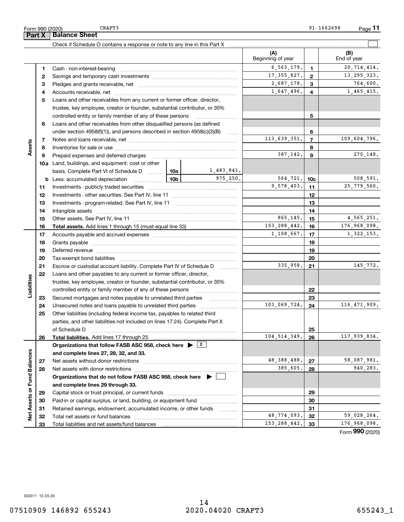CRAFT3

**3** Pledges and grants receivable, net  $\ldots$  **multimes contained and grants receivable**, net **multimes contained and grants receivable**, net **multimes contained and grants receivable 4**Accounts receivable, net ~~~~~~~~~~~~~~~~~~~~~~~~~~ **5**Loans and other receivables from any current or former officer, director,

**11**

 $\mathcal{L}^{\text{max}}$ 

 $714,414.$ 

17,355,827. 13,295,323.

**34**

1,647,496. 4 1,465,415. 2,687,178. 764,600.

| <b>DuidiToc Officer</b>                                                    |                   |   |                    |
|----------------------------------------------------------------------------|-------------------|---|--------------------|
| Check if Schedule O contains a response or note to any line in this Part X |                   |   |                    |
|                                                                            | Beginning of year |   | (B)<br>End of year |
| <b>1</b> Cash - non-interest-bearing                                       | 6, 563, 179.      |   | 20 714             |
| 2 Savings and temporary cash investments                                   | 17, 355, 827.     | ົ | 13,295             |

|    | trustee, key employee, creator or founder, substantial contributor, or 35%                |            |                |                 |                |                 |
|----|-------------------------------------------------------------------------------------------|------------|----------------|-----------------|----------------|-----------------|
|    | controlled entity or family member of any of these persons                                |            |                | 5               |                |                 |
| 6  | Loans and other receivables from other disqualified persons (as defined                   |            |                |                 |                |                 |
|    | under section $4958(f)(1)$ , and persons described in section $4958(c)(3)(B)$             |            | $\ldots$       |                 | 6              |                 |
| 7  |                                                                                           |            |                | 113,639,351.    | $\overline{7}$ | 109,604,796.    |
| 8  |                                                                                           |            |                |                 | 8              |                 |
| 9  | Prepaid expenses and deferred charges                                                     |            |                | 387,142.        | 9              | 270,148.        |
|    | 10a Land, buildings, and equipment: cost or other                                         |            |                |                 |                |                 |
|    | basis. Complete Part VI of Schedule D  10a                                                |            | 1,483,841.     |                 |                |                 |
| b  | $\frac{10b}{100}$<br>Less: accumulated depreciation                                       | 975.250.   | 564,721.       | 10 <sub>c</sub> | 508,591.       |                 |
| 11 |                                                                                           |            |                | 9,578,403.      | 11             | 25,779,560.     |
| 12 |                                                                                           |            |                |                 | 12             |                 |
| 13 |                                                                                           |            |                | 13              |                |                 |
| 14 |                                                                                           |            |                |                 | 14             |                 |
| 15 |                                                                                           |            |                | 865.145.        | 15             | 4,565,251.      |
| 16 |                                                                                           |            | 153, 288, 442. | 16              | 176,968,098.   |                 |
| 17 |                                                                                           | 1,108,667. | 17             | 1,322,153.      |                |                 |
| 18 |                                                                                           |            | 18             |                 |                |                 |
| 19 |                                                                                           |            |                | 19              |                |                 |
| 20 |                                                                                           |            | 20             |                 |                |                 |
| 21 | Escrow or custodial account liability. Complete Part IV of Schedule D                     |            | 335,958.       | 21              | 145,772.       |                 |
| 22 | Loans and other payables to any current or former officer, director,                      |            |                |                 |                |                 |
|    | trustee, key employee, creator or founder, substantial contributor, or 35%                |            |                |                 |                |                 |
|    | controlled entity or family member of any of these persons                                |            |                |                 | 22             |                 |
| 23 | Secured mortgages and notes payable to unrelated third parties                            |            | .              |                 | 23             |                 |
| 24 |                                                                                           |            |                | 103,069,724.    | 24             | 116,471,909.    |
| 25 | Other liabilities (including federal income tax, payables to related third                |            |                |                 |                |                 |
|    | parties, and other liabilities not included on lines 17-24). Complete Part X              |            |                |                 |                |                 |
|    | of Schedule D                                                                             |            |                |                 | 25             |                 |
| 26 |                                                                                           |            |                | 104, 514, 349.  | 26             | 117,939,834.    |
|    | Organizations that follow FASB ASC 958, check here $\blacktriangleright \;$ $\mid X \mid$ |            |                |                 |                |                 |
|    | and complete lines 27, 28, 32, and 33.                                                    |            |                |                 |                |                 |
| 27 |                                                                                           |            |                | 48, 388, 488.   | 27             | 58,087,981.     |
| 28 |                                                                                           |            |                | 385,605.        | 28             | 940,283.        |
|    | Organizations that do not follow FASB ASC 958, check here $\blacktriangleright \ \lfloor$ |            |                |                 |                |                 |
|    | and complete lines 29 through 33.                                                         |            |                |                 |                |                 |
| 29 |                                                                                           |            |                |                 | 29             |                 |
| 30 | Paid-in or capital surplus, or land, building, or equipment fund                          |            |                |                 | 30             |                 |
| 31 | Retained earnings, endowment, accumulated income, or other funds                          |            |                |                 | 31             |                 |
| 32 |                                                                                           |            |                | 48,774,093.     | 32             | 59,028,264.     |
| 33 |                                                                                           |            |                | 153, 288, 442.  | 33             | 176,968,098.    |
|    |                                                                                           |            |                |                 |                | Form 990 (2020) |

Form 990 (2020) **Part X** | Balance Sheet

**Assets**

**Liabilities**

Liabilities

**Net Assets or Fund Balances**

Net Assets or Fund Balances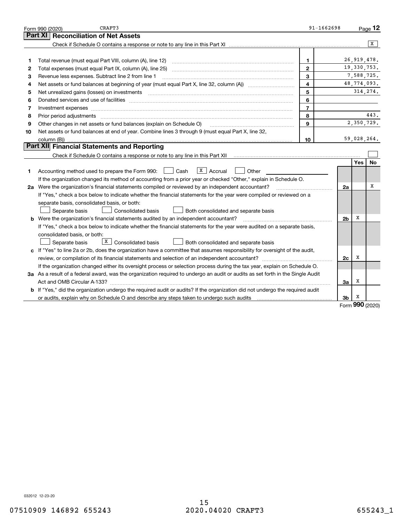|    | CRAFT3<br>Form 990 (2020)                                                                                                                                                                                                      | $91 - 1662698$ |                |          | Page 12       |
|----|--------------------------------------------------------------------------------------------------------------------------------------------------------------------------------------------------------------------------------|----------------|----------------|----------|---------------|
|    | Part XI<br><b>Reconciliation of Net Assets</b>                                                                                                                                                                                 |                |                |          |               |
|    |                                                                                                                                                                                                                                |                |                |          | x             |
|    |                                                                                                                                                                                                                                |                |                |          |               |
| 1  |                                                                                                                                                                                                                                | $\mathbf{1}$   |                |          | 26, 919, 478. |
| 2  | Total expenses (must equal Part IX, column (A), line 25) [11] manufactured expenses (must equal Part IX, column (A), line 25)                                                                                                  | $\mathbf{2}$   |                |          | 19, 330, 753. |
| 3  | Revenue less expenses. Subtract line 2 from line 1                                                                                                                                                                             | 3              |                |          | 7,588,725.    |
| 4  |                                                                                                                                                                                                                                | $\overline{4}$ |                |          | 48,774,093.   |
| 5  | Net unrealized gains (losses) on investments [11] matter continuum matter is a set of the set of the set of the                                                                                                                | 5              |                |          | 314, 274.     |
| 6  |                                                                                                                                                                                                                                | 6              |                |          |               |
| 7  | Investment expenses www.communication.com/www.communication.com/www.communication.com/www.com                                                                                                                                  | $\overline{7}$ |                |          |               |
| 8  | Prior period adjustments material contents and content of the content of the content of the content of the content of the content of the content of the content of the content of the content of the content of the content of | 8              |                |          | 443.          |
| 9  | Other changes in net assets or fund balances (explain on Schedule O)                                                                                                                                                           | $\mathbf{9}$   |                |          | 2,350,729.    |
| 10 | Net assets or fund balances at end of year. Combine lines 3 through 9 (must equal Part X, line 32,                                                                                                                             |                |                |          |               |
|    |                                                                                                                                                                                                                                | 10             |                |          | 59,028,264.   |
|    | Part XII Financial Statements and Reporting                                                                                                                                                                                    |                |                |          |               |
|    |                                                                                                                                                                                                                                |                |                |          |               |
|    |                                                                                                                                                                                                                                |                |                | Yes      | <b>No</b>     |
| 1  | X   Accrual<br>Accounting method used to prepare the Form 990: <u>June</u> Cash<br>Other                                                                                                                                       |                |                |          |               |
|    | If the organization changed its method of accounting from a prior year or checked "Other," explain in Schedule O.                                                                                                              |                |                |          |               |
|    | 2a Were the organization's financial statements compiled or reviewed by an independent accountant?                                                                                                                             |                | 2a             |          | х             |
|    | If "Yes," check a box below to indicate whether the financial statements for the year were compiled or reviewed on a                                                                                                           |                |                |          |               |
|    | separate basis, consolidated basis, or both:                                                                                                                                                                                   |                |                |          |               |
|    | Separate basis<br>Consolidated basis<br>Both consolidated and separate basis                                                                                                                                                   |                |                |          |               |
|    | b Were the organization's financial statements audited by an independent accountant?                                                                                                                                           |                | 2 <sub>b</sub> | X        |               |
|    | If "Yes," check a box below to indicate whether the financial statements for the year were audited on a separate basis,                                                                                                        |                |                |          |               |
|    | consolidated basis, or both:                                                                                                                                                                                                   |                |                |          |               |
|    | $X$ Consolidated basis<br>Separate basis<br>Both consolidated and separate basis                                                                                                                                               |                |                |          |               |
|    | c If "Yes" to line 2a or 2b, does the organization have a committee that assumes responsibility for oversight of the audit,                                                                                                    |                |                |          |               |
|    |                                                                                                                                                                                                                                |                | 2c             | х        |               |
|    | If the organization changed either its oversight process or selection process during the tax year, explain on Schedule O.                                                                                                      |                |                |          |               |
|    | 3a As a result of a federal award, was the organization required to undergo an audit or audits as set forth in the Single Audit                                                                                                |                |                |          |               |
|    |                                                                                                                                                                                                                                |                | За             | х        |               |
|    | b If "Yes," did the organization undergo the required audit or audits? If the organization did not undergo the required audit                                                                                                  |                |                |          |               |
|    | or audits, explain why on Schedule O and describe any steps taken to undergo such audits [11] outcommunically contained and the analytic or audits [11] or audits [11] or audits [11] or audits [11] or audits [11] or audits  |                | 3b             | х<br>ההו |               |

Form (2020) **990**

032012 12-23-20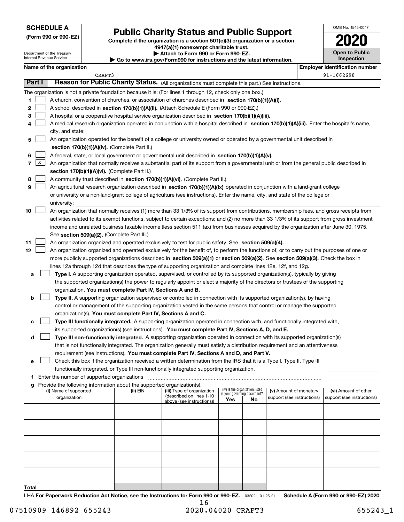| <b>SCHEDULE A</b> |
|-------------------|
|-------------------|

Department of the Treasury Internal Revenue Service

**(Form 990 or 990-EZ)**

**Public Charity Status and Public Support**

**Complete if the organization is a section 501(c)(3) organization or a section 4947(a)(1) nonexempt charitable trust. | Attach to Form 990 or Form 990-EZ. | Go to www.irs.gov/Form990 for instructions and the latest information.**

| 2020                                |  |
|-------------------------------------|--|
| <b>Open to Public</b><br>Inspection |  |

OMB No. 1545-0047

|  | Name of the organization |  |
|--|--------------------------|--|
|  |                          |  |

CRAFT3

**Name of the organization Employer identification number** 91-1662698

|       | Part I | Reason for Public Charity Status. (All organizations must complete this part.) See instructions.                                                                                                                                                               |          |                                                        |                             |                                 |                                                      |                                                    |
|-------|--------|----------------------------------------------------------------------------------------------------------------------------------------------------------------------------------------------------------------------------------------------------------------|----------|--------------------------------------------------------|-----------------------------|---------------------------------|------------------------------------------------------|----------------------------------------------------|
|       |        | The organization is not a private foundation because it is: (For lines 1 through 12, check only one box.)                                                                                                                                                      |          |                                                        |                             |                                 |                                                      |                                                    |
| 1     |        | A church, convention of churches, or association of churches described in section 170(b)(1)(A)(i).                                                                                                                                                             |          |                                                        |                             |                                 |                                                      |                                                    |
| 2     |        | A school described in section 170(b)(1)(A)(ii). (Attach Schedule E (Form 990 or 990-EZ).)                                                                                                                                                                      |          |                                                        |                             |                                 |                                                      |                                                    |
| з     |        | A hospital or a cooperative hospital service organization described in section 170(b)(1)(A)(iii).                                                                                                                                                              |          |                                                        |                             |                                 |                                                      |                                                    |
| 4     |        | A medical research organization operated in conjunction with a hospital described in section 170(b)(1)(A)(iii). Enter the hospital's name,                                                                                                                     |          |                                                        |                             |                                 |                                                      |                                                    |
|       |        | city, and state:                                                                                                                                                                                                                                               |          |                                                        |                             |                                 |                                                      |                                                    |
| 5     |        | An organization operated for the benefit of a college or university owned or operated by a governmental unit described in                                                                                                                                      |          |                                                        |                             |                                 |                                                      |                                                    |
|       |        | section 170(b)(1)(A)(iv). (Complete Part II.)                                                                                                                                                                                                                  |          |                                                        |                             |                                 |                                                      |                                                    |
| 6     |        | A federal, state, or local government or governmental unit described in section 170(b)(1)(A)(v).                                                                                                                                                               |          |                                                        |                             |                                 |                                                      |                                                    |
| 7     | X      | An organization that normally receives a substantial part of its support from a governmental unit or from the general public described in                                                                                                                      |          |                                                        |                             |                                 |                                                      |                                                    |
|       |        | section 170(b)(1)(A)(vi). (Complete Part II.)                                                                                                                                                                                                                  |          |                                                        |                             |                                 |                                                      |                                                    |
| 8     |        | A community trust described in section 170(b)(1)(A)(vi). (Complete Part II.)                                                                                                                                                                                   |          |                                                        |                             |                                 |                                                      |                                                    |
| 9     |        | An agricultural research organization described in section 170(b)(1)(A)(ix) operated in conjunction with a land-grant college                                                                                                                                  |          |                                                        |                             |                                 |                                                      |                                                    |
|       |        | or university or a non-land-grant college of agriculture (see instructions). Enter the name, city, and state of the college or                                                                                                                                 |          |                                                        |                             |                                 |                                                      |                                                    |
|       |        | university:                                                                                                                                                                                                                                                    |          |                                                        |                             |                                 |                                                      |                                                    |
| 10    |        | An organization that normally receives (1) more than 33 1/3% of its support from contributions, membership fees, and gross receipts from                                                                                                                       |          |                                                        |                             |                                 |                                                      |                                                    |
|       |        | activities related to its exempt functions, subject to certain exceptions; and (2) no more than 33 1/3% of its support from gross investment                                                                                                                   |          |                                                        |                             |                                 |                                                      |                                                    |
|       |        | income and unrelated business taxable income (less section 511 tax) from businesses acquired by the organization after June 30, 1975.                                                                                                                          |          |                                                        |                             |                                 |                                                      |                                                    |
|       |        | See section 509(a)(2). (Complete Part III.)                                                                                                                                                                                                                    |          |                                                        |                             |                                 |                                                      |                                                    |
| 11    |        | An organization organized and operated exclusively to test for public safety. See section 509(a)(4).                                                                                                                                                           |          |                                                        |                             |                                 |                                                      |                                                    |
| 12    |        | An organization organized and operated exclusively for the benefit of, to perform the functions of, or to carry out the purposes of one or                                                                                                                     |          |                                                        |                             |                                 |                                                      |                                                    |
|       |        | more publicly supported organizations described in section 509(a)(1) or section 509(a)(2). See section 509(a)(3). Check the box in                                                                                                                             |          |                                                        |                             |                                 |                                                      |                                                    |
|       |        | lines 12a through 12d that describes the type of supporting organization and complete lines 12e, 12f, and 12g.                                                                                                                                                 |          |                                                        |                             |                                 |                                                      |                                                    |
| а     |        | Type I. A supporting organization operated, supervised, or controlled by its supported organization(s), typically by giving<br>the supported organization(s) the power to regularly appoint or elect a majority of the directors or trustees of the supporting |          |                                                        |                             |                                 |                                                      |                                                    |
|       |        | organization. You must complete Part IV, Sections A and B.                                                                                                                                                                                                     |          |                                                        |                             |                                 |                                                      |                                                    |
| b     |        | Type II. A supporting organization supervised or controlled in connection with its supported organization(s), by having                                                                                                                                        |          |                                                        |                             |                                 |                                                      |                                                    |
|       |        | control or management of the supporting organization vested in the same persons that control or manage the supported                                                                                                                                           |          |                                                        |                             |                                 |                                                      |                                                    |
|       |        | organization(s). You must complete Part IV, Sections A and C.                                                                                                                                                                                                  |          |                                                        |                             |                                 |                                                      |                                                    |
| с     |        | Type III functionally integrated. A supporting organization operated in connection with, and functionally integrated with,                                                                                                                                     |          |                                                        |                             |                                 |                                                      |                                                    |
|       |        | its supported organization(s) (see instructions). You must complete Part IV, Sections A, D, and E.                                                                                                                                                             |          |                                                        |                             |                                 |                                                      |                                                    |
| d     |        | Type III non-functionally integrated. A supporting organization operated in connection with its supported organization(s)                                                                                                                                      |          |                                                        |                             |                                 |                                                      |                                                    |
|       |        | that is not functionally integrated. The organization generally must satisfy a distribution requirement and an attentiveness                                                                                                                                   |          |                                                        |                             |                                 |                                                      |                                                    |
|       |        | requirement (see instructions). You must complete Part IV, Sections A and D, and Part V.                                                                                                                                                                       |          |                                                        |                             |                                 |                                                      |                                                    |
| е     |        | Check this box if the organization received a written determination from the IRS that it is a Type I, Type II, Type III                                                                                                                                        |          |                                                        |                             |                                 |                                                      |                                                    |
|       |        | functionally integrated, or Type III non-functionally integrated supporting organization.                                                                                                                                                                      |          |                                                        |                             |                                 |                                                      |                                                    |
| Ť.    |        | Enter the number of supported organizations                                                                                                                                                                                                                    |          |                                                        |                             |                                 |                                                      |                                                    |
|       |        | Provide the following information about the supported organization(s).                                                                                                                                                                                         |          |                                                        |                             | (iv) Is the organization listed |                                                      |                                                    |
|       |        | (i) Name of supported<br>organization                                                                                                                                                                                                                          | (ii) EIN | (iii) Type of organization<br>(described on lines 1-10 | in your governing document? |                                 | (v) Amount of monetary<br>support (see instructions) | (vi) Amount of other<br>support (see instructions) |
|       |        |                                                                                                                                                                                                                                                                |          | above (see instructions))                              | Yes                         | No                              |                                                      |                                                    |
|       |        |                                                                                                                                                                                                                                                                |          |                                                        |                             |                                 |                                                      |                                                    |
|       |        |                                                                                                                                                                                                                                                                |          |                                                        |                             |                                 |                                                      |                                                    |
|       |        |                                                                                                                                                                                                                                                                |          |                                                        |                             |                                 |                                                      |                                                    |
|       |        |                                                                                                                                                                                                                                                                |          |                                                        |                             |                                 |                                                      |                                                    |
|       |        |                                                                                                                                                                                                                                                                |          |                                                        |                             |                                 |                                                      |                                                    |
|       |        |                                                                                                                                                                                                                                                                |          |                                                        |                             |                                 |                                                      |                                                    |
|       |        |                                                                                                                                                                                                                                                                |          |                                                        |                             |                                 |                                                      |                                                    |
|       |        |                                                                                                                                                                                                                                                                |          |                                                        |                             |                                 |                                                      |                                                    |
|       |        |                                                                                                                                                                                                                                                                |          |                                                        |                             |                                 |                                                      |                                                    |
| Total |        |                                                                                                                                                                                                                                                                |          |                                                        |                             |                                 |                                                      |                                                    |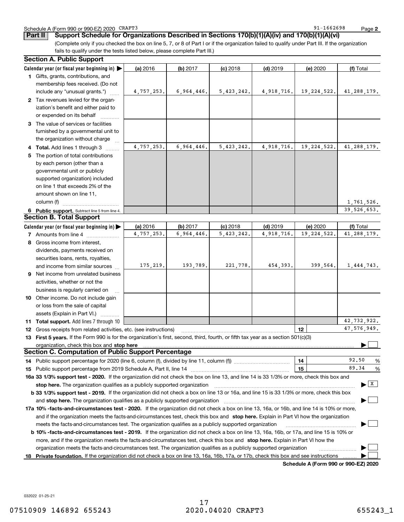### Schedule A (Form 990 or 990-EZ) 2020 Page CRAFT3

91-1662698

**2**

|  | Part II   Support Schedule for Organizations Described in Sections 170(b)(1)(A)(iv) and 170(b)(1)(A)(vi) |  |
|--|----------------------------------------------------------------------------------------------------------|--|
|  |                                                                                                          |  |

(Complete only if you checked the box on line 5, 7, or 8 of Part I or if the organization failed to qualify under Part III. If the organization fails to qualify under the tests listed below, please complete Part III.)

#### **6** Public support. Subtract line 5 from line 4. **Calendar year (or fiscal year beginning in)**  | **Calendar year (or fiscal year beginning in) | (a)** 2016 **| (b)** 2017 **| (c)** 2018 **| (d)** 2019 **| (e)** 2020 **| (f) 1**Gifts, grants, contributions, and **2**Tax revenues levied for the organ-**3**The value of services or facilities **4 Total.** Add lines 1 through 3  $\quad$ **5** The portion of total contributions **(a)** 2016 **(b)** 2017 **(c)** 2018 **(d)** 2019 **(e)** 2020 **(f)** Total **7** Amounts from line 4  $\ldots$  **Amounts 8**Gross income from interest, **9** Net income from unrelated business **10** Other income. Do not include gain **11Total support.**  Add lines 7 through 10 **12**Gross receipts from related activities, etc. (see instructions) ~~~~~~~~~~~~~~~~~~~~~~~ **13First 5 years.**  If the Form 990 is for the organization's first, second, third, fourth, or fifth tax year as a section 501(c)(3) **12stop here** organization, check this box and | **141514** Public support percentage for 2020 (line 6, column (f), divided by line 11, column (f))  $\ldots$  $\ldots$  $\ldots$  $\ldots$  $\ldots$  $\ldots$ **15** Public support percentage from 2019 Schedule A, Part II, line 14 ~~~~~~~~~~~~~~~~~~~~~**16a 33 1/3% support test - 2020.** If the organization did not check the box on line 13, and line 14 is 33 1/3% or more, check this box and **17a10% -facts-and-circumstances test - 2020.**  If the organization did not check a box on line 13, 16a, or 16b, and line 14 is 10% or more, 18 Private foundation. If the organization did not check a box on line 13, 16a, 16b, 17a, or 17b, check this box and see instructions ......... **b** 33 1/3% support test - 2019. If the organization did not check a box on line 13 or 16a, and line 15 is 33 1/3% or more, check this box **b 10% -facts-and-circumstances test - 2019.** If the organization did not check a box on line 13, 16a, 16b, or 17a, and line 15 is 10% or **stop here.**  The organization qualifies as a publicly supported organization ~~~~~~~~~~~~~~~~~~~~~~~~~~~~~~ | **stop here.**  and The organization qualifies as a publicly supported organization ~~~~~~~~~~~~~~~~~~~~~~~~~~~~ | and if the organization meets the facts-and-circumstances test, check this box and **stop here.** Explain in Part VI how the organization more, and if the organization meets the facts-and-circumstances test, check this box and **stop here.** Explain in Part VI how the (a) 2016 16 **| (b)** 2017 **| (c)** 2018 **| (d)** 2019 **| (e)** 2020 **| (f)** Total membership fees received. (Do not include any "unusual grants.") ization's benefit and either paid to or expended on its behalf ~~~~furnished by a governmental unit to the organization without charge by each person (other than a governmental unit or publicly supported organization) included on line 1 that exceeds 2% of the amount shown on line 11, column (f) <sub>……………………………</sub>… 2016dividends, payments received on securities loans, rents, royalties, and income from similar sources activities, whether or not the business is regularly carried on <sup>~</sup> or loss from the sale of capital assets (Explain in Part VI.) .......... % $\sim$  15 | 89.34 % meets the facts-and-circumstances test. The organization qualifies as a publicly supported organization ~~~~~~~~~~~~~~~ | organization meets the facts-and-circumstances test. The organization qualifies as a publicly supported organization **Section A. Public Support Section B. Total Support Section C. Computation of Public Support Percentage**  $\mathcal{L}^{\text{max}}$  $\boxed{\mathbf{X}}$  $\mathcal{L}^{\text{max}}$  $\mathcal{L}^{\text{max}}$  $\mathcal{L}^{\text{max}}$  $\mathcal{L}^{\text{max}}$ 4,757,253. 4,757,253. 6,964,446. 6,964,446. 5,423,242. 4,918,716. 19,224,522. 41,288,179. 5,423,242. 4,918,716. 19,224,522. 41,288,179. 1,761,526. 39,526,653. 4,757,253. 6,964,446. 5,423,242. 4,918,716. 19,224,522. 41,288,179. 175,219. 193,789. 221,778. 454,393. 399,564. 1,444,743. 42,732,922. 47,576,949. 92.5089.34

**Schedule A (Form 990 or 990-EZ) 2020**

032022 01-25-21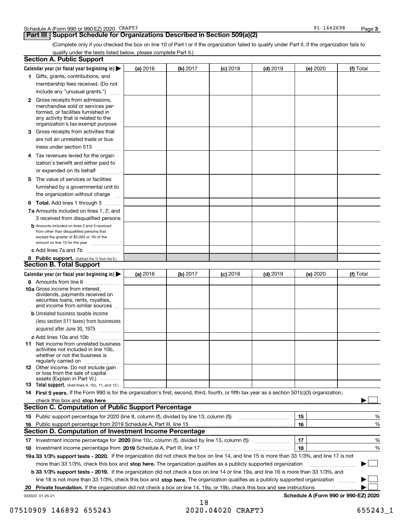## **Part III** | Support Schedule for Organizations Described in Section 509(a)(2)

(Complete only if you checked the box on line 10 of Part I or if the organization failed to qualify under Part II. If the organization fails to qualify under the tests listed below, please complete Part II.)

|     | <b>Section A. Public Support</b>                                                                                                                                                                |          |          |                 |            |          |                                      |
|-----|-------------------------------------------------------------------------------------------------------------------------------------------------------------------------------------------------|----------|----------|-----------------|------------|----------|--------------------------------------|
|     | Calendar year (or fiscal year beginning in) $\blacktriangleright$                                                                                                                               | (a) 2016 | (b) 2017 | <b>(c)</b> 2018 | $(d)$ 2019 | (e) 2020 | (f) Total                            |
|     | 1 Gifts, grants, contributions, and                                                                                                                                                             |          |          |                 |            |          |                                      |
|     | membership fees received. (Do not                                                                                                                                                               |          |          |                 |            |          |                                      |
|     | include any "unusual grants.")                                                                                                                                                                  |          |          |                 |            |          |                                      |
|     | <b>2</b> Gross receipts from admissions,<br>merchandise sold or services per-<br>formed, or facilities furnished in<br>any activity that is related to the<br>organization's tax-exempt purpose |          |          |                 |            |          |                                      |
|     | 3 Gross receipts from activities that                                                                                                                                                           |          |          |                 |            |          |                                      |
|     | are not an unrelated trade or bus-                                                                                                                                                              |          |          |                 |            |          |                                      |
|     | iness under section 513                                                                                                                                                                         |          |          |                 |            |          |                                      |
|     | 4 Tax revenues levied for the organ-                                                                                                                                                            |          |          |                 |            |          |                                      |
|     | ization's benefit and either paid to                                                                                                                                                            |          |          |                 |            |          |                                      |
|     | or expended on its behalf                                                                                                                                                                       |          |          |                 |            |          |                                      |
|     | .                                                                                                                                                                                               |          |          |                 |            |          |                                      |
|     | 5 The value of services or facilities                                                                                                                                                           |          |          |                 |            |          |                                      |
|     | furnished by a governmental unit to                                                                                                                                                             |          |          |                 |            |          |                                      |
|     | the organization without charge                                                                                                                                                                 |          |          |                 |            |          |                                      |
|     | <b>6 Total.</b> Add lines 1 through 5 $\dots$                                                                                                                                                   |          |          |                 |            |          |                                      |
|     | 7a Amounts included on lines 1, 2, and                                                                                                                                                          |          |          |                 |            |          |                                      |
|     | 3 received from disqualified persons                                                                                                                                                            |          |          |                 |            |          |                                      |
|     | <b>b</b> Amounts included on lines 2 and 3 received<br>from other than disqualified persons that<br>exceed the greater of \$5,000 or 1% of the<br>amount on line 13 for the year                |          |          |                 |            |          |                                      |
|     | c Add lines 7a and 7b                                                                                                                                                                           |          |          |                 |            |          |                                      |
|     | 8 Public support. (Subtract line 7c from line 6.)                                                                                                                                               |          |          |                 |            |          |                                      |
|     | <b>Section B. Total Support</b>                                                                                                                                                                 |          |          |                 |            |          |                                      |
|     | Calendar year (or fiscal year beginning in)                                                                                                                                                     | (a) 2016 | (b) 2017 | <b>(c)</b> 2018 | $(d)$ 2019 | (e) 2020 | (f) Total                            |
|     | 9 Amounts from line 6                                                                                                                                                                           |          |          |                 |            |          |                                      |
|     | 10a Gross income from interest,<br>dividends, payments received on<br>securities loans, rents, royalties,<br>and income from similar sources                                                    |          |          |                 |            |          |                                      |
|     | <b>b</b> Unrelated business taxable income                                                                                                                                                      |          |          |                 |            |          |                                      |
|     | (less section 511 taxes) from businesses                                                                                                                                                        |          |          |                 |            |          |                                      |
|     | acquired after June 30, 1975 [10001]                                                                                                                                                            |          |          |                 |            |          |                                      |
|     | c Add lines 10a and 10b                                                                                                                                                                         |          |          |                 |            |          |                                      |
|     | 11 Net income from unrelated business<br>activities not included in line 10b,<br>whether or not the business is<br>regularly carried on                                                         |          |          |                 |            |          |                                      |
|     | <b>12</b> Other income. Do not include gain<br>or loss from the sale of capital<br>assets (Explain in Part VI.)                                                                                 |          |          |                 |            |          |                                      |
|     | 13 Total support. (Add lines 9, 10c, 11, and 12.)                                                                                                                                               |          |          |                 |            |          |                                      |
|     | 14 First 5 years. If the Form 990 is for the organization's first, second, third, fourth, or fifth tax year as a section 501(c)(3) organization,                                                |          |          |                 |            |          |                                      |
|     | check this box and stop here <b>manufacture in the contract of the state of the state of state and stop here manufacture</b>                                                                    |          |          |                 |            |          |                                      |
|     | <b>Section C. Computation of Public Support Percentage</b>                                                                                                                                      |          |          |                 |            |          |                                      |
|     | 15 Public support percentage for 2020 (line 8, column (f), divided by line 13, column (f))                                                                                                      |          |          |                 |            | 15       | %                                    |
| 16. | Public support percentage from 2019 Schedule A, Part III, line 15                                                                                                                               |          |          |                 |            | 16       | %                                    |
|     | <b>Section D. Computation of Investment Income Percentage</b>                                                                                                                                   |          |          |                 |            |          |                                      |
|     |                                                                                                                                                                                                 |          |          |                 |            | 17       |                                      |
| 17  | Investment income percentage for 2020 (line 10c, column (f), divided by line 13, column (f))                                                                                                    |          |          |                 |            |          | %                                    |
|     | 18 Investment income percentage from 2019 Schedule A, Part III, line 17                                                                                                                         |          |          |                 |            | 18       | %                                    |
|     | 19a 33 1/3% support tests - 2020. If the organization did not check the box on line 14, and line 15 is more than 33 1/3%, and line 17 is not                                                    |          |          |                 |            |          |                                      |
|     | more than 33 1/3%, check this box and stop here. The organization qualifies as a publicly supported organization                                                                                |          |          |                 |            |          | $\sim$ 1                             |
|     | b 33 1/3% support tests - 2019. If the organization did not check a box on line 14 or line 19a, and line 16 is more than 33 1/3%, and                                                           |          |          |                 |            |          |                                      |
|     | line 18 is not more than 33 1/3%, check this box and stop here. The organization qualifies as a publicly supported organization                                                                 |          |          |                 |            |          |                                      |
| 20  | Private foundation. If the organization did not check a box on line 14, 19a, or 19b, check this box and see instructions                                                                        |          |          |                 |            |          |                                      |
|     | 032023 01-25-21                                                                                                                                                                                 |          |          |                 |            |          | Schedule A (Form 990 or 990-EZ) 2020 |

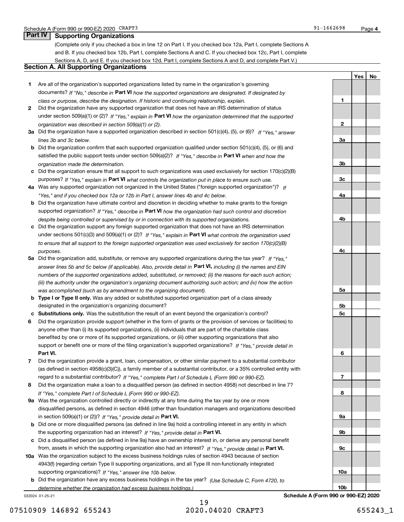**1**

**2**

**3a**

**3b**

**3c**

**4a**

**4b**

**4c**

**5a**

**5b5c**

**6**

**7**

**8**

**9a**

**9b**

**9c**

**10a**

**10b**

**YesNo**

## **Part IV Supporting Organizations**

(Complete only if you checked a box in line 12 on Part I. If you checked box 12a, Part I, complete Sections A and B. If you checked box 12b, Part I, complete Sections A and C. If you checked box 12c, Part I, complete Sections A, D, and E. If you checked box 12d, Part I, complete Sections A and D, and complete Part V.)

## **Section A. All Supporting Organizations**

- **1** Are all of the organization's supported organizations listed by name in the organization's governing documents? If "No," describe in **Part VI** how the supported organizations are designated. If designated by *class or purpose, describe the designation. If historic and continuing relationship, explain.*
- **2** Did the organization have any supported organization that does not have an IRS determination of status under section 509(a)(1) or (2)? If "Yes," explain in Part VI how the organization determined that the supported *organization was described in section 509(a)(1) or (2).*
- **3a** Did the organization have a supported organization described in section 501(c)(4), (5), or (6)? If "Yes," answer *lines 3b and 3c below.*
- **b** Did the organization confirm that each supported organization qualified under section 501(c)(4), (5), or (6) and satisfied the public support tests under section 509(a)(2)? If "Yes," describe in **Part VI** when and how the *organization made the determination.*
- **c**Did the organization ensure that all support to such organizations was used exclusively for section 170(c)(2)(B) purposes? If "Yes," explain in **Part VI** what controls the organization put in place to ensure such use.
- **4a***If* Was any supported organization not organized in the United States ("foreign supported organization")? *"Yes," and if you checked box 12a or 12b in Part I, answer lines 4b and 4c below.*
- **b** Did the organization have ultimate control and discretion in deciding whether to make grants to the foreign supported organization? If "Yes," describe in **Part VI** how the organization had such control and discretion *despite being controlled or supervised by or in connection with its supported organizations.*
- **c** Did the organization support any foreign supported organization that does not have an IRS determination under sections 501(c)(3) and 509(a)(1) or (2)? If "Yes," explain in **Part VI** what controls the organization used *to ensure that all support to the foreign supported organization was used exclusively for section 170(c)(2)(B) purposes.*
- **5a** Did the organization add, substitute, or remove any supported organizations during the tax year? If "Yes," answer lines 5b and 5c below (if applicable). Also, provide detail in **Part VI,** including (i) the names and EIN *numbers of the supported organizations added, substituted, or removed; (ii) the reasons for each such action; (iii) the authority under the organization's organizing document authorizing such action; and (iv) how the action was accomplished (such as by amendment to the organizing document).*
- **b** Type I or Type II only. Was any added or substituted supported organization part of a class already designated in the organization's organizing document?
- **cSubstitutions only.**  Was the substitution the result of an event beyond the organization's control?
- **6** Did the organization provide support (whether in the form of grants or the provision of services or facilities) to **Part VI.** *If "Yes," provide detail in* support or benefit one or more of the filing organization's supported organizations? anyone other than (i) its supported organizations, (ii) individuals that are part of the charitable class benefited by one or more of its supported organizations, or (iii) other supporting organizations that also
- **7**Did the organization provide a grant, loan, compensation, or other similar payment to a substantial contributor *If "Yes," complete Part I of Schedule L (Form 990 or 990-EZ).* regard to a substantial contributor? (as defined in section 4958(c)(3)(C)), a family member of a substantial contributor, or a 35% controlled entity with
- **8** Did the organization make a loan to a disqualified person (as defined in section 4958) not described in line 7? *If "Yes," complete Part I of Schedule L (Form 990 or 990-EZ).*
- **9a** Was the organization controlled directly or indirectly at any time during the tax year by one or more in section 509(a)(1) or (2))? If "Yes," *provide detail in* <code>Part VI.</code> disqualified persons, as defined in section 4946 (other than foundation managers and organizations described
- **b**the supporting organization had an interest? If "Yes," provide detail in P**art VI**. Did one or more disqualified persons (as defined in line 9a) hold a controlling interest in any entity in which
- **c**Did a disqualified person (as defined in line 9a) have an ownership interest in, or derive any personal benefit from, assets in which the supporting organization also had an interest? If "Yes," provide detail in P**art VI.**
- **10a** Was the organization subject to the excess business holdings rules of section 4943 because of section supporting organizations)? If "Yes," answer line 10b below. 4943(f) (regarding certain Type II supporting organizations, and all Type III non-functionally integrated
- **b** Did the organization have any excess business holdings in the tax year? (Use Schedule C, Form 4720, to *determine whether the organization had excess business holdings.)*

032024 01-25-21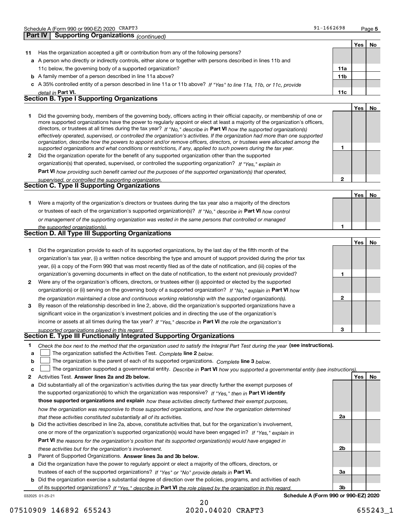| כוד<br>LJ | $91 - 1662698$ | Page 5 |
|-----------|----------------|--------|
|           |                |        |

**2**

**No**

|    | .<br>continued.                                                                                                                                                                                                                                                                                                                                                                                                                                                                                                                                                                                                                                      |                 |       |    |
|----|------------------------------------------------------------------------------------------------------------------------------------------------------------------------------------------------------------------------------------------------------------------------------------------------------------------------------------------------------------------------------------------------------------------------------------------------------------------------------------------------------------------------------------------------------------------------------------------------------------------------------------------------------|-----------------|-------|----|
|    |                                                                                                                                                                                                                                                                                                                                                                                                                                                                                                                                                                                                                                                      |                 | Yes   | No |
| 11 | Has the organization accepted a gift or contribution from any of the following persons?                                                                                                                                                                                                                                                                                                                                                                                                                                                                                                                                                              |                 |       |    |
|    | a A person who directly or indirectly controls, either alone or together with persons described in lines 11b and                                                                                                                                                                                                                                                                                                                                                                                                                                                                                                                                     |                 |       |    |
|    | 11c below, the governing body of a supported organization?                                                                                                                                                                                                                                                                                                                                                                                                                                                                                                                                                                                           | 11a             |       |    |
|    | <b>b</b> A family member of a person described in line 11a above?                                                                                                                                                                                                                                                                                                                                                                                                                                                                                                                                                                                    | 11 <sub>b</sub> |       |    |
|    | c A 35% controlled entity of a person described in line 11a or 11b above? If "Yes" to line 11a, 11b, or 11c, provide                                                                                                                                                                                                                                                                                                                                                                                                                                                                                                                                 |                 |       |    |
|    | detail in Part VI.                                                                                                                                                                                                                                                                                                                                                                                                                                                                                                                                                                                                                                   | 11c             |       |    |
|    | <b>Section B. Type I Supporting Organizations</b>                                                                                                                                                                                                                                                                                                                                                                                                                                                                                                                                                                                                    |                 |       |    |
|    |                                                                                                                                                                                                                                                                                                                                                                                                                                                                                                                                                                                                                                                      |                 | Yes l | No |
|    | Did the governing body, members of the governing body, officers acting in their official capacity, or membership of one or<br>more supported organizations have the power to regularly appoint or elect at least a majority of the organization's officers,<br>directors, or trustees at all times during the tax year? If "No," describe in Part VI how the supported organization(s)<br>effectively operated, supervised, or controlled the organization's activities. If the organization had more than one supported<br>organization, describe how the powers to appoint and/or remove officers, directors, or trustees were allocated among the |                 |       |    |
|    | supported organizations and what conditions or restrictions, if any, applied to such powers during the tax year.                                                                                                                                                                                                                                                                                                                                                                                                                                                                                                                                     |                 |       |    |
| 2  | Did the organization operate for the benefit of any supported organization other than the supported                                                                                                                                                                                                                                                                                                                                                                                                                                                                                                                                                  |                 |       |    |
|    |                                                                                                                                                                                                                                                                                                                                                                                                                                                                                                                                                                                                                                                      |                 |       |    |

*If "Yes," explain in* organization(s) that operated, supervised, or controlled the supporting organization?

**Part VI**  *how providing such benefit carried out the purposes of the supported organization(s) that operated,*

| supervised, or controlled the supporting organization. |  |
|--------------------------------------------------------|--|
| Section C. Type II Supporting Organizations            |  |

|                                                                                                                  | Yes |
|------------------------------------------------------------------------------------------------------------------|-----|
| Were a majority of the organization's directors or trustees during the tax year also a majority of the directors |     |
| or trustees of each of the organization's supported organization(s)? If "No," describe in Part VI how control    |     |
| or management of the supporting organization was vested in the same persons that controlled or managed           |     |
| the supported organization(s).                                                                                   |     |

|  | <b>Section D. All Type III Supporting Organizations</b> |
|--|---------------------------------------------------------|

|                |                                                                                                                        |   | Yes |  |
|----------------|------------------------------------------------------------------------------------------------------------------------|---|-----|--|
|                | Did the organization provide to each of its supported organizations, by the last day of the fifth month of the         |   |     |  |
|                | organization's tax year, (i) a written notice describing the type and amount of support provided during the prior tax  |   |     |  |
|                | year, (ii) a copy of the Form 990 that was most recently filed as of the date of notification, and (iii) copies of the |   |     |  |
|                | organization's governing documents in effect on the date of notification, to the extent not previously provided?       |   |     |  |
| $\overline{2}$ | Were any of the organization's officers, directors, or trustees either (i) appointed or elected by the supported       |   |     |  |
|                | organization(s) or (ii) serving on the governing body of a supported organization? If "No," explain in Part VI how     |   |     |  |
|                | the organization maintained a close and continuous working relationship with the supported organization(s).            | 2 |     |  |
| 3              | By reason of the relationship described in line 2, above, did the organization's supported organizations have a        |   |     |  |
|                | significant voice in the organization's investment policies and in directing the use of the organization's             |   |     |  |
|                | income or assets at all times during the tax year? If "Yes," describe in Part VI the role the organization's           |   |     |  |
|                | supported organizations played in this regard.                                                                         | 3 |     |  |

## *supported organizations played in this regard.* **Section E. Type III Functionally Integrated Supporting Organizations**

|  | Check the box next to the method that the organization used to satisfy the Integral Part Test during the year (see instructions). |  |  |  |
|--|-----------------------------------------------------------------------------------------------------------------------------------|--|--|--|
|--|-----------------------------------------------------------------------------------------------------------------------------------|--|--|--|

**alinupy** The organization satisfied the Activities Test. Complete line 2 below.

|  |  |  |  | <b>b</b> $\Box$ The organization is the parent of each of its supported organizations. Complete line 3 below. |  |
|--|--|--|--|---------------------------------------------------------------------------------------------------------------|--|
|--|--|--|--|---------------------------------------------------------------------------------------------------------------|--|

|  |  | c $\Box$ The organization supported a governmental entity. Describe in Part VI how you supported a governmental entity (see instructions). |  |  |  |  |
|--|--|--------------------------------------------------------------------------------------------------------------------------------------------|--|--|--|--|
|--|--|--------------------------------------------------------------------------------------------------------------------------------------------|--|--|--|--|

- **2Answer lines 2a and 2b below. Yes No** Activities Test.
- **a** Did substantially all of the organization's activities during the tax year directly further the exempt purposes of the supported organization(s) to which the organization was responsive? If "Yes," then in **Part VI identify those supported organizations and explain**  *how these activities directly furthered their exempt purposes, how the organization was responsive to those supported organizations, and how the organization determined that these activities constituted substantially all of its activities.*
- **b** Did the activities described in line 2a, above, constitute activities that, but for the organization's involvement, **Part VI**  *the reasons for the organization's position that its supported organization(s) would have engaged in* one or more of the organization's supported organization(s) would have been engaged in? If "Yes," e*xplain in these activities but for the organization's involvement.*
- **3** Parent of Supported Organizations. Answer lines 3a and 3b below.

**a** Did the organization have the power to regularly appoint or elect a majority of the officers, directors, or trustees of each of the supported organizations? If "Yes" or "No" provide details in **Part VI.** 

**b** Did the organization exercise a substantial degree of direction over the policies, programs, and activities of each of its supported organizations? If "Yes," describe in Part VI the role played by the organization in this regard.

032025 01-25-21

## 20 07510909 146892 655243 2020.04020 CRAFT3 655243 1

**2a**

**2b**

**3a**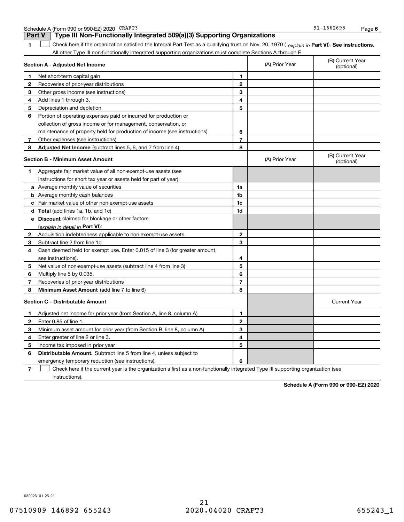|              | All other Type III non-functionally integrated supporting organizations must complete Sections A through E. |                |                |                                |
|--------------|-------------------------------------------------------------------------------------------------------------|----------------|----------------|--------------------------------|
|              | Section A - Adjusted Net Income                                                                             |                | (A) Prior Year | (B) Current Year<br>(optional) |
| 1            | Net short-term capital gain                                                                                 | 1              |                |                                |
| $\mathbf{2}$ | Recoveries of prior-year distributions                                                                      | $\mathbf{2}$   |                |                                |
| 3            | Other gross income (see instructions)                                                                       | 3              |                |                                |
| 4            | Add lines 1 through 3.                                                                                      | 4              |                |                                |
| 5            | Depreciation and depletion                                                                                  | 5              |                |                                |
| 6            | Portion of operating expenses paid or incurred for production or                                            |                |                |                                |
|              | collection of gross income or for management, conservation, or                                              |                |                |                                |
|              | maintenance of property held for production of income (see instructions)                                    | 6              |                |                                |
| 7            | Other expenses (see instructions)                                                                           | $\overline{7}$ |                |                                |
| 8            | Adjusted Net Income (subtract lines 5, 6, and 7 from line 4)                                                | 8              |                |                                |
|              | <b>Section B - Minimum Asset Amount</b>                                                                     |                | (A) Prior Year | (B) Current Year<br>(optional) |
| 1            | Aggregate fair market value of all non-exempt-use assets (see                                               |                |                |                                |
|              | instructions for short tax year or assets held for part of year):                                           |                |                |                                |
|              | <b>a</b> Average monthly value of securities                                                                | 1a             |                |                                |
|              | <b>b</b> Average monthly cash balances                                                                      | 1b             |                |                                |
|              | c Fair market value of other non-exempt-use assets                                                          | 1c             |                |                                |
|              | <b>d</b> Total (add lines 1a, 1b, and 1c)                                                                   | 1d             |                |                                |
|              | e Discount claimed for blockage or other factors                                                            |                |                |                                |
|              | (explain in detail in Part VI):                                                                             |                |                |                                |
|              | <b>2</b> Acquisition indebtedness applicable to non-exempt-use assets                                       | $\mathbf{2}$   |                |                                |
| 3            | Subtract line 2 from line 1d.                                                                               | 3              |                |                                |
| 4            | Cash deemed held for exempt use. Enter 0.015 of line 3 (for greater amount,                                 |                |                |                                |
|              | see instructions).                                                                                          | 4              |                |                                |
| 5            | Net value of non-exempt-use assets (subtract line 4 from line 3)                                            | 5              |                |                                |
| 6            | Multiply line 5 by 0.035.                                                                                   | 6              |                |                                |
| 7            | Recoveries of prior-year distributions                                                                      | $\overline{7}$ |                |                                |
| 8            | Minimum Asset Amount (add line 7 to line 6)                                                                 | 8              |                |                                |
|              | <b>Section C - Distributable Amount</b>                                                                     |                |                | <b>Current Year</b>            |
| 1            | Adjusted net income for prior year (from Section A, line 8, column A)                                       | 1              |                |                                |
| $\mathbf{2}$ | Enter 0.85 of line 1.                                                                                       | $\mathbf{2}$   |                |                                |
| з            | Minimum asset amount for prior year (from Section B, line 8, column A)                                      | 3              |                |                                |
| 4            | Enter greater of line 2 or line 3.                                                                          | 4              |                |                                |
| 5            | Income tax imposed in prior year                                                                            | 5              |                |                                |
| 6            | <b>Distributable Amount.</b> Subtract line 5 from line 4, unless subject to                                 |                |                |                                |
|              | emergency temporary reduction (see instructions).                                                           | 6              |                |                                |
|              |                                                                                                             |                |                |                                |

1 Check here if the organization satisfied the Integral Part Test as a qualifying trust on Nov. 20, 1970 (explain in Part VI). See instructions.

**7**Check here if the current year is the organization's first as a non-functionally integrated Type III supporting organization (see instructions).

**Schedule A (Form 990 or 990-EZ) 2020**

032026 01-25-21

Schedule A (Form 990 or 990-EZ) 2020 Page CRAFT3

**1**

**Part V Type III Non-Functionally Integrated 509(a)(3) Supporting Organizations**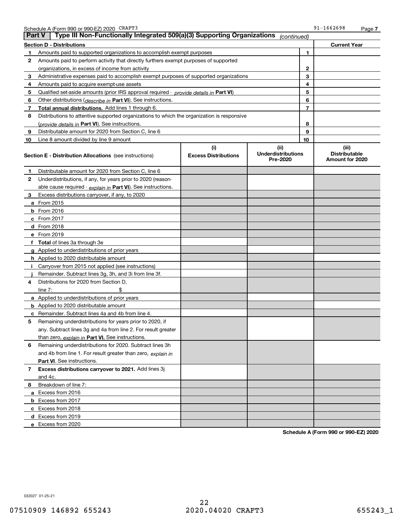| <b>Part V</b> | Schedule A (Form 990 or 990-EZ) 2020 CRAFT3<br>Type III Non-Functionally Integrated 509(a)(3) Supporting Organizations |                                    | (continued)                                   | 91-1662698                                       | Page 7 |
|---------------|------------------------------------------------------------------------------------------------------------------------|------------------------------------|-----------------------------------------------|--------------------------------------------------|--------|
|               | <b>Section D - Distributions</b>                                                                                       |                                    |                                               | <b>Current Year</b>                              |        |
| $\mathbf 1$   | Amounts paid to supported organizations to accomplish exempt purposes                                                  |                                    |                                               | 1                                                |        |
| 2             | Amounts paid to perform activity that directly furthers exempt purposes of supported                                   |                                    |                                               |                                                  |        |
|               | organizations, in excess of income from activity                                                                       |                                    |                                               | $\mathbf{2}$                                     |        |
| 3             | Administrative expenses paid to accomplish exempt purposes of supported organizations                                  |                                    |                                               | 3                                                |        |
| 4             | Amounts paid to acquire exempt-use assets                                                                              |                                    |                                               | 4                                                |        |
| 5             | Qualified set aside amounts (prior IRS approval required - provide details in Part VI)                                 |                                    |                                               | 5                                                |        |
| 6             | Other distributions ( <i>describe in</i> Part VI). See instructions.                                                   |                                    |                                               | 6                                                |        |
| $\mathbf{7}$  | Total annual distributions. Add lines 1 through 6.                                                                     |                                    |                                               | 7                                                |        |
| 8             | Distributions to attentive supported organizations to which the organization is responsive                             |                                    |                                               |                                                  |        |
|               | (provide details in Part VI). See instructions.                                                                        |                                    |                                               | 8                                                |        |
| 9             | Distributable amount for 2020 from Section C, line 6                                                                   |                                    |                                               | 9                                                |        |
| 10            | Line 8 amount divided by line 9 amount                                                                                 |                                    |                                               | 10                                               |        |
|               | <b>Section E - Distribution Allocations</b> (see instructions)                                                         | (i)<br><b>Excess Distributions</b> | (ii)<br><b>Underdistributions</b><br>Pre-2020 | (iii)<br><b>Distributable</b><br>Amount for 2020 |        |
| 1.            | Distributable amount for 2020 from Section C, line 6                                                                   |                                    |                                               |                                                  |        |
| 2             | Underdistributions, if any, for years prior to 2020 (reason-                                                           |                                    |                                               |                                                  |        |
|               | able cause required - explain in Part VI). See instructions.                                                           |                                    |                                               |                                                  |        |
| 3             | Excess distributions carryover, if any, to 2020                                                                        |                                    |                                               |                                                  |        |
|               | <b>a</b> From 2015                                                                                                     |                                    |                                               |                                                  |        |
|               | $b$ From 2016                                                                                                          |                                    |                                               |                                                  |        |
|               | c From 2017                                                                                                            |                                    |                                               |                                                  |        |
|               | d From 2018                                                                                                            |                                    |                                               |                                                  |        |
|               | e From 2019                                                                                                            |                                    |                                               |                                                  |        |
|               | f Total of lines 3a through 3e                                                                                         |                                    |                                               |                                                  |        |
|               | g Applied to underdistributions of prior years                                                                         |                                    |                                               |                                                  |        |
|               | <b>h</b> Applied to 2020 distributable amount                                                                          |                                    |                                               |                                                  |        |
| j.            | Carryover from 2015 not applied (see instructions)                                                                     |                                    |                                               |                                                  |        |
|               | Remainder. Subtract lines 3g, 3h, and 3i from line 3f.                                                                 |                                    |                                               |                                                  |        |
| 4             | Distributions for 2020 from Section D,                                                                                 |                                    |                                               |                                                  |        |
|               | line $7:$<br>\$                                                                                                        |                                    |                                               |                                                  |        |
|               | a Applied to underdistributions of prior years                                                                         |                                    |                                               |                                                  |        |
|               | <b>b</b> Applied to 2020 distributable amount                                                                          |                                    |                                               |                                                  |        |
|               | <b>c</b> Remainder. Subtract lines 4a and 4b from line 4.                                                              |                                    |                                               |                                                  |        |
| 5             | Remaining underdistributions for years prior to 2020, if                                                               |                                    |                                               |                                                  |        |
|               | any. Subtract lines 3g and 4a from line 2. For result greater                                                          |                                    |                                               |                                                  |        |
|               | than zero, explain in Part VI. See instructions.                                                                       |                                    |                                               |                                                  |        |
| 6             | Remaining underdistributions for 2020. Subtract lines 3h                                                               |                                    |                                               |                                                  |        |
|               | and 4b from line 1. For result greater than zero, explain in                                                           |                                    |                                               |                                                  |        |
|               | <b>Part VI.</b> See instructions.                                                                                      |                                    |                                               |                                                  |        |
| 7             | Excess distributions carryover to 2021. Add lines 3j                                                                   |                                    |                                               |                                                  |        |
|               | and 4c.                                                                                                                |                                    |                                               |                                                  |        |
| 8             | Breakdown of line 7:                                                                                                   |                                    |                                               |                                                  |        |
|               | a Excess from 2016                                                                                                     |                                    |                                               |                                                  |        |
|               | <b>b</b> Excess from 2017                                                                                              |                                    |                                               |                                                  |        |
|               | c Excess from 2018                                                                                                     |                                    |                                               |                                                  |        |
|               | d Excess from 2019                                                                                                     |                                    |                                               |                                                  |        |
|               | e Excess from 2020                                                                                                     |                                    |                                               |                                                  |        |

**Schedule A (Form 990 or 990-EZ) 2020**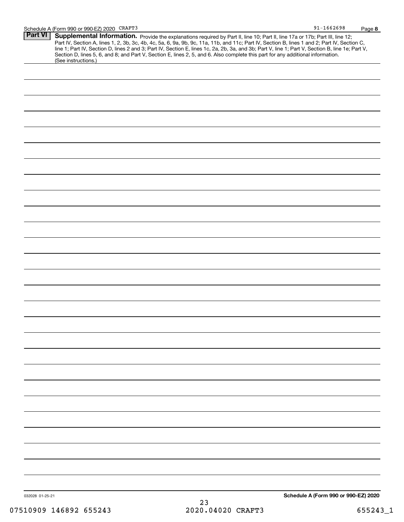| <b>Part VI</b>  | Supplemental Information. Provide the explanations required by Part II, line 10; Part II, line 17a or 17b; Part III, line 12;                                                                                                                                                                    |  |
|-----------------|--------------------------------------------------------------------------------------------------------------------------------------------------------------------------------------------------------------------------------------------------------------------------------------------------|--|
|                 | Part IV, Section A, lines 1, 2, 3b, 3c, 4b, 4c, 5a, 6, 9a, 9b, 9c, 11a, 11b, and 11c; Part IV, Section B, lines 1 and 2; Part IV, Section C,<br>line 1; Part IV, Section D, lines 2 and 3; Part IV, Section E, lines 1c, 2a, 2b, 3a, and 3b; Part V, line 1; Part V, Section B, line 1e; Part V, |  |
|                 | Section D, lines 5, 6, and 8; and Part V, Section E, lines 2, 5, and 6. Also complete this part for any additional information.<br>(See instructions.)                                                                                                                                           |  |
|                 |                                                                                                                                                                                                                                                                                                  |  |
|                 |                                                                                                                                                                                                                                                                                                  |  |
|                 |                                                                                                                                                                                                                                                                                                  |  |
|                 |                                                                                                                                                                                                                                                                                                  |  |
|                 |                                                                                                                                                                                                                                                                                                  |  |
|                 |                                                                                                                                                                                                                                                                                                  |  |
|                 |                                                                                                                                                                                                                                                                                                  |  |
|                 |                                                                                                                                                                                                                                                                                                  |  |
|                 |                                                                                                                                                                                                                                                                                                  |  |
|                 |                                                                                                                                                                                                                                                                                                  |  |
|                 |                                                                                                                                                                                                                                                                                                  |  |
|                 |                                                                                                                                                                                                                                                                                                  |  |
|                 |                                                                                                                                                                                                                                                                                                  |  |
|                 |                                                                                                                                                                                                                                                                                                  |  |
|                 |                                                                                                                                                                                                                                                                                                  |  |
|                 |                                                                                                                                                                                                                                                                                                  |  |
|                 |                                                                                                                                                                                                                                                                                                  |  |
|                 |                                                                                                                                                                                                                                                                                                  |  |
|                 |                                                                                                                                                                                                                                                                                                  |  |
|                 |                                                                                                                                                                                                                                                                                                  |  |
|                 |                                                                                                                                                                                                                                                                                                  |  |
|                 |                                                                                                                                                                                                                                                                                                  |  |
|                 |                                                                                                                                                                                                                                                                                                  |  |
|                 |                                                                                                                                                                                                                                                                                                  |  |
|                 |                                                                                                                                                                                                                                                                                                  |  |
|                 |                                                                                                                                                                                                                                                                                                  |  |
|                 |                                                                                                                                                                                                                                                                                                  |  |
|                 |                                                                                                                                                                                                                                                                                                  |  |
|                 |                                                                                                                                                                                                                                                                                                  |  |
|                 |                                                                                                                                                                                                                                                                                                  |  |
|                 |                                                                                                                                                                                                                                                                                                  |  |
|                 |                                                                                                                                                                                                                                                                                                  |  |
|                 |                                                                                                                                                                                                                                                                                                  |  |
|                 |                                                                                                                                                                                                                                                                                                  |  |
|                 |                                                                                                                                                                                                                                                                                                  |  |
| 032028 01-25-21 | Schedule A (Form 990 or 990-EZ) 2020<br>っっ                                                                                                                                                                                                                                                       |  |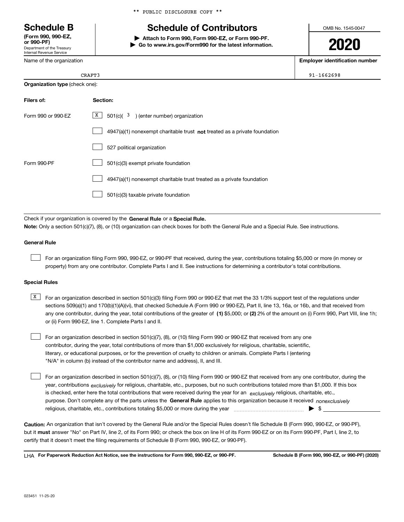Department of the Treasury Internal Revenue Service **(Form 990, 990-EZ, or 990-PF)**

Name of the organization

\*\* PUBLIC DISCLOSURE COPY \*\*

## **Schedule B Schedule of Contributors**

**| Attach to Form 990, Form 990-EZ, or Form 990-PF. | Go to www.irs.gov/Form990 for the latest information.** OMB No. 1545-0047

**2020**

**Employer identification number**

|                                       | CRAFT3 |
|---------------------------------------|--------|
| <b>Organization type (check one):</b> |        |

| Filers of:         | Section:                                                                  |
|--------------------|---------------------------------------------------------------------------|
| Form 990 or 990-EZ | $\mathbf{x}$<br>$501(c)$ $(3)$ (enter number) organization                |
|                    | 4947(a)(1) nonexempt charitable trust not treated as a private foundation |
|                    | 527 political organization                                                |
| Form 990-PF        | 501(c)(3) exempt private foundation                                       |
|                    | 4947(a)(1) nonexempt charitable trust treated as a private foundation     |
|                    | 501(c)(3) taxable private foundation                                      |

Check if your organization is covered by the **General Rule** or a **Special Rule. Note:**  Only a section 501(c)(7), (8), or (10) organization can check boxes for both the General Rule and a Special Rule. See instructions.

## **General Rule**

 $\mathcal{L}^{\text{max}}$ 

For an organization filing Form 990, 990-EZ, or 990-PF that received, during the year, contributions totaling \$5,000 or more (in money or property) from any one contributor. Complete Parts I and II. See instructions for determining a contributor's total contributions.

### **Special Rules**

any one contributor, during the year, total contributions of the greater of  $\,$  (1) \$5,000; or **(2)** 2% of the amount on (i) Form 990, Part VIII, line 1h;  $\overline{X}$  For an organization described in section 501(c)(3) filing Form 990 or 990-EZ that met the 33 1/3% support test of the regulations under sections 509(a)(1) and 170(b)(1)(A)(vi), that checked Schedule A (Form 990 or 990-EZ), Part II, line 13, 16a, or 16b, and that received from or (ii) Form 990-EZ, line 1. Complete Parts I and II.

For an organization described in section 501(c)(7), (8), or (10) filing Form 990 or 990-EZ that received from any one contributor, during the year, total contributions of more than \$1,000 exclusively for religious, charitable, scientific, literary, or educational purposes, or for the prevention of cruelty to children or animals. Complete Parts I (entering "N/A" in column (b) instead of the contributor name and address), II, and III.  $\mathcal{L}^{\text{max}}$ 

purpose. Don't complete any of the parts unless the **General Rule** applies to this organization because it received *nonexclusively* year, contributions <sub>exclusively</sub> for religious, charitable, etc., purposes, but no such contributions totaled more than \$1,000. If this box is checked, enter here the total contributions that were received during the year for an  $\;$ exclusively religious, charitable, etc., For an organization described in section 501(c)(7), (8), or (10) filing Form 990 or 990-EZ that received from any one contributor, during the religious, charitable, etc., contributions totaling \$5,000 or more during the year  $\Box$ — $\Box$  =  $\Box$  $\mathcal{L}^{\text{max}}$ 

**Caution:**  An organization that isn't covered by the General Rule and/or the Special Rules doesn't file Schedule B (Form 990, 990-EZ, or 990-PF),  **must** but it answer "No" on Part IV, line 2, of its Form 990; or check the box on line H of its Form 990-EZ or on its Form 990-PF, Part I, line 2, to certify that it doesn't meet the filing requirements of Schedule B (Form 990, 990-EZ, or 990-PF).

**For Paperwork Reduction Act Notice, see the instructions for Form 990, 990-EZ, or 990-PF. Schedule B (Form 990, 990-EZ, or 990-PF) (2020)** LHA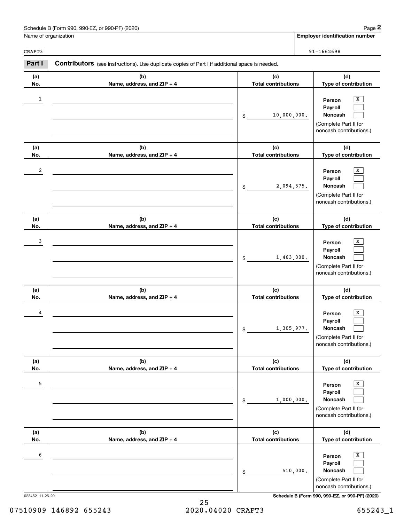| Schedule B (Form 990, 990-EZ, or 990-PF) (2020) | Paɑe                           |
|-------------------------------------------------|--------------------------------|
| Name of organization                            | Emplover identification number |

CRAFT3

|                         | Schedule B (Form 990, 990-EZ, or 990-PF) (2020)                                                |                                   | Page 2                                                                                |
|-------------------------|------------------------------------------------------------------------------------------------|-----------------------------------|---------------------------------------------------------------------------------------|
|                         | Name of organization                                                                           |                                   | <b>Employer identification number</b>                                                 |
| CRAFT3                  |                                                                                                |                                   | $91 - 1662698$                                                                        |
| Part I                  | Contributors (see instructions). Use duplicate copies of Part I if additional space is needed. |                                   |                                                                                       |
| (a)<br>No.              | (b)<br>Name, address, and ZIP + 4                                                              | (c)<br><b>Total contributions</b> | (d)<br>Type of contribution                                                           |
| 1                       |                                                                                                | 10,000,000.<br>\$                 | х<br>Person<br>Payroll<br>Noncash<br>(Complete Part II for<br>noncash contributions.) |
| (a)<br>No.              | (b)<br>Name, address, and ZIP + 4                                                              | (c)<br><b>Total contributions</b> | (d)<br>Type of contribution                                                           |
| $\overline{\mathbf{c}}$ |                                                                                                | 2,094,575.<br>\$                  | х<br>Person<br>Payroll<br>Noncash<br>(Complete Part II for<br>noncash contributions.) |
| (a)<br>No.              | (b)<br>Name, address, and ZIP + 4                                                              | (c)<br><b>Total contributions</b> | (d)<br>Type of contribution                                                           |
| 3                       |                                                                                                | 1,463,000.<br>\$                  | х<br>Person<br>Payroll<br>Noncash<br>(Complete Part II for<br>noncash contributions.) |
| (a)<br>No.              | (b)<br>Name, address, and ZIP + 4                                                              | (c)<br><b>Total contributions</b> | (d)<br>Type of contribution                                                           |
| 4                       |                                                                                                | 1,305,977.<br>\$                  | x<br>Person<br>Payroll<br>Noncash<br>(Complete Part II for<br>noncash contributions.) |
| (a)<br>No.              | (b)<br>Name, address, and ZIP + 4                                                              | (c)<br><b>Total contributions</b> | (d)<br>Type of contribution                                                           |
| 5                       |                                                                                                | 1,000,000.<br>\$                  | X<br>Person<br>Payroll<br>Noncash<br>(Complete Part II for<br>noncash contributions.) |
| (a)<br>No.              | (b)<br>Name, address, and ZIP + 4                                                              | (c)<br><b>Total contributions</b> | (d)<br>Type of contribution                                                           |
| 6                       |                                                                                                | 510,000.<br>\$                    | X<br>Person<br>Payroll<br>Noncash<br>(Complete Part II for<br>noncash contributions.) |

023452 11-25-20 **Schedule B (Form 990, 990-EZ, or 990-PF) (2020)**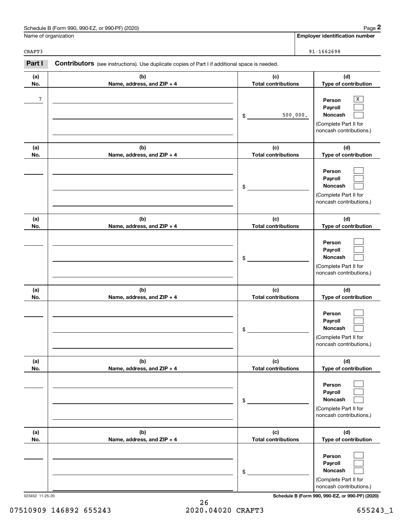| Schedule B (Form 990, 990-EZ, or 990-PF) (2020) | Paɑe                           |
|-------------------------------------------------|--------------------------------|
| Name of organization                            | Emplover identification number |

CRAFT3

|                      | Schedule B (Form 990, 990-EZ, or 990-PF) (2020)                                                |                                   |          | Page 2                                                                                |
|----------------------|------------------------------------------------------------------------------------------------|-----------------------------------|----------|---------------------------------------------------------------------------------------|
| Name of organization |                                                                                                |                                   |          | <b>Employer identification number</b>                                                 |
| CRAFT3               |                                                                                                |                                   |          | $91 - 1662698$                                                                        |
| Part I               | Contributors (see instructions). Use duplicate copies of Part I if additional space is needed. |                                   |          |                                                                                       |
| (a)<br>No.           | (b)<br>Name, address, and ZIP + 4                                                              | (c)<br><b>Total contributions</b> |          | (d)<br>Type of contribution                                                           |
| $7\phantom{.0}$      |                                                                                                | \$                                | 500,000. | х<br>Person<br>Payroll<br>Noncash<br>(Complete Part II for<br>noncash contributions.) |
| (a)<br>No.           | (b)<br>Name, address, and ZIP + 4                                                              | (c)<br><b>Total contributions</b> |          | (d)<br>Type of contribution                                                           |
|                      |                                                                                                | \$                                |          | Person<br>Payroll<br>Noncash<br>(Complete Part II for<br>noncash contributions.)      |
| (a)<br>No.           | (b)<br>Name, address, and ZIP + 4                                                              | (c)<br><b>Total contributions</b> |          | (d)<br>Type of contribution                                                           |
|                      |                                                                                                | \$                                |          | Person<br>Payroll<br>Noncash<br>(Complete Part II for<br>noncash contributions.)      |
| (a)<br>No.           | (b)<br>Name, address, and ZIP + 4                                                              | (c)<br><b>Total contributions</b> |          | (d)<br>Type of contribution                                                           |
|                      |                                                                                                | \$                                |          | Person<br>Payroll<br>Noncash<br>(Complete Part II for<br>noncash contributions.)      |
| (a)<br>No.           | (b)<br>Name, address, and ZIP + 4                                                              | (c)<br><b>Total contributions</b> |          | (d)<br>Type of contribution                                                           |
|                      |                                                                                                | \$                                |          | Person<br>Payroll<br>Noncash<br>(Complete Part II for<br>noncash contributions.)      |
| (a)<br>No.           | (b)<br>Name, address, and ZIP + 4                                                              | (c)<br><b>Total contributions</b> |          | (d)<br>Type of contribution                                                           |
|                      |                                                                                                | \$                                |          | Person<br>Payroll<br>Noncash<br>(Complete Part II for<br>noncash contributions.)      |

023452 11-25-20 **Schedule B (Form 990, 990-EZ, or 990-PF) (2020)**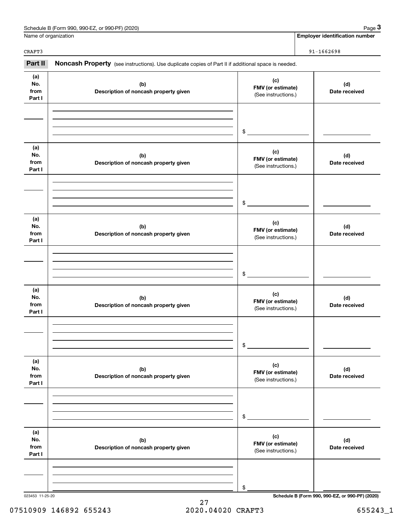| Schedule B (Form 990, 990-EZ, or 990-PF) (2020)<br>Page |
|---------------------------------------------------------|
|---------------------------------------------------------|

| Name of organization<br>CRAFT3<br>$91 - 1662698$<br>Part II<br>Noncash Property (see instructions). Use duplicate copies of Part II if additional space is needed.<br>(a)<br>(c)<br>No.<br>(b)<br>FMV (or estimate)<br>from<br>Description of noncash property given<br>(See instructions.)<br>Part I<br>\$<br>(a)<br>(c)<br>No.<br>(b)<br>FMV (or estimate)<br>from<br>Description of noncash property given<br>(See instructions.)<br>Part I | <b>Employer identification number</b><br>(d)<br>Date received |
|------------------------------------------------------------------------------------------------------------------------------------------------------------------------------------------------------------------------------------------------------------------------------------------------------------------------------------------------------------------------------------------------------------------------------------------------|---------------------------------------------------------------|
|                                                                                                                                                                                                                                                                                                                                                                                                                                                |                                                               |
|                                                                                                                                                                                                                                                                                                                                                                                                                                                |                                                               |
|                                                                                                                                                                                                                                                                                                                                                                                                                                                |                                                               |
|                                                                                                                                                                                                                                                                                                                                                                                                                                                |                                                               |
|                                                                                                                                                                                                                                                                                                                                                                                                                                                |                                                               |
|                                                                                                                                                                                                                                                                                                                                                                                                                                                | (d)<br>Date received                                          |
| \$                                                                                                                                                                                                                                                                                                                                                                                                                                             |                                                               |
| (a)<br>(c)<br>No.<br>(b)<br>FMV (or estimate)<br>from<br>Description of noncash property given<br>(See instructions.)<br>Part I                                                                                                                                                                                                                                                                                                                | (d)<br>Date received                                          |
| \$                                                                                                                                                                                                                                                                                                                                                                                                                                             |                                                               |
| (a)<br>(c)<br>No.<br>(b)<br>FMV (or estimate)<br>from<br>Description of noncash property given<br>(See instructions.)<br>Part I                                                                                                                                                                                                                                                                                                                | (d)<br>Date received                                          |
| \$                                                                                                                                                                                                                                                                                                                                                                                                                                             |                                                               |
| (a)<br>(c)<br>No.<br>(b)<br>FMV (or estimate)<br>from<br>Description of noncash property given<br>(See instructions.)<br>Part I                                                                                                                                                                                                                                                                                                                | (d)<br>Date received                                          |
| \$                                                                                                                                                                                                                                                                                                                                                                                                                                             |                                                               |
| (a)<br>(c)<br>No.<br>(b)<br>FMV (or estimate)<br>from<br>Description of noncash property given<br>(See instructions.)<br>Part I                                                                                                                                                                                                                                                                                                                | (d)<br>Date received                                          |
| \$                                                                                                                                                                                                                                                                                                                                                                                                                                             |                                                               |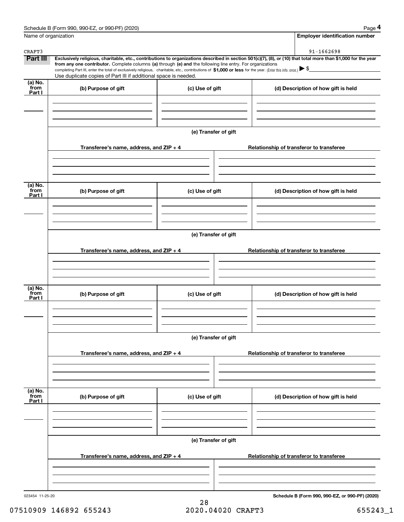|                             | Schedule B (Form 990, 990-EZ, or 990-PF) (2020)                                                                                                                                                                                                                                                 |                      | Page 4                                          |
|-----------------------------|-------------------------------------------------------------------------------------------------------------------------------------------------------------------------------------------------------------------------------------------------------------------------------------------------|----------------------|-------------------------------------------------|
|                             | Name of organization                                                                                                                                                                                                                                                                            |                      | <b>Employer identification number</b>           |
| CRAFT3                      |                                                                                                                                                                                                                                                                                                 |                      | 91-1662698                                      |
| Part III                    | Exclusively religious, charitable, etc., contributions to organizations described in section 501(c)(7), (8), or (10) that total more than \$1,000 for the year                                                                                                                                  |                      |                                                 |
|                             | from any one contributor. Complete columns (a) through (e) and the following line entry. For organizations<br>completing Part III, enter the total of exclusively religious, charitable, etc., contributions of \$1,000 or less for the year. (Enter this info. once.) $\blacktriangleright$ \$ |                      |                                                 |
|                             | Use duplicate copies of Part III if additional space is needed.                                                                                                                                                                                                                                 |                      |                                                 |
| $(a)$ No.<br>from<br>Part I | (b) Purpose of gift                                                                                                                                                                                                                                                                             | (c) Use of gift      | (d) Description of how gift is held             |
|                             |                                                                                                                                                                                                                                                                                                 |                      |                                                 |
|                             |                                                                                                                                                                                                                                                                                                 | (e) Transfer of gift |                                                 |
|                             | Transferee's name, address, and ZIP + 4                                                                                                                                                                                                                                                         |                      | Relationship of transferor to transferee        |
|                             |                                                                                                                                                                                                                                                                                                 |                      |                                                 |
| $(a)$ No.<br>from           | (b) Purpose of gift                                                                                                                                                                                                                                                                             | (c) Use of gift      | (d) Description of how gift is held             |
| Part I                      |                                                                                                                                                                                                                                                                                                 |                      |                                                 |
|                             |                                                                                                                                                                                                                                                                                                 |                      |                                                 |
|                             |                                                                                                                                                                                                                                                                                                 | (e) Transfer of gift |                                                 |
|                             | Transferee's name, address, and ZIP + 4                                                                                                                                                                                                                                                         |                      | Relationship of transferor to transferee        |
|                             |                                                                                                                                                                                                                                                                                                 |                      |                                                 |
| $(a)$ No.<br>from<br>Part I | (b) Purpose of gift                                                                                                                                                                                                                                                                             | (c) Use of gift      | (d) Description of how gift is held             |
|                             |                                                                                                                                                                                                                                                                                                 |                      |                                                 |
|                             |                                                                                                                                                                                                                                                                                                 | (e) Transfer of gift |                                                 |
|                             | Transferee's name, address, and $ZIP + 4$                                                                                                                                                                                                                                                       |                      | Relationship of transferor to transferee        |
|                             |                                                                                                                                                                                                                                                                                                 |                      |                                                 |
| (a) No.<br>from<br>Part I   | (b) Purpose of gift                                                                                                                                                                                                                                                                             | (c) Use of gift      | (d) Description of how gift is held             |
|                             |                                                                                                                                                                                                                                                                                                 |                      |                                                 |
|                             |                                                                                                                                                                                                                                                                                                 | (e) Transfer of gift |                                                 |
|                             | Transferee's name, address, and $ZIP + 4$                                                                                                                                                                                                                                                       |                      | Relationship of transferor to transferee        |
|                             |                                                                                                                                                                                                                                                                                                 |                      |                                                 |
| 023454 11-25-20             |                                                                                                                                                                                                                                                                                                 |                      | Schedule B (Form 990, 990-EZ, or 990-PF) (2020) |
|                             |                                                                                                                                                                                                                                                                                                 |                      |                                                 |

28 07510909 146892 655243 2020.04020 CRAFT3 655243\_1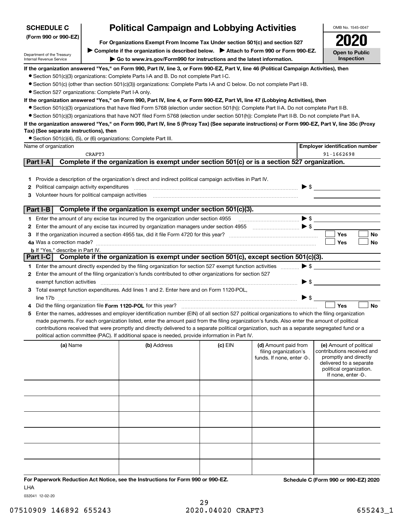| <b>SCHEDULE C</b>    | <b>Political Campaign and Lobbying Activities</b> |
|----------------------|---------------------------------------------------|
| (Form 990 or 990-EZ) |                                                   |

**For Organizations Exempt From Income Tax Under section 501(c) and section 527** ▶ Complete if the organization is described below. ▶ Attach to Form 990 or Form 990-EZ.

Department of the Treasury Internal Revenue Service

**| Go to www.irs.gov/Form990 for instructions and the latest information.**

**Open to Public Inspection2020**

OMB No. 1545-0047

**If the organization answered "Yes," on Form 990, Part IV, line 3, or Form 990-EZ, Part V, line 46 (Political Campaign Activities), then**

● Section 501(c)(3) organizations: Complete Parts I-A and B. Do not complete Part I-C.

¥ Section 501(c) (other than section 501(c)(3)) organizations: Complete Parts I-A and C below. Do not complete Part I-B.

● Section 527 organizations: Complete Part I-A only.

**If the organization answered "Yes," on Form 990, Part IV, line 4, or Form 990-EZ, Part VI, line 47 (Lobbying Activities), then**

- Section 501(c)(3) organizations that have filed Form 5768 (election under section 501(h)): Complete Part II-A. Do not complete Part II-B.
- ¥ Section 501(c)(3) organizations that have NOT filed Form 5768 (election under section 501(h)): Complete Part II-B. Do not complete Part II-A.

## **If the organization answered "Yes," on Form 990, Part IV, line 5 (Proxy Tax) (See separate instructions) or Form 990-EZ, Part V, line 35c (Proxy Tax) (See separate instructions), then**

● Section 501(c)(4), (5), or (6) organizations: Complete Part III.

| Name of organization                                                                                                                                                                                                                                                                                                                                                                                                                                                                                                                                                                                                                                                                                                                                                                                                                                                                                                                                                                                                                                                       |                                                                                               |           |                                                                                                                                                                                                                                                                                                                                                                                                                            | <b>Employer identification number</b>                                                                                                                       |
|----------------------------------------------------------------------------------------------------------------------------------------------------------------------------------------------------------------------------------------------------------------------------------------------------------------------------------------------------------------------------------------------------------------------------------------------------------------------------------------------------------------------------------------------------------------------------------------------------------------------------------------------------------------------------------------------------------------------------------------------------------------------------------------------------------------------------------------------------------------------------------------------------------------------------------------------------------------------------------------------------------------------------------------------------------------------------|-----------------------------------------------------------------------------------------------|-----------|----------------------------------------------------------------------------------------------------------------------------------------------------------------------------------------------------------------------------------------------------------------------------------------------------------------------------------------------------------------------------------------------------------------------------|-------------------------------------------------------------------------------------------------------------------------------------------------------------|
| CRAFT3                                                                                                                                                                                                                                                                                                                                                                                                                                                                                                                                                                                                                                                                                                                                                                                                                                                                                                                                                                                                                                                                     |                                                                                               |           |                                                                                                                                                                                                                                                                                                                                                                                                                            | 91-1662698                                                                                                                                                  |
| <b>Part I-A</b>                                                                                                                                                                                                                                                                                                                                                                                                                                                                                                                                                                                                                                                                                                                                                                                                                                                                                                                                                                                                                                                            | Complete if the organization is exempt under section 501(c) or is a section 527 organization. |           |                                                                                                                                                                                                                                                                                                                                                                                                                            |                                                                                                                                                             |
| 1 Provide a description of the organization's direct and indirect political campaign activities in Part IV.<br><b>2</b> Political campaign activity expenditures<br>3 Volunteer hours for political campaign activities                                                                                                                                                                                                                                                                                                                                                                                                                                                                                                                                                                                                                                                                                                                                                                                                                                                    |                                                                                               |           | $\overline{a_1, \ldots, a_n, \ldots, a_n, \ldots, a_n, \ldots, a_n, \ldots, a_n, \ldots, a_n, \ldots, a_n, \ldots, a_n, \ldots, a_n, \ldots, a_n, \ldots, a_n, \ldots, a_n, \ldots, a_n, \ldots, a_n, \ldots, a_n, \ldots, a_n, \ldots, a_n, \ldots, a_n, \ldots, a_n, \ldots, a_n, \ldots, a_n, \ldots, a_n, \ldots, a_n, \ldots, a_n, \ldots, a_n, \ldots, a_n, \ldots, a_n, \ldots, a_n, \ldots, a_n, \ldots, a_n, \ld$ |                                                                                                                                                             |
| Part I-B                                                                                                                                                                                                                                                                                                                                                                                                                                                                                                                                                                                                                                                                                                                                                                                                                                                                                                                                                                                                                                                                   | Complete if the organization is exempt under section 501(c)(3).                               |           |                                                                                                                                                                                                                                                                                                                                                                                                                            |                                                                                                                                                             |
| 1 Enter the amount of any excise tax incurred by the organization under section 4955 $\ldots$ $\ldots$ $\ldots$ $\ldots$ $\blacktriangleright$ \$<br>2 Enter the amount of any excise tax incurred by organization managers under section 4955 [100] [100] S<br><b>b</b> If "Yes," describe in Part IV.                                                                                                                                                                                                                                                                                                                                                                                                                                                                                                                                                                                                                                                                                                                                                                    |                                                                                               |           |                                                                                                                                                                                                                                                                                                                                                                                                                            | Yes<br>No<br><b>Yes</b><br>No                                                                                                                               |
| Part I-C                                                                                                                                                                                                                                                                                                                                                                                                                                                                                                                                                                                                                                                                                                                                                                                                                                                                                                                                                                                                                                                                   | Complete if the organization is exempt under section 501(c), except section 501(c)(3).        |           |                                                                                                                                                                                                                                                                                                                                                                                                                            |                                                                                                                                                             |
| 1 Enter the amount directly expended by the filing organization for section 527 exempt function activities $\ldots$<br>2 Enter the amount of the filing organization's funds contributed to other organizations for section 527<br>exempt function activities with activities and contain activities and contained activities and contain activities and contain activities and contain activities and contain activities and contain activities and contain acti<br>3 Total exempt function expenditures. Add lines 1 and 2. Enter here and on Form 1120-POL,<br>line 17b $\ldots$ $\bullet$ $\bullet$ $\ldots$<br>Enter the names, addresses and employer identification number (EIN) of all section 527 political organizations to which the filing organization<br>5.<br>made payments. For each organization listed, enter the amount paid from the filing organization's funds. Also enter the amount of political<br>contributions received that were promptly and directly delivered to a separate political organization, such as a separate segregated fund or a |                                                                                               |           |                                                                                                                                                                                                                                                                                                                                                                                                                            | $\blacktriangleright$ \$<br>Yes<br><b>No</b>                                                                                                                |
| political action committee (PAC). If additional space is needed, provide information in Part IV.<br>(a) Name                                                                                                                                                                                                                                                                                                                                                                                                                                                                                                                                                                                                                                                                                                                                                                                                                                                                                                                                                               | (b) Address                                                                                   | $(c)$ EIN | (d) Amount paid from<br>filing organization's<br>funds. If none, enter -0-.                                                                                                                                                                                                                                                                                                                                                | (e) Amount of political<br>contributions received and<br>promptly and directly<br>delivered to a separate<br>political organization.<br>If none, enter -0-. |
|                                                                                                                                                                                                                                                                                                                                                                                                                                                                                                                                                                                                                                                                                                                                                                                                                                                                                                                                                                                                                                                                            |                                                                                               |           |                                                                                                                                                                                                                                                                                                                                                                                                                            |                                                                                                                                                             |
|                                                                                                                                                                                                                                                                                                                                                                                                                                                                                                                                                                                                                                                                                                                                                                                                                                                                                                                                                                                                                                                                            |                                                                                               |           |                                                                                                                                                                                                                                                                                                                                                                                                                            |                                                                                                                                                             |
|                                                                                                                                                                                                                                                                                                                                                                                                                                                                                                                                                                                                                                                                                                                                                                                                                                                                                                                                                                                                                                                                            |                                                                                               |           |                                                                                                                                                                                                                                                                                                                                                                                                                            |                                                                                                                                                             |
|                                                                                                                                                                                                                                                                                                                                                                                                                                                                                                                                                                                                                                                                                                                                                                                                                                                                                                                                                                                                                                                                            |                                                                                               |           |                                                                                                                                                                                                                                                                                                                                                                                                                            |                                                                                                                                                             |
|                                                                                                                                                                                                                                                                                                                                                                                                                                                                                                                                                                                                                                                                                                                                                                                                                                                                                                                                                                                                                                                                            |                                                                                               |           |                                                                                                                                                                                                                                                                                                                                                                                                                            |                                                                                                                                                             |
|                                                                                                                                                                                                                                                                                                                                                                                                                                                                                                                                                                                                                                                                                                                                                                                                                                                                                                                                                                                                                                                                            |                                                                                               |           |                                                                                                                                                                                                                                                                                                                                                                                                                            |                                                                                                                                                             |

**For Paperwork Reduction Act Notice, see the Instructions for Form 990 or 990-EZ. Schedule C (Form 990 or 990-EZ) 2020** LHA

032041 12-02-20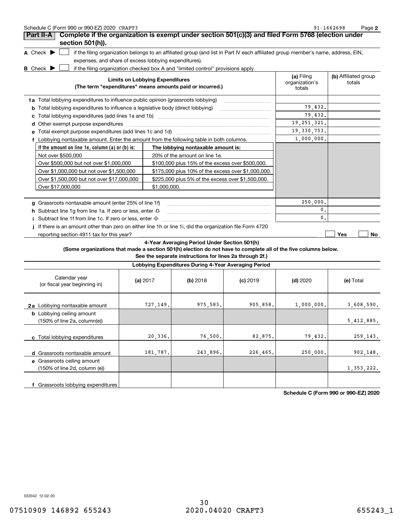| Schedule C (Form 990 or 990-EZ) 2020 CRAFT3                                                                     |                                        |                                                                                                                                   |            |                              | 91-1662698<br>Page 2           |
|-----------------------------------------------------------------------------------------------------------------|----------------------------------------|-----------------------------------------------------------------------------------------------------------------------------------|------------|------------------------------|--------------------------------|
| Complete if the organization is exempt under section 501(c)(3) and filed Form 5768 (election under<br>Part II-A |                                        |                                                                                                                                   |            |                              |                                |
| section 501(h)).<br>A Check $\blacktriangleright$                                                               |                                        |                                                                                                                                   |            |                              |                                |
| expenses, and share of excess lobbying expenditures).                                                           |                                        | if the filing organization belongs to an affiliated group (and list in Part IV each affiliated group member's name, address, EIN, |            |                              |                                |
|                                                                                                                 |                                        |                                                                                                                                   |            |                              |                                |
| <b>B</b> Check $\blacktriangleright$                                                                            | <b>Limits on Lobbying Expenditures</b> | if the filing organization checked box A and "limited control" provisions apply.                                                  |            | (a) Filing<br>organization's | (b) Affiliated group<br>totals |
|                                                                                                                 |                                        | (The term "expenditures" means amounts paid or incurred.)                                                                         |            | totals                       |                                |
| 1a Total lobbying expenditures to influence public opinion (grassroots lobbying)                                |                                        |                                                                                                                                   |            |                              |                                |
| Total lobbying expenditures to influence a legislative body (direct lobbying)<br>b                              |                                        |                                                                                                                                   |            | 79,432.                      |                                |
| с                                                                                                               |                                        |                                                                                                                                   |            | 79,432.                      |                                |
| Other exempt purpose expenditures<br>d                                                                          |                                        |                                                                                                                                   |            | 19, 251, 321.                |                                |
|                                                                                                                 |                                        |                                                                                                                                   |            | 19, 330, 753.                |                                |
| f Lobbying nontaxable amount. Enter the amount from the following table in both columns.                        |                                        |                                                                                                                                   |            | 1,000,000.                   |                                |
| If the amount on line 1e, column (a) or (b) is:                                                                 |                                        | The lobbying nontaxable amount is:                                                                                                |            |                              |                                |
| Not over \$500,000                                                                                              |                                        | 20% of the amount on line 1e.                                                                                                     |            |                              |                                |
| Over \$500,000 but not over \$1,000,000                                                                         |                                        | \$100,000 plus 15% of the excess over \$500,000.                                                                                  |            |                              |                                |
| Over \$1,000,000 but not over \$1,500,000                                                                       |                                        | \$175,000 plus 10% of the excess over \$1,000,000.                                                                                |            |                              |                                |
| Over \$1,500,000 but not over \$17,000,000                                                                      |                                        | \$225,000 plus 5% of the excess over \$1,500,000.                                                                                 |            |                              |                                |
| Over \$17,000,000                                                                                               |                                        | \$1,000,000.                                                                                                                      |            |                              |                                |
|                                                                                                                 |                                        |                                                                                                                                   |            |                              |                                |
| g Grassroots nontaxable amount (enter 25% of line 1f)                                                           |                                        |                                                                                                                                   |            | 250,000.                     |                                |
| h Subtract line 1q from line 1a. If zero or less, enter -0-                                                     |                                        |                                                                                                                                   |            | 0.                           |                                |
|                                                                                                                 |                                        |                                                                                                                                   |            | 0.                           |                                |
| If there is an amount other than zero on either line 1h or line 1i, did the organization file Form 4720         |                                        |                                                                                                                                   |            |                              |                                |
| reporting section 4911 tax for this year?                                                                       |                                        |                                                                                                                                   |            |                              | Yes<br>No                      |
|                                                                                                                 |                                        | 4-Year Averaging Period Under Section 501(h)                                                                                      |            |                              |                                |
| (Some organizations that made a section 501(h) election do not have to complete all of the five columns below.  |                                        | See the separate instructions for lines 2a through 2f.)                                                                           |            |                              |                                |
|                                                                                                                 |                                        | Lobbying Expenditures During 4-Year Averaging Period                                                                              |            |                              |                                |
| Calendar year<br>(or fiscal year beginning in)                                                                  | (a) $2017$                             | $(b)$ 2018                                                                                                                        | $(c)$ 2019 | $(d)$ 2020                   | (e) Total                      |
| 2a Lobbying nontaxable amount                                                                                   | 727,149.                               | 975,583.                                                                                                                          | 905,858.   | 1,000,000.                   | 3,608,590.                     |
| <b>b</b> Lobbying ceiling amount<br>(150% of line 2a, column(e))                                                |                                        |                                                                                                                                   |            |                              | 5,412,885                      |
| c Total lobbying expenditures                                                                                   | 20,336                                 | 76,500.                                                                                                                           | 82,875     | 79,432.                      | 259,143.                       |
| d Grassroots nontaxable amount                                                                                  | 181,787.                               | 243,896.                                                                                                                          | 226,465    | 250,000.                     | 902,148.                       |
| e Grassroots ceiling amount<br>(150% of line 2d, column (e))                                                    |                                        |                                                                                                                                   |            |                              | 1,353,222.                     |
| f Grassroots lobbying expenditures                                                                              |                                        |                                                                                                                                   |            |                              |                                |

**Schedule C (Form 990 or 990-EZ) 2020**

032042 12-02-20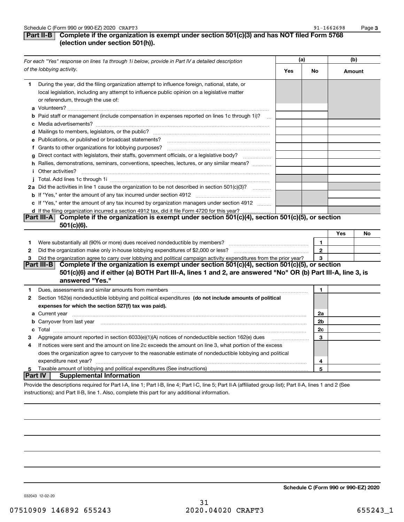**3**

## **Part II-B** Complete if the organization is exempt under section 501(c)(3) and has NOT filed Form 5768 **(election under section 501(h)).**

|          | For each "Yes" response on lines 1a through 1i below, provide in Part IV a detailed description                                                                                                                                      | (a) |              | (b)    |    |
|----------|--------------------------------------------------------------------------------------------------------------------------------------------------------------------------------------------------------------------------------------|-----|--------------|--------|----|
|          | of the lobbying activity.                                                                                                                                                                                                            | Yes | No           | Amount |    |
| 1.       | During the year, did the filing organization attempt to influence foreign, national, state, or<br>local legislation, including any attempt to influence public opinion on a legislative matter<br>or referendum, through the use of: |     |              |        |    |
|          | <b>b</b> Paid staff or management (include compensation in expenses reported on lines 1c through 1i)?<br>$\mathbf{r}$                                                                                                                |     |              |        |    |
|          |                                                                                                                                                                                                                                      |     |              |        |    |
|          | e Publications, or published or broadcast statements?                                                                                                                                                                                |     |              |        |    |
|          | f Grants to other organizations for lobbying purposes?                                                                                                                                                                               |     |              |        |    |
| q        | Direct contact with legislators, their staffs, government officials, or a legislative body?<br>.                                                                                                                                     |     |              |        |    |
|          | h Rallies, demonstrations, seminars, conventions, speeches, lectures, or any similar means?<br><i>i</i> Other activities?                                                                                                            |     |              |        |    |
|          |                                                                                                                                                                                                                                      |     |              |        |    |
|          | 2a Did the activities in line 1 cause the organization to be not described in section 501(c)(3)?                                                                                                                                     |     |              |        |    |
|          |                                                                                                                                                                                                                                      |     |              |        |    |
|          | c If "Yes," enter the amount of any tax incurred by organization managers under section 4912                                                                                                                                         |     |              |        |    |
|          | d If the filing organization incurred a section 4912 tax, did it file Form 4720 for this year?                                                                                                                                       |     |              |        |    |
|          | Part III-A Complete if the organization is exempt under section 501(c)(4), section 501(c)(5), or section<br>$501(c)(6)$ .                                                                                                            |     |              |        |    |
|          |                                                                                                                                                                                                                                      |     |              | Yes    | No |
| 1        |                                                                                                                                                                                                                                      |     | 1            |        |    |
| 2        |                                                                                                                                                                                                                                      |     | $\mathbf{2}$ |        |    |
| 3        | Did the organization agree to carry over lobbying and political campaign activity expenditures from the prior year?                                                                                                                  |     | 3            |        |    |
|          | Complete if the organization is exempt under section 501(c)(4), section 501(c)(5), or section<br>Part III-BI                                                                                                                         |     |              |        |    |
|          | 501(c)(6) and if either (a) BOTH Part III-A, lines 1 and 2, are answered "No" OR (b) Part III-A, line 3, is                                                                                                                          |     |              |        |    |
|          | answered "Yes."                                                                                                                                                                                                                      |     |              |        |    |
| 1        |                                                                                                                                                                                                                                      |     | 1            |        |    |
| 2        | Section 162(e) nondeductible lobbying and political expenditures (do not include amounts of political                                                                                                                                |     |              |        |    |
|          | expenses for which the section 527(f) tax was paid).                                                                                                                                                                                 |     |              |        |    |
|          |                                                                                                                                                                                                                                      |     | 2a           |        |    |
|          | <b>b</b> Carryover from last year                                                                                                                                                                                                    |     | 2b           |        |    |
|          |                                                                                                                                                                                                                                      |     | 2c           |        |    |
| з        | Aggregate amount reported in section 6033(e)(1)(A) notices of nondeductible section 162(e) dues                                                                                                                                      |     | 3            |        |    |
| 4        | If notices were sent and the amount on line 2c exceeds the amount on line 3, what portion of the excess                                                                                                                              |     |              |        |    |
|          | does the organization agree to carryover to the reasonable estimate of nondeductible lobbying and political                                                                                                                          |     |              |        |    |
|          | expenditure next year?                                                                                                                                                                                                               |     | 4            |        |    |
| 5        | Taxable amount of lobbying and political expenditures (See instructions)                                                                                                                                                             |     | 5            |        |    |
| ∣Part IV | <b>Supplemental Information</b>                                                                                                                                                                                                      |     |              |        |    |
|          | Provide the descriptions required for Part I-A, line 1; Part I-B, line 4; Part I-C, line 5; Part II-A (affiliated group list); Part II-A, lines 1 and 2 (See                                                                         |     |              |        |    |

instructions); and Part II-B, line 1. Also, complete this part for any additional information.

**Schedule C (Form 990 or 990-EZ) 2020**

032043 12-02-20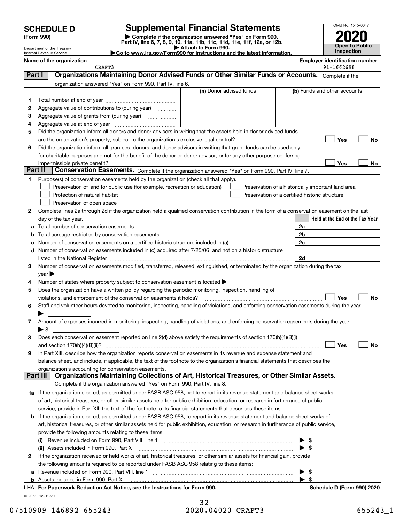Department of the Treasury Internal Revenue Service

## **SCHEDULE D Supplemental Financial Statements**

(Form 990)<br>
Pepartment of the Treasury<br>
Department of the Treasury<br>
Department of the Treasury<br>
Department of the Treasury<br> **Co to www.irs.gov/Form990 for instructions and the latest information.**<br> **Co to www.irs.gov/Form9** 

OMB No. 1545-0047 **Open to Public Inspection 2020**

| $\blacktriangleright$ Allach to Form 330.                             |
|-----------------------------------------------------------------------|
| Go to www.irs.gov/Form990 for instructions and the latest information |
|                                                                       |

 $\overline{\phantom{a}}$  crafts  $\overline{\phantom{a}}$ 

| Name of the organization | <b>Emplover identification number</b> |
|--------------------------|---------------------------------------|
|                          | .                                     |

|          | CRAFT3                                                                                                                                                                                                                         |                         | 91-1662698                                         |
|----------|--------------------------------------------------------------------------------------------------------------------------------------------------------------------------------------------------------------------------------|-------------------------|----------------------------------------------------|
| Part I   | Organizations Maintaining Donor Advised Funds or Other Similar Funds or Accounts. Complete if the                                                                                                                              |                         |                                                    |
|          | organization answered "Yes" on Form 990, Part IV, line 6.                                                                                                                                                                      |                         |                                                    |
|          |                                                                                                                                                                                                                                | (a) Donor advised funds | (b) Funds and other accounts                       |
| 1        |                                                                                                                                                                                                                                |                         |                                                    |
| 2        | Aggregate value of contributions to (during year)                                                                                                                                                                              |                         |                                                    |
| з        | Aggregate value of grants from (during year)                                                                                                                                                                                   |                         |                                                    |
| 4        |                                                                                                                                                                                                                                |                         |                                                    |
| 5        | Did the organization inform all donors and donor advisors in writing that the assets held in donor advised funds                                                                                                               |                         |                                                    |
|          |                                                                                                                                                                                                                                |                         | Yes<br><b>No</b>                                   |
| 6        | Did the organization inform all grantees, donors, and donor advisors in writing that grant funds can be used only                                                                                                              |                         |                                                    |
|          | for charitable purposes and not for the benefit of the donor or donor advisor, or for any other purpose conferring                                                                                                             |                         |                                                    |
|          | impermissible private benefit?                                                                                                                                                                                                 |                         | Yes<br>No                                          |
| Part II  | <b>Conservation Easements.</b> Complete if the organization answered "Yes" on Form 990, Part IV, line 7.                                                                                                                       |                         |                                                    |
| 1        | Purpose(s) of conservation easements held by the organization (check all that apply).                                                                                                                                          |                         |                                                    |
|          | Preservation of land for public use (for example, recreation or education)                                                                                                                                                     |                         | Preservation of a historically important land area |
|          | Protection of natural habitat                                                                                                                                                                                                  |                         | Preservation of a certified historic structure     |
|          | Preservation of open space                                                                                                                                                                                                     |                         |                                                    |
|          |                                                                                                                                                                                                                                |                         |                                                    |
| 2        | Complete lines 2a through 2d if the organization held a qualified conservation contribution in the form of a conservation easement on the last                                                                                 |                         |                                                    |
|          | day of the tax year.                                                                                                                                                                                                           |                         | Held at the End of the Tax Year                    |
| а        | Total number of conservation easements                                                                                                                                                                                         |                         | 2a                                                 |
| b        | Total acreage restricted by conservation easements                                                                                                                                                                             |                         | 2b                                                 |
| c        |                                                                                                                                                                                                                                |                         | 2c                                                 |
| d        | Number of conservation easements included in (c) acquired after 7/25/06, and not on a historic structure                                                                                                                       |                         |                                                    |
|          | listed in the National Register [11] matter and the National Register [11] matter is not all the National Register [11] matter is not all the National Register [11] matter is not all the National Register [11] matter is no |                         | 2d                                                 |
| 3        | Number of conservation easements modified, transferred, released, extinguished, or terminated by the organization during the tax                                                                                               |                         |                                                    |
|          | $\gamma$ ear $\blacktriangleright$                                                                                                                                                                                             |                         |                                                    |
| 4        | Number of states where property subject to conservation easement is located >                                                                                                                                                  |                         |                                                    |
| 5        | Does the organization have a written policy regarding the periodic monitoring, inspection, handling of                                                                                                                         |                         |                                                    |
|          | violations, and enforcement of the conservation easements it holds?                                                                                                                                                            |                         | Yes<br><b>No</b>                                   |
| 6        | Staff and volunteer hours devoted to monitoring, inspecting, handling of violations, and enforcing conservation easements during the year                                                                                      |                         |                                                    |
|          |                                                                                                                                                                                                                                |                         |                                                    |
| 7        | Amount of expenses incurred in monitoring, inspecting, handling of violations, and enforcing conservation easements during the year                                                                                            |                         |                                                    |
|          | $\blacktriangleright$ \$                                                                                                                                                                                                       |                         |                                                    |
| 8        | Does each conservation easement reported on line 2(d) above satisfy the requirements of section 170(h)(4)(B)(i)                                                                                                                |                         |                                                    |
|          | and section $170(h)(4)(B)(ii)?$                                                                                                                                                                                                |                         | Yes<br>No                                          |
| 9        | In Part XIII, describe how the organization reports conservation easements in its revenue and expense statement and                                                                                                            |                         |                                                    |
|          | balance sheet, and include, if applicable, the text of the footnote to the organization's financial statements that describes the                                                                                              |                         |                                                    |
|          | organization's accounting for conservation easements.                                                                                                                                                                          |                         |                                                    |
| Part III | Organizations Maintaining Collections of Art, Historical Treasures, or Other Similar Assets.                                                                                                                                   |                         |                                                    |
|          | Complete if the organization answered "Yes" on Form 990, Part IV, line 8.                                                                                                                                                      |                         |                                                    |
|          | 1a If the organization elected, as permitted under FASB ASC 958, not to report in its revenue statement and balance sheet works                                                                                                |                         |                                                    |
|          | of art, historical treasures, or other similar assets held for public exhibition, education, or research in furtherance of public                                                                                              |                         |                                                    |
|          | service, provide in Part XIII the text of the footnote to its financial statements that describes these items.                                                                                                                 |                         |                                                    |
| b        | If the organization elected, as permitted under FASB ASC 958, to report in its revenue statement and balance sheet works of                                                                                                    |                         |                                                    |
|          | art, historical treasures, or other similar assets held for public exhibition, education, or research in furtherance of public service,                                                                                        |                         |                                                    |
|          | provide the following amounts relating to these items:                                                                                                                                                                         |                         |                                                    |
|          | (i)                                                                                                                                                                                                                            |                         | $\frac{1}{2}$                                      |
|          | (ii) Assets included in Form 990, Part X                                                                                                                                                                                       |                         | $\triangleright$ \$                                |
| 2        | If the organization received or held works of art, historical treasures, or other similar assets for financial gain, provide                                                                                                   |                         |                                                    |
|          | the following amounts required to be reported under FASB ASC 958 relating to these items:                                                                                                                                      |                         |                                                    |
| а        |                                                                                                                                                                                                                                |                         |                                                    |
|          |                                                                                                                                                                                                                                |                         | $\blacktriangleright$ \$                           |
|          | Notice and the Instrument and fair Farme 000                                                                                                                                                                                   |                         | <b>Colorabile B (Forms 000) 0000</b>               |

032051 12-01-20 **For Paperwork Reduction Act Notice, see the Instructions for Form 990. Schedule D (Form 990) 2020** LHA

32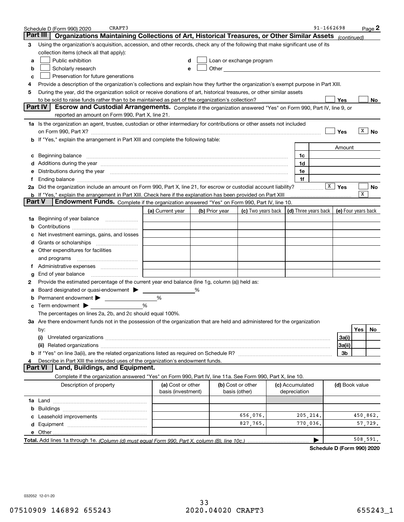|        | CRAFT3<br>Schedule D (Form 990) 2020                                                                                                                                                                                           |                                         |   |                |                                                                                                                                                                                                                               |                                 | 91-1662698           |                         |          | Page 2    |
|--------|--------------------------------------------------------------------------------------------------------------------------------------------------------------------------------------------------------------------------------|-----------------------------------------|---|----------------|-------------------------------------------------------------------------------------------------------------------------------------------------------------------------------------------------------------------------------|---------------------------------|----------------------|-------------------------|----------|-----------|
|        | Part III<br>Organizations Maintaining Collections of Art, Historical Treasures, or Other Similar Assets (continued)                                                                                                            |                                         |   |                |                                                                                                                                                                                                                               |                                 |                      |                         |          |           |
| з      | Using the organization's acquisition, accession, and other records, check any of the following that make significant use of its                                                                                                |                                         |   |                |                                                                                                                                                                                                                               |                                 |                      |                         |          |           |
|        | collection items (check all that apply):                                                                                                                                                                                       |                                         |   |                |                                                                                                                                                                                                                               |                                 |                      |                         |          |           |
| a      | Public exhibition                                                                                                                                                                                                              |                                         | d |                | Loan or exchange program                                                                                                                                                                                                      |                                 |                      |                         |          |           |
| b      | Scholarly research                                                                                                                                                                                                             |                                         | е |                | Other and the contract of the contract of the contract of the contract of the contract of the contract of the contract of the contract of the contract of the contract of the contract of the contract of the contract of the |                                 |                      |                         |          |           |
| с      | Preservation for future generations                                                                                                                                                                                            |                                         |   |                |                                                                                                                                                                                                                               |                                 |                      |                         |          |           |
| 4      | Provide a description of the organization's collections and explain how they further the organization's exempt purpose in Part XIII.                                                                                           |                                         |   |                |                                                                                                                                                                                                                               |                                 |                      |                         |          |           |
| 5      | During the year, did the organization solicit or receive donations of art, historical treasures, or other similar assets                                                                                                       |                                         |   |                |                                                                                                                                                                                                                               |                                 |                      |                         |          |           |
|        | to be sold to raise funds rather than to be maintained as part of the organization's collection?                                                                                                                               |                                         |   |                |                                                                                                                                                                                                                               |                                 |                      | Yes                     |          | No        |
|        | <b>Part IV</b><br>Escrow and Custodial Arrangements. Complete if the organization answered "Yes" on Form 990, Part IV, line 9, or                                                                                              |                                         |   |                |                                                                                                                                                                                                                               |                                 |                      |                         |          |           |
|        | reported an amount on Form 990, Part X, line 21.                                                                                                                                                                               |                                         |   |                |                                                                                                                                                                                                                               |                                 |                      |                         |          |           |
|        | 1a Is the organization an agent, trustee, custodian or other intermediary for contributions or other assets not included                                                                                                       |                                         |   |                |                                                                                                                                                                                                                               |                                 |                      |                         |          |           |
|        | on Form 990, Part X? [11] matter contracts and contracts and contracts are contracted as a function of the set of the set of the set of the set of the set of the set of the set of the set of the set of the set of the set o |                                         |   |                |                                                                                                                                                                                                                               |                                 |                      | Yes                     | x        | <b>No</b> |
|        | b If "Yes," explain the arrangement in Part XIII and complete the following table:                                                                                                                                             |                                         |   |                |                                                                                                                                                                                                                               |                                 |                      |                         |          |           |
|        |                                                                                                                                                                                                                                |                                         |   |                |                                                                                                                                                                                                                               |                                 |                      | Amount                  |          |           |
| с      |                                                                                                                                                                                                                                |                                         |   |                |                                                                                                                                                                                                                               | 1c                              |                      |                         |          |           |
|        | Additions during the year manufactured and an annual contract of the year manufactured and a set of the year manufactured and a set of the year manufactured and a set of the year manufactured and a set of the year manufact |                                         |   |                |                                                                                                                                                                                                                               | 1d                              |                      |                         |          |           |
|        | Distributions during the year manufactured and continuum control of the year manufactured and continuum control of the year manufactured and control of the year manufactured and control of the year manufactured and control |                                         |   |                |                                                                                                                                                                                                                               | 1e                              |                      |                         |          |           |
| f      |                                                                                                                                                                                                                                |                                         |   |                |                                                                                                                                                                                                                               | 1f                              |                      |                         |          |           |
|        | 2a Did the organization include an amount on Form 990, Part X, line 21, for escrow or custodial account liability?                                                                                                             |                                         |   |                |                                                                                                                                                                                                                               |                                 |                      | $\sqrt{\mathbf{x}}$ Yes | X        | No        |
| Part V | <b>b</b> If "Yes," explain the arrangement in Part XIII. Check here if the explanation has been provided on Part XIII                                                                                                          |                                         |   |                |                                                                                                                                                                                                                               |                                 |                      |                         |          |           |
|        | Endowment Funds. Complete if the organization answered "Yes" on Form 990, Part IV, line 10.                                                                                                                                    |                                         |   |                |                                                                                                                                                                                                                               |                                 |                      |                         |          |           |
|        |                                                                                                                                                                                                                                | (a) Current year                        |   | (b) Prior year | (c) Two years back                                                                                                                                                                                                            |                                 | (d) Three years back | (e) Four years back     |          |           |
| 1a     | Beginning of year balance                                                                                                                                                                                                      |                                         |   |                |                                                                                                                                                                                                                               |                                 |                      |                         |          |           |
| b      |                                                                                                                                                                                                                                |                                         |   |                |                                                                                                                                                                                                                               |                                 |                      |                         |          |           |
|        | Net investment earnings, gains, and losses                                                                                                                                                                                     |                                         |   |                |                                                                                                                                                                                                                               |                                 |                      |                         |          |           |
| a      |                                                                                                                                                                                                                                |                                         |   |                |                                                                                                                                                                                                                               |                                 |                      |                         |          |           |
| е      | Other expenditures for facilities                                                                                                                                                                                              |                                         |   |                |                                                                                                                                                                                                                               |                                 |                      |                         |          |           |
|        | and programs                                                                                                                                                                                                                   |                                         |   |                |                                                                                                                                                                                                                               |                                 |                      |                         |          |           |
| f.     | End of year balance                                                                                                                                                                                                            |                                         |   |                |                                                                                                                                                                                                                               |                                 |                      |                         |          |           |
| g<br>2 | Provide the estimated percentage of the current year end balance (line 1g, column (a)) held as:                                                                                                                                |                                         |   |                |                                                                                                                                                                                                                               |                                 |                      |                         |          |           |
|        | Board designated or quasi-endowment > ____                                                                                                                                                                                     |                                         | % |                |                                                                                                                                                                                                                               |                                 |                      |                         |          |           |
|        | Permanent endowment > ______________                                                                                                                                                                                           | %                                       |   |                |                                                                                                                                                                                                                               |                                 |                      |                         |          |           |
| с      | Term endowment $\blacktriangleright$                                                                                                                                                                                           | %                                       |   |                |                                                                                                                                                                                                                               |                                 |                      |                         |          |           |
|        | The percentages on lines 2a, 2b, and 2c should equal 100%.                                                                                                                                                                     |                                         |   |                |                                                                                                                                                                                                                               |                                 |                      |                         |          |           |
|        | 3a Are there endowment funds not in the possession of the organization that are held and administered for the organization                                                                                                     |                                         |   |                |                                                                                                                                                                                                                               |                                 |                      |                         |          |           |
|        | by:                                                                                                                                                                                                                            |                                         |   |                |                                                                                                                                                                                                                               |                                 |                      |                         | Yes      | No        |
|        |                                                                                                                                                                                                                                |                                         |   |                |                                                                                                                                                                                                                               |                                 |                      | 3a(i)                   |          |           |
|        |                                                                                                                                                                                                                                |                                         |   |                |                                                                                                                                                                                                                               |                                 |                      | 3a(ii)                  |          |           |
|        |                                                                                                                                                                                                                                |                                         |   |                |                                                                                                                                                                                                                               |                                 |                      | 3b                      |          |           |
|        | Describe in Part XIII the intended uses of the organization's endowment funds.                                                                                                                                                 |                                         |   |                |                                                                                                                                                                                                                               |                                 |                      |                         |          |           |
|        | Land, Buildings, and Equipment.<br>Part VI                                                                                                                                                                                     |                                         |   |                |                                                                                                                                                                                                                               |                                 |                      |                         |          |           |
|        | Complete if the organization answered "Yes" on Form 990, Part IV, line 11a. See Form 990, Part X, line 10.                                                                                                                     |                                         |   |                |                                                                                                                                                                                                                               |                                 |                      |                         |          |           |
|        | Description of property                                                                                                                                                                                                        | (a) Cost or other<br>basis (investment) |   |                | (b) Cost or other<br>basis (other)                                                                                                                                                                                            | (c) Accumulated<br>depreciation |                      | (d) Book value          |          |           |
|        |                                                                                                                                                                                                                                |                                         |   |                |                                                                                                                                                                                                                               |                                 |                      |                         |          |           |
| b      |                                                                                                                                                                                                                                |                                         |   |                |                                                                                                                                                                                                                               |                                 |                      |                         |          |           |
|        |                                                                                                                                                                                                                                |                                         |   |                | 656,076.                                                                                                                                                                                                                      | 205, 214.                       |                      |                         | 450,862. |           |
| d      |                                                                                                                                                                                                                                |                                         |   |                | 827,765.                                                                                                                                                                                                                      | 770,036.                        |                      |                         |          | 57,729.   |
|        | e Other                                                                                                                                                                                                                        |                                         |   |                |                                                                                                                                                                                                                               |                                 |                      |                         |          |           |
|        |                                                                                                                                                                                                                                |                                         |   |                |                                                                                                                                                                                                                               |                                 |                      |                         | 508,591. |           |

**Schedule D (Form 990) 2020**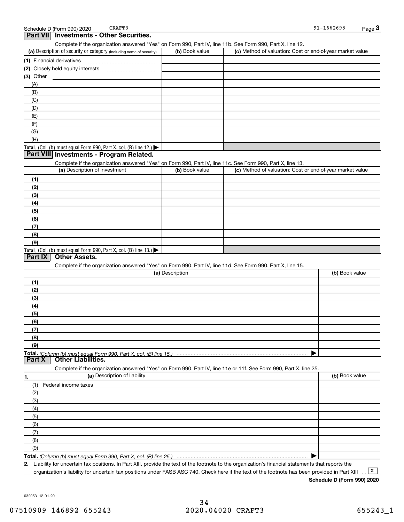## **3Part VII Investments - Other Securities.**

Complete if the organization answered "Yes" on Form 990, Part IV, line 11b. See Form 990, Part X, line 12.

| (a) Description of security or category (including name of security)       | (b) Book value | (c) Method of valuation: Cost or end-of-year market value |
|----------------------------------------------------------------------------|----------------|-----------------------------------------------------------|
| (1) Financial derivatives                                                  |                |                                                           |
| (2) Closely held equity interests                                          |                |                                                           |
| $(3)$ Other                                                                |                |                                                           |
| (A)                                                                        |                |                                                           |
| (B)                                                                        |                |                                                           |
| (C)                                                                        |                |                                                           |
| (D)                                                                        |                |                                                           |
| (E)                                                                        |                |                                                           |
| (F)                                                                        |                |                                                           |
| (G)                                                                        |                |                                                           |
| (H)                                                                        |                |                                                           |
| <b>Total.</b> (Col. (b) must equal Form 990, Part X, col. (B) line $12$ .) |                |                                                           |

## **Part VIII Investments - Program Related.**

Complete if the organization answered "Yes" on Form 990, Part IV, line 11c. See Form 990, Part X, line 13.

| (a) Description of investment                                       | (b) Book value | (c) Method of valuation: Cost or end-of-year market value |
|---------------------------------------------------------------------|----------------|-----------------------------------------------------------|
| (1)                                                                 |                |                                                           |
| (2)                                                                 |                |                                                           |
| $\frac{1}{2}$                                                       |                |                                                           |
| (4)                                                                 |                |                                                           |
| (5)                                                                 |                |                                                           |
| (6)                                                                 |                |                                                           |
| (7)                                                                 |                |                                                           |
| (8)                                                                 |                |                                                           |
| (9)                                                                 |                |                                                           |
| Total. (Col. (b) must equal Form 990, Part X, col. (B) line $13.$ ) |                |                                                           |

#### **Part IX Other Assets.**

Complete if the organization answered "Yes" on Form 990, Part IV, line 11d. See Form 990, Part X, line 15.

| (a) Description                                                                                                   | (b) Book value    |
|-------------------------------------------------------------------------------------------------------------------|-------------------|
| (1)                                                                                                               |                   |
| (2)                                                                                                               |                   |
| $\qquad \qquad (3)$                                                                                               |                   |
| (4)                                                                                                               |                   |
| (5)                                                                                                               |                   |
| (6)                                                                                                               |                   |
| (7)                                                                                                               |                   |
| (8)                                                                                                               |                   |
| (9)                                                                                                               |                   |
|                                                                                                                   |                   |
| <b>Other Liabilities.</b><br><b>Part X</b>                                                                        |                   |
| Complete if the organization answered "Yes" on Form 990, Part IV, line 11e or 11f. See Form 990, Part X, line 25. |                   |
|                                                                                                                   | $\cdots$ $\cdots$ |

| 1.  | (a) Description of liability | (b) Book value |
|-----|------------------------------|----------------|
|     | (1) Federal income taxes     |                |
| (2) |                              |                |
| (3) |                              |                |
| (4) |                              |                |
| (5) |                              |                |
| (6) |                              |                |
| (7) |                              |                |
| (8) |                              |                |
| (9) |                              |                |
|     |                              |                |

**Total.**  *(Column (b) must equal Form 990, Part X, col. (B) line 25.)* 

**2.** Liability for uncertain tax positions. In Part XIII, provide the text of the footnote to the organization's financial statements that reports the organization's liability for uncertain tax positions under FASB ASC 740. Check here if the text of the footnote has been provided in Part XIII

 $\boxed{\mathbf{X}}$ 

**Schedule D (Form 990) 2020**

032053 12-01-20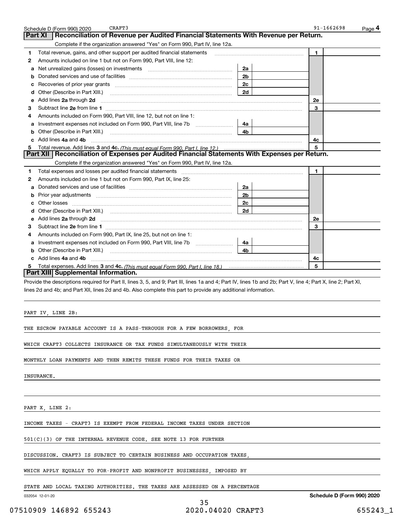|   | CRAFT3<br>Schedule D (Form 990) 2020                                                                                                                                                                                               |                | 91-1662698   | Page 4 |
|---|------------------------------------------------------------------------------------------------------------------------------------------------------------------------------------------------------------------------------------|----------------|--------------|--------|
|   | Reconciliation of Revenue per Audited Financial Statements With Revenue per Return.<br>Part XI                                                                                                                                     |                |              |        |
|   | Complete if the organization answered "Yes" on Form 990, Part IV, line 12a.                                                                                                                                                        |                |              |        |
| 1 | Total revenue, gains, and other support per audited financial statements                                                                                                                                                           |                | 1            |        |
| 2 | Amounts included on line 1 but not on Form 990, Part VIII, line 12:                                                                                                                                                                |                |              |        |
| а | Net unrealized gains (losses) on investments [11] matter contracts and the unrealized gains (losses) on investments                                                                                                                | 2a             |              |        |
| b |                                                                                                                                                                                                                                    | 2 <sub>b</sub> |              |        |
| с |                                                                                                                                                                                                                                    | 2c             |              |        |
| d |                                                                                                                                                                                                                                    | 2d             |              |        |
| е | Add lines 2a through 2d                                                                                                                                                                                                            |                | 2e           |        |
| з |                                                                                                                                                                                                                                    |                | 3            |        |
| 4 | Amounts included on Form 990, Part VIII, line 12, but not on line 1:                                                                                                                                                               |                |              |        |
| а | Investment expenses not included on Form 990, Part VIII, line 7b                                                                                                                                                                   | 4a             |              |        |
| b | Other (Describe in Part XIII.) (2000) (2000) (2000) (2010) (2010) (2010) (2010) (2010) (2010) (2010) (2010) (20                                                                                                                    | 4b             |              |        |
|   | Add lines 4a and 4b                                                                                                                                                                                                                |                | 4c           |        |
|   |                                                                                                                                                                                                                                    |                | 5            |        |
|   | Part XII   Reconciliation of Expenses per Audited Financial Statements With Expenses per Return.                                                                                                                                   |                |              |        |
|   | Complete if the organization answered "Yes" on Form 990, Part IV, line 12a.                                                                                                                                                        |                |              |        |
| 1 |                                                                                                                                                                                                                                    |                | $\mathbf{1}$ |        |
| 2 | Amounts included on line 1 but not on Form 990, Part IX, line 25:                                                                                                                                                                  |                |              |        |
| а |                                                                                                                                                                                                                                    | 2a             |              |        |
| b |                                                                                                                                                                                                                                    | 2 <sub>b</sub> |              |        |
|   |                                                                                                                                                                                                                                    | 2c             |              |        |
|   |                                                                                                                                                                                                                                    | 2d             |              |        |
| е | Add lines 2a through 2d <b>contract and all anomalisation</b> and all anomalisation of the state of the state of the state of the state of the state of the state of the state of the state of the state of the state of the state |                | 2e           |        |
| З |                                                                                                                                                                                                                                    |                | 3            |        |
| 4 | Amounts included on Form 990, Part IX, line 25, but not on line 1:                                                                                                                                                                 |                |              |        |
|   |                                                                                                                                                                                                                                    |                |              |        |
| а |                                                                                                                                                                                                                                    | 4a<br>4b       |              |        |
| b |                                                                                                                                                                                                                                    |                |              |        |
|   | c Add lines 4a and 4b                                                                                                                                                                                                              |                | 4c           |        |
|   | Part XIII Supplemental Information.                                                                                                                                                                                                |                | 5            |        |
|   |                                                                                                                                                                                                                                    |                |              |        |
|   | Provide the descriptions required for Part II, lines 3, 5, and 9; Part III, lines 1a and 4; Part IV, lines 1b and 2b; Part V, line 4; Part X, line 2; Part XI,                                                                     |                |              |        |
|   | lines 2d and 4b; and Part XII, lines 2d and 4b. Also complete this part to provide any additional information.                                                                                                                     |                |              |        |
|   |                                                                                                                                                                                                                                    |                |              |        |
|   |                                                                                                                                                                                                                                    |                |              |        |
|   | PART IV, LINE 2B:                                                                                                                                                                                                                  |                |              |        |
|   |                                                                                                                                                                                                                                    |                |              |        |
|   | THE ESCROW PAYABLE ACCOUNT IS A PASS-THROUGH FOR A FEW BORROWERS, FOR                                                                                                                                                              |                |              |        |
|   |                                                                                                                                                                                                                                    |                |              |        |
|   | WHICH CRAFT3 COLLECTS INSURANCE OR TAX FUNDS SIMULTANEOUSLY WITH THEIR                                                                                                                                                             |                |              |        |
|   |                                                                                                                                                                                                                                    |                |              |        |
|   | MONTHLY LOAN PAYMENTS AND THEN REMITS THESE FUNDS FOR THEIR TAXES OR                                                                                                                                                               |                |              |        |
|   |                                                                                                                                                                                                                                    |                |              |        |
|   | <b>INSURANCE.</b>                                                                                                                                                                                                                  |                |              |        |
|   |                                                                                                                                                                                                                                    |                |              |        |
|   |                                                                                                                                                                                                                                    |                |              |        |
|   |                                                                                                                                                                                                                                    |                |              |        |
|   | PART X, LINE 2:                                                                                                                                                                                                                    |                |              |        |
|   |                                                                                                                                                                                                                                    |                |              |        |
|   | INCOME TAXES - CRAFT3 IS EXEMPT FROM FEDERAL INCOME TAXES UNDER SECTION                                                                                                                                                            |                |              |        |
|   |                                                                                                                                                                                                                                    |                |              |        |
|   | $501(C)(3)$ OF THE INTERNAL REVENUE CODE. SEE NOTE 13 FOR FURTHER                                                                                                                                                                  |                |              |        |
|   |                                                                                                                                                                                                                                    |                |              |        |
|   | DISCUSSION. CRAFT3 IS SUBJECT TO CERTAIN BUSINESS AND OCCUPATION TAXES                                                                                                                                                             |                |              |        |
|   |                                                                                                                                                                                                                                    |                |              |        |

WHICH APPLY EQUALLY TO FOR-PROFIT AND NONPROFIT BUSINESSES, IMPOSED BY

STATE AND LOCAL TAXING AUTHORITIES. THE TAXES ARE ASSESSED ON A PERCENTAGE

032054 12-01-20

**Schedule D (Form 990) 2020**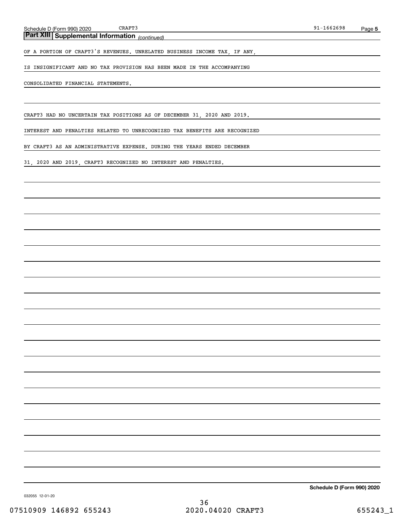*(continued)* **Part XIII Supplemental Information** 

OF A PORTION OF CRAFT3'S REVENUES. UNRELATED BUSINESS INCOME TAX, IF ANY,

IS INSIGNIFICANT AND NO TAX PROVISION HAS BEEN MADE IN THE ACCOMPANYING

### CONSOLIDATED FINANCIAL STATEMENTS.

CRAFT3 HAD NO UNCERTAIN TAX POSITIONS AS OF DECEMBER 31, 2020 AND 2019.

INTEREST AND PENALTIES RELATED TO UNRECOGNIZED TAX BENEFITS ARE RECOGNIZED

BY CRAFT3 AS AN ADMINISTRATIVE EXPENSE. DURING THE YEARS ENDED DECEMBER

31, 2020 AND 2019, CRAFT3 RECOGNIZED NO INTEREST AND PENALTIES.

**Schedule D (Form 990) 2020**

032055 12-01-20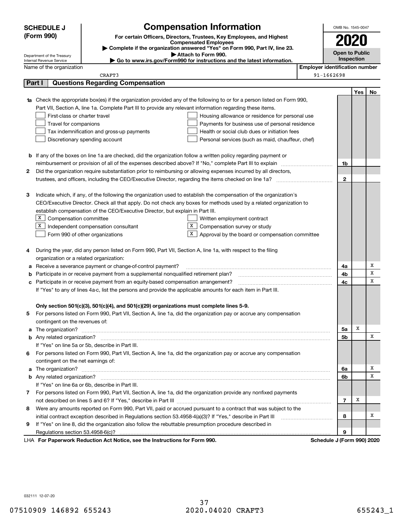|   | <b>SCHEDULE J</b>                                                                          | <b>Compensation Information</b>                                                                                                  |                                       | OMB No. 1545-0047          |     |        |  |
|---|--------------------------------------------------------------------------------------------|----------------------------------------------------------------------------------------------------------------------------------|---------------------------------------|----------------------------|-----|--------|--|
|   | (Form 990)                                                                                 | For certain Officers, Directors, Trustees, Key Employees, and Highest                                                            |                                       |                            |     |        |  |
|   |                                                                                            | <b>Compensated Employees</b>                                                                                                     |                                       |                            |     |        |  |
|   |                                                                                            | Complete if the organization answered "Yes" on Form 990, Part IV, line 23.                                                       |                                       | Open to Public             |     |        |  |
|   | Department of the Treasury<br>Internal Revenue Service                                     | Attach to Form 990.<br>Go to www.irs.gov/Form990 for instructions and the latest information.                                    |                                       | Inspection                 |     |        |  |
|   | Name of the organization                                                                   |                                                                                                                                  | <b>Employer identification number</b> |                            |     |        |  |
|   |                                                                                            | CRAFT3                                                                                                                           |                                       | 91-1662698                 |     |        |  |
|   | Part I                                                                                     | <b>Questions Regarding Compensation</b>                                                                                          |                                       |                            |     |        |  |
|   |                                                                                            |                                                                                                                                  |                                       |                            | Yes | No.    |  |
|   |                                                                                            | <b>1a</b> Check the appropriate box(es) if the organization provided any of the following to or for a person listed on Form 990, |                                       |                            |     |        |  |
|   |                                                                                            | Part VII, Section A, line 1a. Complete Part III to provide any relevant information regarding these items.                       |                                       |                            |     |        |  |
|   | First-class or charter travel                                                              | Housing allowance or residence for personal use                                                                                  |                                       |                            |     |        |  |
|   | Travel for companions<br>Payments for business use of personal residence                   |                                                                                                                                  |                                       |                            |     |        |  |
|   | Health or social club dues or initiation fees<br>Tax indemnification and gross-up payments |                                                                                                                                  |                                       |                            |     |        |  |
|   |                                                                                            | Discretionary spending account<br>Personal services (such as maid, chauffeur, chef)                                              |                                       |                            |     |        |  |
|   |                                                                                            |                                                                                                                                  |                                       |                            |     |        |  |
|   |                                                                                            | <b>b</b> If any of the boxes on line 1a are checked, did the organization follow a written policy regarding payment or           |                                       |                            |     |        |  |
|   |                                                                                            | reimbursement or provision of all of the expenses described above? If "No," complete Part III to explain                         |                                       | 1b                         |     |        |  |
| 2 |                                                                                            | Did the organization require substantiation prior to reimbursing or allowing expenses incurred by all directors,                 |                                       |                            |     |        |  |
|   |                                                                                            |                                                                                                                                  |                                       | $\mathbf{2}$               |     |        |  |
|   |                                                                                            |                                                                                                                                  |                                       |                            |     |        |  |
| З |                                                                                            | Indicate which, if any, of the following the organization used to establish the compensation of the organization's               |                                       |                            |     |        |  |
|   |                                                                                            | CEO/Executive Director. Check all that apply. Do not check any boxes for methods used by a related organization to               |                                       |                            |     |        |  |
|   |                                                                                            | establish compensation of the CEO/Executive Director, but explain in Part III.                                                   |                                       |                            |     |        |  |
|   | $X$ Compensation committee                                                                 | Written employment contract                                                                                                      |                                       |                            |     |        |  |
|   | X                                                                                          | X<br>Independent compensation consultant<br>Compensation survey or study                                                         |                                       |                            |     |        |  |
|   |                                                                                            | х<br>Approval by the board or compensation committee<br>Form 990 of other organizations                                          |                                       |                            |     |        |  |
|   |                                                                                            |                                                                                                                                  |                                       |                            |     |        |  |
|   |                                                                                            | During the year, did any person listed on Form 990, Part VII, Section A, line 1a, with respect to the filing                     |                                       |                            |     |        |  |
|   | organization or a related organization:                                                    |                                                                                                                                  |                                       |                            |     |        |  |
| а |                                                                                            | Receive a severance payment or change-of-control payment?                                                                        |                                       | 4a                         |     | х      |  |
|   |                                                                                            | Participate in or receive payment from a supplemental nonqualified retirement plan?                                              |                                       | 4b                         |     | X<br>x |  |
|   |                                                                                            | c Participate in or receive payment from an equity-based compensation arrangement?                                               |                                       | 4c                         |     |        |  |
|   |                                                                                            | If "Yes" to any of lines 4a-c, list the persons and provide the applicable amounts for each item in Part III.                    |                                       |                            |     |        |  |
|   |                                                                                            |                                                                                                                                  |                                       |                            |     |        |  |
|   |                                                                                            | Only section 501(c)(3), 501(c)(4), and 501(c)(29) organizations must complete lines 5-9.                                         |                                       |                            |     |        |  |
| 5 |                                                                                            | For persons listed on Form 990, Part VII, Section A, line 1a, did the organization pay or accrue any compensation                |                                       |                            |     |        |  |
|   | contingent on the revenues of:                                                             |                                                                                                                                  |                                       | 5a                         | х   |        |  |
|   |                                                                                            | a The organization? <b>Manual Communities</b> and a The organization?                                                            |                                       | 5b                         |     | х      |  |
|   |                                                                                            | If "Yes" on line 5a or 5b, describe in Part III.                                                                                 |                                       |                            |     |        |  |
|   |                                                                                            | 6 For persons listed on Form 990, Part VII, Section A, line 1a, did the organization pay or accrue any compensation              |                                       |                            |     |        |  |
|   | contingent on the net earnings of:                                                         |                                                                                                                                  |                                       |                            |     |        |  |
|   |                                                                                            |                                                                                                                                  |                                       | 6a                         |     | х      |  |
|   |                                                                                            |                                                                                                                                  |                                       | 6b                         |     | х      |  |
|   |                                                                                            | If "Yes" on line 6a or 6b, describe in Part III.                                                                                 |                                       |                            |     |        |  |
|   |                                                                                            | 7 For persons listed on Form 990, Part VII, Section A, line 1a, did the organization provide any nonfixed payments               |                                       |                            |     |        |  |
|   |                                                                                            |                                                                                                                                  |                                       | 7                          | х   |        |  |
|   |                                                                                            | 8 Were any amounts reported on Form 990, Part VII, paid or accrued pursuant to a contract that was subject to the                |                                       |                            |     |        |  |
|   |                                                                                            |                                                                                                                                  |                                       | 8                          |     | х      |  |
| 9 |                                                                                            | If "Yes" on line 8, did the organization also follow the rebuttable presumption procedure described in                           |                                       |                            |     |        |  |
|   |                                                                                            |                                                                                                                                  |                                       | 9                          |     |        |  |
|   |                                                                                            | LHA For Paperwork Reduction Act Notice, see the Instructions for Form 990.                                                       |                                       | Schedule J (Form 990) 2020 |     |        |  |

032111 12-07-20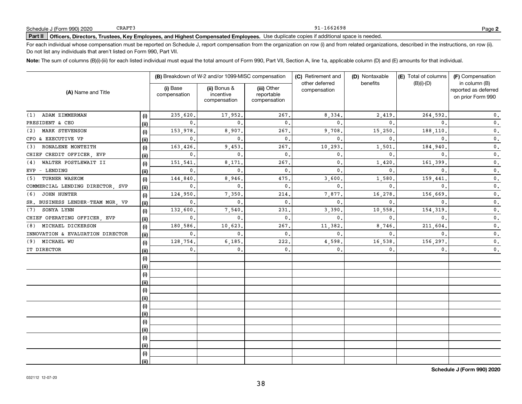## 91-1662698

**2**

# **Part II Officers, Directors, Trustees, Key Employees, and Highest Compensated Employees.**  Schedule J (Form 990) 2020 Page Use duplicate copies if additional space is needed.

For each individual whose compensation must be reported on Schedule J, report compensation from the organization on row (i) and from related organizations, described in the instructions, on row (ii). Do not list any individuals that aren't listed on Form 990, Part VII.

**Note:**  The sum of columns (B)(i)-(iii) for each listed individual must equal the total amount of Form 990, Part VII, Section A, line 1a, applicable column (D) and (E) amounts for that individual.

| (A) Name and Title               |      |                          | (B) Breakdown of W-2 and/or 1099-MISC compensation |                                           | (C) Retirement and             | (D) Nontaxable | (E) Total of columns | (F) Compensation                                           |  |
|----------------------------------|------|--------------------------|----------------------------------------------------|-------------------------------------------|--------------------------------|----------------|----------------------|------------------------------------------------------------|--|
|                                  |      | (i) Base<br>compensation | (ii) Bonus &<br>incentive<br>compensation          | (iii) Other<br>reportable<br>compensation | other deferred<br>compensation | benefits       | $(B)(i)-(D)$         | in column (B)<br>reported as deferred<br>on prior Form 990 |  |
| ADAM ZIMMERMAN<br>(1)            | (i)  | 235,620.                 | 17,952.                                            | 267,                                      | 8,334.                         | 2,419.         | 264,592.             | $\mathbf 0$ .                                              |  |
| PRESIDENT & CEO                  | (ii) | $\mathbf{0}$ .           | $\Omega$                                           | $\mathbf{0}$ .                            | $\mathbf{0}$ .                 | $\Omega$       | $\mathbf{0}$ .       | $\mathbf 0$ .                                              |  |
| MARK STEVENSON<br>(2)            | (i)  | 153,978.                 | 8,907                                              | 267.                                      | 9,708                          | 15,250         | 188,110.             | $\overline{\mathbf{0}}$ .                                  |  |
| CFO & EXECUTIVE VP               | (ii) | $\mathbf{0}$ .           | $\Omega$                                           | $\mathbf 0$ .                             | $\mathbf{0}$ .                 | $\mathbf{0}$   | $\mathbf{0}$ .       | $\mathbf 0$ .                                              |  |
| RONALENE MONTEITH<br>(3)         | (i)  | 163,426.                 | 9,453.                                             | 267.                                      | 10,293                         | 1,501          | 184,940              | $\mathbf 0$ .                                              |  |
| CHIEF CREDIT OFFICER, EVP        | (ii) | $\mathbf{0}$ .           | $\mathbf{0}$ .                                     | $\mathbf{0}$ .                            | $\mathbf{0}$ .                 | $\mathbf{0}$ . | $\mathbf{0}$ .       | $\mathbf 0$ .                                              |  |
| WALTER POSTLEWAIT II<br>(4)      | (i)  | 151,541                  | 8,171                                              | 267.                                      | 0.                             | 1,420          | 161,399              | $\mathbf 0$ .                                              |  |
| $EVP - LENDING$                  | (ii) | $\mathbf{0}$ .           | $\mathbf 0$ .                                      | $\mathbf 0$ .                             | $\mathbf{0}$ .                 | $\mathbf{0}$ . | $\mathbf{0}$         | 0.                                                         |  |
| TURNER WASKOM<br>(5)             | (i)  | 144,840                  | 8,946                                              | 475,                                      | 3,600                          | 1,580          | 159,441              | $\mathbf 0$ .                                              |  |
| COMMERCIAL LENDING DIRECTOR, SVP | (ii) | 0.                       | $\mathbf{0}$ .                                     | 0.                                        | $\mathbf{0}$ .                 | $\mathbf{0}$ . | $\mathbf{0}$         | 0.                                                         |  |
| JOHN HUNTER<br>(6)               | (i)  | 124,950                  | 7,350                                              | 214.                                      | 7,877                          | 16,278.        | 156,669              | $\mathbf 0$ .                                              |  |
| SR. BUSINESS LENDER-TEAM MGR, VP | (ii) | 0.                       | $\mathbf{0}$                                       | 0.                                        | $\mathbf{0}$ .                 | $\mathbf{0}$ . | $\mathbf{0}$         | $\mathbf 0$ .                                              |  |
| SONYA LYNN<br>(7)                | (i)  | 132,600                  | 7,540                                              | 231                                       | 3,390                          | 10,558.        | 154,319              | $\mathbf 0$ .                                              |  |
| CHIEF OPERATING OFFICER, EVP     | (ii) | 0.                       | $\mathbf{0}$                                       | 0.                                        | $\mathbf{0}$ .                 | $\mathbf{0}$ . | $\mathbf{0}$ .       | 0.                                                         |  |
| MICHAEL DICKERSON<br>(8)         | (i)  | 180.586,                 | 10,623                                             | 267.                                      | 11,382                         | 8,746.         | 211,604              | $\mathbf 0$ .                                              |  |
| INNOVATION & EVALUATION DIRECTOR | (ii) | $\mathbf{0}$ .           | $\mathbf{0}$                                       | $\mathbf{0}$ .                            | $\mathbf{0}$ .                 | 0.             | $\mathbf{0}$ .       | 0.                                                         |  |
| MICHAEL WU<br>(9)                | (i)  | 128,754.                 | 6, 185.                                            | 222,                                      | 4,598                          | 16,538,        | 156,297.             | 0.                                                         |  |
| IT DIRECTOR                      | (ii) | $\mathbf{0}$ .           | $\mathbf 0$ .                                      | 0.                                        | 0.                             | 0.             | 0.                   | $\mathbf 0$ .                                              |  |
|                                  | (i)  |                          |                                                    |                                           |                                |                |                      |                                                            |  |
|                                  | (ii) |                          |                                                    |                                           |                                |                |                      |                                                            |  |
|                                  | (i)  |                          |                                                    |                                           |                                |                |                      |                                                            |  |
|                                  | (ii) |                          |                                                    |                                           |                                |                |                      |                                                            |  |
|                                  | (i)  |                          |                                                    |                                           |                                |                |                      |                                                            |  |
|                                  | (ii) |                          |                                                    |                                           |                                |                |                      |                                                            |  |
|                                  | (i)  |                          |                                                    |                                           |                                |                |                      |                                                            |  |
|                                  | (ii) |                          |                                                    |                                           |                                |                |                      |                                                            |  |
|                                  | (i)  |                          |                                                    |                                           |                                |                |                      |                                                            |  |
|                                  | (ii) |                          |                                                    |                                           |                                |                |                      |                                                            |  |
|                                  | (i)  |                          |                                                    |                                           |                                |                |                      |                                                            |  |
|                                  | (ii) |                          |                                                    |                                           |                                |                |                      |                                                            |  |
|                                  | (i)  |                          |                                                    |                                           |                                |                |                      |                                                            |  |
|                                  | (ii) |                          |                                                    |                                           |                                |                |                      |                                                            |  |

**Schedule J (Form 990) 2020**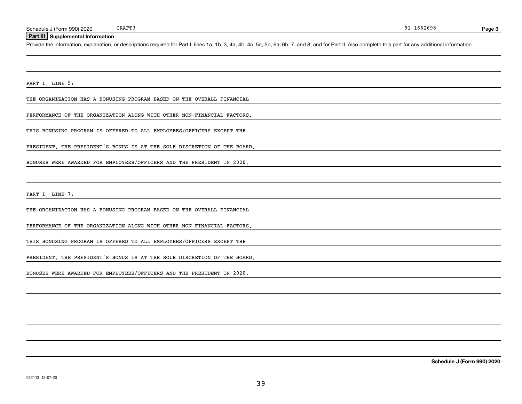### **Part III Supplemental Information**

Schedule J (Form 990) 2020 CRAFT3<br>**Part III Supplemental Information**<br>Provide the information, explanation, or descriptions required for Part I, lines 1a, 1b, 3, 4a, 4b, 4c, 5a, 5b, 6a, 6b, 7, and 8, and for Part II. Also

PART I, LINE 5:

THE ORGANIZATION HAS A BONUSING PROGRAM BASED ON THE OVERALL FINANCIAL

PERFORMANCE OF THE ORGANIZATION ALONG WITH OTHER NON-FINANCIAL FACTORS.

THIS BONUSING PROGRAM IS OFFERED TO ALL EMPLOYEES/OFFICERS EXCEPT THE

PRESIDENT. THE PRESIDENT'S BONUS IS AT THE SOLE DISCRETION OF THE BOARD.

BONUSES WERE AWARDED FOR EMPLOYEES/OFFICERS AND THE PRESIDENT IN 2020.

PART I, LINE 7:

THE ORGANIZATION HAS A BONUSING PROGRAM BASED ON THE OVERALL FINANCIAL

PERFORMANCE OF THE ORGANIZATION ALONG WITH OTHER NON-FINANCIAL FACTORS.

THIS BONUSING PROGRAM IS OFFERED TO ALL EMPLOYEES/OFFICERS EXCEPT THE

PRESIDENT. THE PRESIDENT'S BONUS IS AT THE SOLE DISCRETION OF THE BOARD.

BONUSES WERE AWARDED FOR EMPLOYEES/OFFICERS AND THE PRESIDENT IN 2020.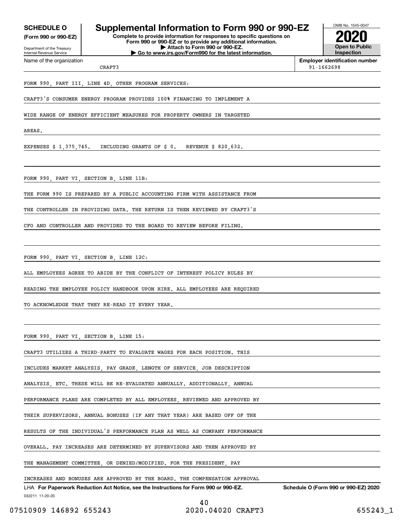**(Form 990 or 990-EZ)**

Department of the Treasury Internal Revenue Service Name of the organization

## **SCHEDULE O Supplemental Information to Form 990 or 990-EZ**

**Complete to provide information for responses to specific questions on Form 990 or 990-EZ or to provide any additional information. | Attach to Form 990 or 990-EZ. | Go to www.irs.gov/Form990 for the latest information.**



**Employer identification number** 91-1662698

CRAFT3

FORM 990, PART III, LINE 4D, OTHER PROGRAM SERVICES:

CRAFT3'S CONSUMER ENERGY PROGRAM PROVIDES 100% FINANCING TO IMPLEMENT A

WIDE RANGE OF ENERGY EFFICIENT MEASURES FOR PROPERTY OWNERS IN TARGETED

AREAS.

EXPENSES \$ 1,375,745. INCLUDING GRANTS OF \$ 0. REVENUE \$ 820,632.

FORM 990, PART VI, SECTION B, LINE 11B:

THE FORM 990 IS PREPARED BY A PUBLIC ACCOUNTING FIRM WITH ASSISTANCE FROM

THE CONTROLLER IN PROVIDING DATA. THE RETURN IS THEN REVIEWED BY CRAFT3'S

CFO AND CONTROLLER AND PROVIDED TO THE BOARD TO REVIEW BEFORE FILING.

FORM 990, PART VI, SECTION B, LINE 12C:

ALL EMPLOYEES AGREE TO ABIDE BY THE CONFLICT OF INTEREST POLICY RULES BY

READING THE EMPLOYEE POLICY HANDBOOK UPON HIRE. ALL EMPLOYEES ARE REQUIRED

TO ACKNOWLEDGE THAT THEY RE-READ IT EVERY YEAR.

FORM 990, PART VI, SECTION B, LINE 15:

CRAFT3 UTILIZES A THIRD-PARTY TO EVALUATE WAGES FOR EACH POSITION. THIS

INCLUDES MARKET ANALYSIS, PAY GRADE, LENGTH OF SERVICE, JOB DESCRIPTION

ANALYSIS, ETC. THESE WILL BE RE-EVALUATED ANNUALLY. ADDITIONALLY, ANNUAL

PERFORMANCE PLANS ARE COMPLETED BY ALL EMPLOYEES, REVIEWED AND APPROVED BY

THEIR SUPERVISORS. ANNUAL BONUSES (IF ANY THAT YEAR) ARE BASED OFF OF THE

RESULTS OF THE INDIVIDUAL'S PERFORMANCE PLAN AS WELL AS COMPANY PERFORMANCE

OVERALL. PAY INCREASES ARE DETERMINED BY SUPERVISORS AND THEN APPROVED BY

THE MANAGEMENT COMMITTEE, OR DENIED/MODIFIED. FOR THE PRESIDENT, PAY

INCREASES AND BONUSES ARE APPROVED BY THE BOARD. THE COMPENSATION APPROVAL

032211 11-20-20 LHA For Paperwork Reduction Act Notice, see the Instructions for Form 990 or 990-EZ. Schedule O (Form 990 or 990-EZ) 2020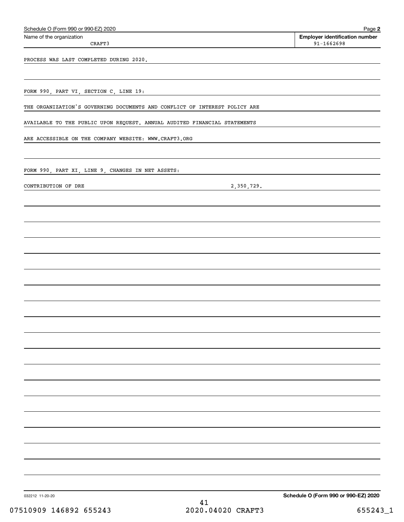| Schedule O (Form 990 or 990-EZ) 2020                                       | Page 2                                                  |
|----------------------------------------------------------------------------|---------------------------------------------------------|
| Name of the organization<br>CRAFT3                                         | <b>Employer identification number</b><br>$91 - 1662698$ |
| PROCESS WAS LAST COMPLETED DURING 2020.                                    |                                                         |
|                                                                            |                                                         |
| FORM 990, PART VI, SECTION C, LINE 19:                                     |                                                         |
| THE ORGANIZATION'S GOVERNING DOCUMENTS AND CONFLICT OF INTEREST POLICY ARE |                                                         |
| AVAILABLE TO THE PUBLIC UPON REQUEST. ANNUAL AUDITED FINANCIAL STATEMENTS  |                                                         |
| ARE ACCESSIBLE ON THE COMPANY WEBSITE: WWW.CRAFT3.ORG                      |                                                         |
| FORM 990, PART XI, LINE 9, CHANGES IN NET ASSETS:                          |                                                         |
| 2,350,729.<br>CONTRIBUTION OF DRE                                          |                                                         |
|                                                                            |                                                         |
|                                                                            |                                                         |
|                                                                            |                                                         |
|                                                                            |                                                         |
|                                                                            |                                                         |
|                                                                            |                                                         |
|                                                                            |                                                         |
|                                                                            |                                                         |
|                                                                            |                                                         |
|                                                                            |                                                         |
|                                                                            |                                                         |
|                                                                            |                                                         |
|                                                                            |                                                         |
|                                                                            |                                                         |
|                                                                            |                                                         |
|                                                                            |                                                         |
|                                                                            |                                                         |
| 032212 11-20-20                                                            | Schedule O (Form 990 or 990-EZ) 2020                    |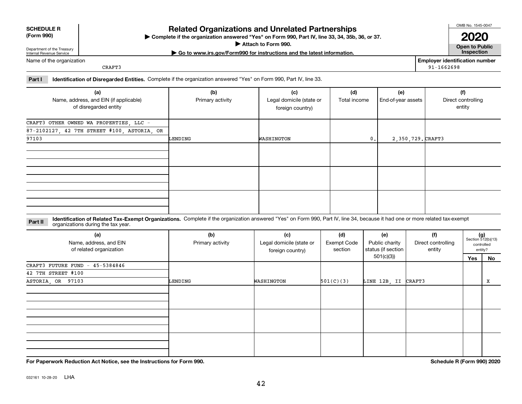032161 10-28-20 LHA

## **Complete if the organization answered "Yes" on Form 990, Part IV, line 33, 34, 35b, 36, or 37.** |

**Attach to Form 990.**  |

**| Go to www.irs.gov/Form990 for instructions and the latest information. Inspection**

### Name of the organization

Department of the Treasury Internal Revenue Service

**SCHEDULE R (Form 990)**

CRAFT3

**Employer identification number** 91-1662698

## **Part I Identification of Disregarded Entities.**  Complete if the organization answered "Yes" on Form 990, Part IV, line 33.

| (a)<br>Name, address, and EIN (if applicable)<br>of disregarded entity | (b)<br>Primary activity | (c)<br>Legal domicile (state or<br>foreign country) | (d)<br>Total income | (e)<br>End-of-year assets | (f)<br>Direct controlling<br>entity |
|------------------------------------------------------------------------|-------------------------|-----------------------------------------------------|---------------------|---------------------------|-------------------------------------|
| CRAFT3 OTHER OWNED WA PROPERTIES, LLC -                                |                         |                                                     |                     |                           |                                     |
| 87-2102127, 42 7TH STREET #100, ASTORIA, OR                            |                         |                                                     |                     |                           |                                     |
| 97103                                                                  | LENDING                 | WASHINGTON                                          | $\mathbf{0}$ .      | 2,350,729. CRAFT3         |                                     |
|                                                                        |                         |                                                     |                     |                           |                                     |
|                                                                        |                         |                                                     |                     |                           |                                     |
|                                                                        |                         |                                                     |                     |                           |                                     |

#### **Identification of Related Tax-Exempt Organizations.** Complete if the organization answered "Yes" on Form 990, Part IV, line 34, because it had one or more related tax-exempt **Part II** organizations during the tax year.

| sigameations daring the tax year.                        |                         |                                                     |                                      |                                             |                                     |     |                                                      |
|----------------------------------------------------------|-------------------------|-----------------------------------------------------|--------------------------------------|---------------------------------------------|-------------------------------------|-----|------------------------------------------------------|
| (a)<br>Name, address, and EIN<br>of related organization | (b)<br>Primary activity | (c)<br>Legal domicile (state or<br>foreign country) | (d)<br><b>Exempt Code</b><br>section | (e)<br>Public charity<br>status (if section | (f)<br>Direct controlling<br>entity |     | $(g)$<br>Section 512(b)(13)<br>controlled<br>entity? |
|                                                          |                         |                                                     |                                      | 501(c)(3))                                  |                                     | Yes | <u>No</u>                                            |
| CRAFT3 FUTURE FUND -<br>45-5384846                       |                         |                                                     |                                      |                                             |                                     |     |                                                      |
| 42 7TH STREET #100                                       |                         |                                                     |                                      |                                             |                                     |     |                                                      |
| ASTORIA, OR 97103                                        | LENDING                 | WASHINGTON                                          | 501(C)(3)                            | LINE 12B, II                                | CRAFT3                              |     | x                                                    |
|                                                          |                         |                                                     |                                      |                                             |                                     |     |                                                      |
|                                                          |                         |                                                     |                                      |                                             |                                     |     |                                                      |
|                                                          |                         |                                                     |                                      |                                             |                                     |     |                                                      |
|                                                          |                         |                                                     |                                      |                                             |                                     |     |                                                      |
|                                                          |                         |                                                     |                                      |                                             |                                     |     |                                                      |
|                                                          |                         |                                                     |                                      |                                             |                                     |     |                                                      |
|                                                          |                         |                                                     |                                      |                                             |                                     |     |                                                      |
|                                                          |                         |                                                     |                                      |                                             |                                     |     |                                                      |

# **Related Organizations and Unrelated Partnerships**

**For Paperwork Reduction Act Notice, see the Instructions for Form 990. Schedule R (Form 990) 2020**

OMB No. 1545-0047

**Open to Public 2020**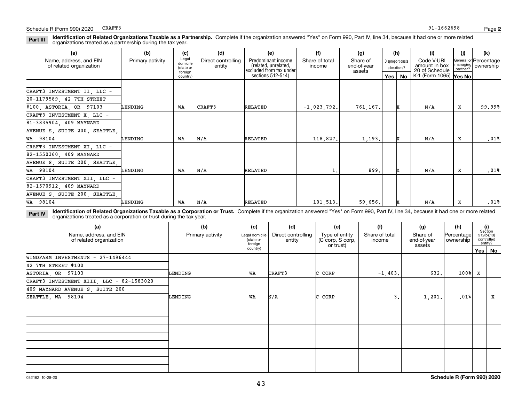#### **Identification of Related Organizations Taxable as a Partnership.** Complete if the organization answered "Yes" on Form 990, Part IV, line 34, because it had one or more related **Part III** organizations treated as a partnership during the tax year.

| (a)                                                      | (b)              | (c)                                       | (d)                          | (e)                                                                   | (f)                                                                                               | (g)      |                                               | (h)                  | (i)                                  | (i) | (k)    |
|----------------------------------------------------------|------------------|-------------------------------------------|------------------------------|-----------------------------------------------------------------------|---------------------------------------------------------------------------------------------------|----------|-----------------------------------------------|----------------------|--------------------------------------|-----|--------|
| Name, address, and EIN<br>of related organization        | Primary activity | Legal<br>domicile<br>(state or<br>foreian | Direct controlling<br>entity | Predominant income<br>(related, unrelated,<br>excluded from tax under | Share of<br>Share of total<br>Disproportionate<br>end-of-year<br>income<br>allocations?<br>assets |          | Code V-UBI<br>amount in box<br>20 of Schedule | managing<br>partner? | General or Percentage<br>  ownership |     |        |
|                                                          |                  | country)                                  |                              | sections 512-514)                                                     |                                                                                                   |          | Yes                                           | No                   | K-1 (Form 1065) Yes No               |     |        |
| CRAFT3 INVESTMENT II, LLC -<br>20-1179589, 42 7TH STREET |                  |                                           |                              |                                                                       |                                                                                                   |          |                                               |                      |                                      |     |        |
| #100, ASTORIA, OR 97103                                  | LENDING          | WA                                        | CRAFT3                       | RELATED                                                               | $-1,023,792.$                                                                                     | 761,167. |                                               | x                    | N/A                                  | x   | 99.99% |
| CRAFT3 INVESTMENT X LLC -                                |                  |                                           |                              |                                                                       |                                                                                                   |          |                                               |                      |                                      |     |        |
| 81-3835904, 409 MAYNARD                                  |                  |                                           |                              |                                                                       |                                                                                                   |          |                                               |                      |                                      |     |        |
| AVENUE S, SUITE 200, SEATTLE,                            |                  |                                           |                              |                                                                       |                                                                                                   |          |                                               |                      |                                      |     |        |
| WA 98104                                                 | LENDING          | WA                                        | N/A                          | RELATED                                                               | 118,827.                                                                                          | 1,193.   |                                               |                      | N/A                                  | X   | .01%   |
| CRAFT3 INVESTMENT XI, LLC -                              |                  |                                           |                              |                                                                       |                                                                                                   |          |                                               |                      |                                      |     |        |
| 82-1550360, 409 MAYNARD                                  |                  |                                           |                              |                                                                       |                                                                                                   |          |                                               |                      |                                      |     |        |
| AVENUE S, SUITE 200, SEATTLE,                            |                  |                                           |                              |                                                                       |                                                                                                   |          |                                               |                      |                                      |     |        |
| WA 98104                                                 | LENDING          | WA                                        | N/A                          | RELATED                                                               | 1.                                                                                                | 899.     |                                               | x                    | N/A                                  | X   | .01%   |
| CRAFT3 INVESTMENT XII, LLC -                             |                  |                                           |                              |                                                                       |                                                                                                   |          |                                               |                      |                                      |     |        |
| 82-1570912, 409 MAYNARD                                  |                  |                                           |                              |                                                                       |                                                                                                   |          |                                               |                      |                                      |     |        |
| AVENUE S, SUITE 200, SEATTLE,                            |                  |                                           |                              |                                                                       |                                                                                                   |          |                                               |                      |                                      |     |        |
| WA 98104                                                 | LENDING          | WA                                        | N/A                          | RELATED                                                               | 101, 513.                                                                                         | 59,656.  |                                               |                      | N/A                                  | X   | .01%   |

**Identification of Related Organizations Taxable as a Corporation or Trust.** Complete if the organization answered "Yes" on Form 990, Part IV, line 34, because it had one or more related **Part IV** organizations treated as a corporation or trust during the tax year.

| (a)<br>Name, address, and EIN<br>of related organization | (b)<br>Primary activity | (c)<br>Legal domicile<br>(state or<br>foreign | (d)<br>Direct controlling<br>entity | (e)<br>Type of entity<br>(C corp, S corp, | (f)<br>Share of total<br>income | (g)<br>Share of<br>end-of-year | (h)<br> Percentage <br>ownership |   | (i)<br>Section<br>$512(b)(13)$<br>controlled<br>entity? |
|----------------------------------------------------------|-------------------------|-----------------------------------------------|-------------------------------------|-------------------------------------------|---------------------------------|--------------------------------|----------------------------------|---|---------------------------------------------------------|
|                                                          |                         | country)                                      |                                     | or trust)<br>assets                       |                                 |                                |                                  |   | Yes   No                                                |
| WINDFARM INVESTMENTS - 27-1496444                        |                         |                                               |                                     |                                           |                                 |                                |                                  |   |                                                         |
| 42 7TH STREET #100                                       |                         |                                               |                                     |                                           |                                 |                                |                                  |   |                                                         |
| ASTORIA, OR 97103                                        | LENDING                 | WA                                            | CRAFT3                              | C CORP                                    | $-1,403.$                       | 632.                           | $100$ <sup>8</sup>               | x |                                                         |
| CRAFT3 INVESTMENT XIII, LLC - 82-1583020                 |                         |                                               |                                     |                                           |                                 |                                |                                  |   |                                                         |
| 409 MAYNARD AVENUE S, SUITE 200                          |                         |                                               |                                     |                                           |                                 |                                |                                  |   |                                                         |
| SEATTLE, WA 98104                                        | LENDING                 | WA                                            | N/A                                 | C CORP                                    | 3.                              | 1,201.                         | .01%                             |   | X                                                       |
|                                                          |                         |                                               |                                     |                                           |                                 |                                |                                  |   |                                                         |
|                                                          |                         |                                               |                                     |                                           |                                 |                                |                                  |   |                                                         |
|                                                          |                         |                                               |                                     |                                           |                                 |                                |                                  |   |                                                         |
|                                                          |                         |                                               |                                     |                                           |                                 |                                |                                  |   |                                                         |
|                                                          |                         |                                               |                                     |                                           |                                 |                                |                                  |   |                                                         |
|                                                          |                         |                                               |                                     |                                           |                                 |                                |                                  |   |                                                         |
|                                                          |                         |                                               |                                     |                                           |                                 |                                |                                  |   |                                                         |
|                                                          |                         |                                               |                                     |                                           |                                 |                                |                                  |   |                                                         |
|                                                          |                         |                                               |                                     |                                           |                                 |                                |                                  |   |                                                         |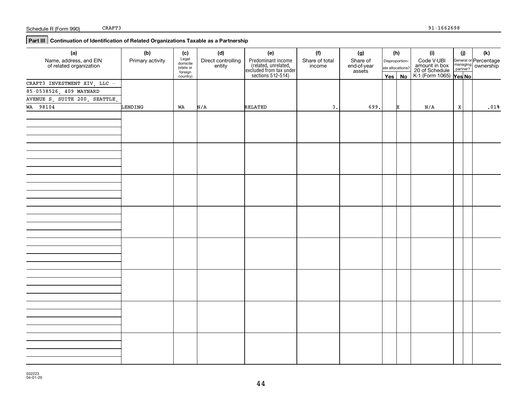## **Part III Continuation of Identification of Related Organizations Taxable as a Partnership**

|                  | (c)               |                             |                      |                |                                                                                                                   |                            |                                                            |            | $(\mathsf{k})$                                                                                                                                    |
|------------------|-------------------|-----------------------------|----------------------|----------------|-------------------------------------------------------------------------------------------------------------------|----------------------------|------------------------------------------------------------|------------|---------------------------------------------------------------------------------------------------------------------------------------------------|
| Primary activity | Legal<br>domicile | Direct controlling          |                      | Share of total | Share of                                                                                                          |                            |                                                            |            |                                                                                                                                                   |
|                  | foreign           |                             |                      |                | assets                                                                                                            |                            |                                                            |            |                                                                                                                                                   |
|                  |                   |                             |                      |                |                                                                                                                   |                            |                                                            |            |                                                                                                                                                   |
|                  |                   |                             |                      |                |                                                                                                                   |                            |                                                            |            |                                                                                                                                                   |
|                  |                   |                             |                      |                |                                                                                                                   |                            |                                                            |            |                                                                                                                                                   |
|                  |                   |                             |                      |                |                                                                                                                   |                            |                                                            |            |                                                                                                                                                   |
|                  |                   |                             |                      |                |                                                                                                                   |                            |                                                            |            | .01%                                                                                                                                              |
|                  |                   |                             |                      |                |                                                                                                                   |                            |                                                            |            |                                                                                                                                                   |
|                  |                   |                             |                      |                |                                                                                                                   |                            |                                                            |            |                                                                                                                                                   |
|                  |                   |                             |                      |                |                                                                                                                   |                            |                                                            |            |                                                                                                                                                   |
|                  |                   |                             |                      |                |                                                                                                                   |                            |                                                            |            |                                                                                                                                                   |
|                  |                   |                             |                      |                |                                                                                                                   |                            |                                                            |            |                                                                                                                                                   |
|                  |                   |                             |                      |                |                                                                                                                   |                            |                                                            |            |                                                                                                                                                   |
|                  |                   |                             |                      |                |                                                                                                                   |                            |                                                            |            |                                                                                                                                                   |
|                  |                   |                             |                      |                |                                                                                                                   |                            |                                                            |            |                                                                                                                                                   |
|                  |                   |                             |                      |                |                                                                                                                   |                            |                                                            |            |                                                                                                                                                   |
|                  |                   |                             |                      |                |                                                                                                                   |                            |                                                            |            |                                                                                                                                                   |
|                  |                   |                             |                      |                |                                                                                                                   |                            |                                                            |            |                                                                                                                                                   |
|                  |                   |                             |                      |                |                                                                                                                   |                            |                                                            |            |                                                                                                                                                   |
|                  |                   |                             |                      |                |                                                                                                                   |                            |                                                            |            |                                                                                                                                                   |
|                  |                   |                             |                      |                |                                                                                                                   |                            |                                                            |            |                                                                                                                                                   |
|                  |                   |                             |                      |                |                                                                                                                   |                            |                                                            |            |                                                                                                                                                   |
|                  |                   |                             |                      |                |                                                                                                                   |                            |                                                            |            |                                                                                                                                                   |
|                  |                   |                             |                      |                |                                                                                                                   |                            |                                                            |            |                                                                                                                                                   |
|                  |                   |                             |                      |                |                                                                                                                   |                            |                                                            |            |                                                                                                                                                   |
|                  |                   |                             |                      |                |                                                                                                                   |                            |                                                            |            |                                                                                                                                                   |
|                  |                   |                             |                      |                |                                                                                                                   |                            |                                                            |            |                                                                                                                                                   |
|                  |                   |                             |                      |                |                                                                                                                   |                            |                                                            |            |                                                                                                                                                   |
|                  |                   |                             |                      |                |                                                                                                                   |                            |                                                            |            |                                                                                                                                                   |
|                  |                   |                             |                      |                |                                                                                                                   |                            |                                                            |            |                                                                                                                                                   |
|                  |                   |                             |                      |                |                                                                                                                   |                            |                                                            |            |                                                                                                                                                   |
|                  |                   |                             |                      |                |                                                                                                                   |                            |                                                            |            |                                                                                                                                                   |
|                  |                   |                             |                      |                |                                                                                                                   |                            |                                                            |            |                                                                                                                                                   |
|                  |                   |                             |                      |                |                                                                                                                   |                            |                                                            |            |                                                                                                                                                   |
|                  |                   |                             |                      |                |                                                                                                                   |                            |                                                            |            |                                                                                                                                                   |
|                  |                   |                             |                      |                |                                                                                                                   |                            |                                                            |            |                                                                                                                                                   |
|                  |                   |                             |                      |                |                                                                                                                   |                            |                                                            |            |                                                                                                                                                   |
|                  |                   |                             |                      |                |                                                                                                                   |                            |                                                            |            |                                                                                                                                                   |
|                  |                   |                             |                      |                |                                                                                                                   |                            |                                                            |            |                                                                                                                                                   |
|                  |                   |                             |                      |                |                                                                                                                   |                            |                                                            |            |                                                                                                                                                   |
|                  | (b)<br>LENDING    | (state or<br>country)<br>WA | (d)<br>entity<br>N/A | (e)<br>RELATED | (f)<br>Predominant income<br>(related, unrelated,<br>excluded from tax under<br>sections 512-514)<br>income<br>3. | (g)<br>end-of-year<br>699. | (h)<br>Disproportion-<br>ate allocations?<br>Yes   No<br>x | (i)<br>N/A | (i)<br>Code V-UBI<br>amount in box<br>20 of Schedule<br>K-1 (Form 1065)<br>Yes No<br>General or Percentage<br>managing ownership<br>partner?<br>X |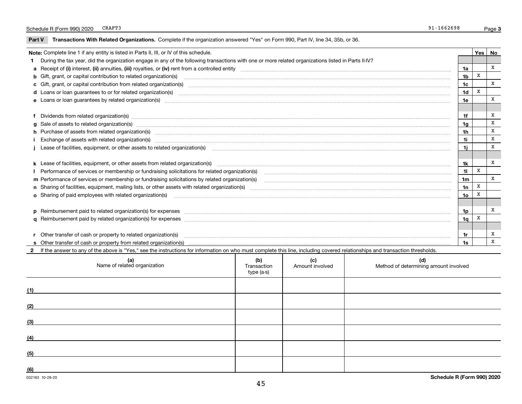#### Schedule R (Form 990) 2020 CRAFT3 200 CRAFT3 CRAFT3

**Part V** T**ransactions With Related Organizations.** Complete if the organization answered "Yes" on Form 990, Part IV, line 34, 35b, or 36.

| Note: Complete line 1 if any entity is listed in Parts II, III, or IV of this schedule. |                                                                                                                                                                                                                                |                 |   |   |  |  |  |
|-----------------------------------------------------------------------------------------|--------------------------------------------------------------------------------------------------------------------------------------------------------------------------------------------------------------------------------|-----------------|---|---|--|--|--|
|                                                                                         | During the tax year, did the organization engage in any of the following transactions with one or more related organizations listed in Parts II-IV?                                                                            |                 |   |   |  |  |  |
|                                                                                         |                                                                                                                                                                                                                                | 1a              |   | x |  |  |  |
|                                                                                         | <b>b</b> Gift, grant, or capital contribution to related organization(s)                                                                                                                                                       | 1b              | x |   |  |  |  |
|                                                                                         | c Gift, grant, or capital contribution from related organization(s) manufaction(s) and contribution from related organization(s) manufaction contribution from related organization(s) manufaction contribution from related o | 1 <sub>c</sub>  |   | x |  |  |  |
|                                                                                         |                                                                                                                                                                                                                                | 1d              | X |   |  |  |  |
|                                                                                         |                                                                                                                                                                                                                                | 1e              |   | X |  |  |  |
|                                                                                         |                                                                                                                                                                                                                                |                 |   |   |  |  |  |
|                                                                                         | f Dividends from related organization(s) manufactured contains and contained and contained contained and contained and contained and contained and contained and contained and contained and contained and contained and conta | 1f              |   | X |  |  |  |
|                                                                                         | g Sale of assets to related organization(s) www.assettion.com/www.assettion.com/www.assettion.com/www.assettion.com/www.assettion.com/www.assettion.com/www.assettion.com/www.assettion.com/www.assettion.com/www.assettion.co | 1a              |   | X |  |  |  |
|                                                                                         | h Purchase of assets from related organization(s) manufactured content to content the content of the content of the content of the content of the content of the content of the content of the content of the content of the c | 1h              |   | X |  |  |  |
|                                                                                         |                                                                                                                                                                                                                                | 1i              |   | X |  |  |  |
|                                                                                         | Lease of facilities, equipment, or other assets to related organization(s) manufactured content to the set of facilities, equipment, or other assets to related organization(s) manufactured content to the set of facilities, | 11              |   | x |  |  |  |
|                                                                                         |                                                                                                                                                                                                                                |                 |   |   |  |  |  |
|                                                                                         |                                                                                                                                                                                                                                | 1k              |   | x |  |  |  |
|                                                                                         | Performance of services or membership or fundraising solicitations for related organization(s) manufaction.community content and the services or membership or fundraising solicitations for related organization(s) manufacti | 11              | x |   |  |  |  |
|                                                                                         | m Performance of services or membership or fundraising solicitations by related organization(s)                                                                                                                                | 1 <sub>m</sub>  |   | X |  |  |  |
|                                                                                         |                                                                                                                                                                                                                                | 1n              | X |   |  |  |  |
|                                                                                         | <b>o</b> Sharing of paid employees with related organization(s)                                                                                                                                                                | 10 <sub>o</sub> | X |   |  |  |  |
|                                                                                         |                                                                                                                                                                                                                                |                 |   |   |  |  |  |
|                                                                                         |                                                                                                                                                                                                                                | 1p              |   | x |  |  |  |
|                                                                                         |                                                                                                                                                                                                                                | 1q              | X |   |  |  |  |
|                                                                                         |                                                                                                                                                                                                                                |                 |   |   |  |  |  |
|                                                                                         | r Other transfer of cash or property to related organization(s)                                                                                                                                                                | 1r              |   | х |  |  |  |
|                                                                                         |                                                                                                                                                                                                                                | 1s              |   | X |  |  |  |
|                                                                                         | 2 If the answer to any of the above is "Yes," see the instructions for information on who must complete this line, including covered relationships and transaction thresholds.                                                 |                 |   |   |  |  |  |

| (a)<br>Name of related organization | (b)<br>Transaction<br>type (a-s) | (c)<br>Amount involved | (d)<br>Method of determining amount involved |
|-------------------------------------|----------------------------------|------------------------|----------------------------------------------|
| (1)                                 |                                  |                        |                                              |
| (2)                                 |                                  |                        |                                              |
| (3)                                 |                                  |                        |                                              |
| (4)                                 |                                  |                        |                                              |
| (5)                                 |                                  |                        |                                              |
| (6)                                 |                                  |                        |                                              |
| 032163 10-28-20                     |                                  |                        | Schedule R (Form 990) 2020                   |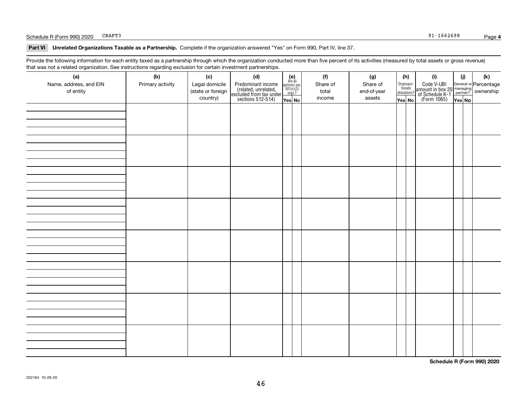#### Schedule R (Form 990) 2020 CRAFT3 3 200 CRAFT3 CRAFT3

**Part VI Unrelated Organizations Taxable as a Partnership. Complete if the organization answered "Yes" on Form 990, Part IV, line 37.** 

Provide the following information for each entity taxed as a partnership through which the organization conducted more than five percent of its activities (measured by total assets or gross revenue) that was not a related organization. See instructions regarding exclusion for certain investment partnerships.

| (a)<br>Name, address, and EIN<br>of entity | (b)<br>Primary activity | (c)<br>Legal domicile<br>(state or foreign<br>country) | (d)<br>Predominant income<br>(related, unrelated,<br>excluded from tax under<br>sections 512-514) | $\begin{array}{c} \textbf{(e)}\\ \text{Are all} \\ \text{partners sec.}\\ 501(c)(3)\\ \text{orgs.?} \end{array}$<br>Yes No | (f)<br>Share of<br>total<br>income | (g)<br>Share of<br>end-of-year<br>assets | (h)<br>Dispropor-<br>tionate<br>allocations?<br>Yes No | (i)<br>Code V-UBI<br>amount in box 20 managing<br>of Schedule K-1 partner? ownership<br>(Form 1065)<br>ves No | (i)<br>Yes No | (k) |
|--------------------------------------------|-------------------------|--------------------------------------------------------|---------------------------------------------------------------------------------------------------|----------------------------------------------------------------------------------------------------------------------------|------------------------------------|------------------------------------------|--------------------------------------------------------|---------------------------------------------------------------------------------------------------------------|---------------|-----|
|                                            |                         |                                                        |                                                                                                   |                                                                                                                            |                                    |                                          |                                                        |                                                                                                               |               |     |
|                                            |                         |                                                        |                                                                                                   |                                                                                                                            |                                    |                                          |                                                        |                                                                                                               |               |     |
|                                            |                         |                                                        |                                                                                                   |                                                                                                                            |                                    |                                          |                                                        |                                                                                                               |               |     |
|                                            |                         |                                                        |                                                                                                   |                                                                                                                            |                                    |                                          |                                                        |                                                                                                               |               |     |
|                                            |                         |                                                        |                                                                                                   |                                                                                                                            |                                    |                                          |                                                        |                                                                                                               |               |     |
|                                            |                         |                                                        |                                                                                                   |                                                                                                                            |                                    |                                          |                                                        |                                                                                                               |               |     |
|                                            |                         |                                                        |                                                                                                   |                                                                                                                            |                                    |                                          |                                                        |                                                                                                               |               |     |
|                                            |                         |                                                        |                                                                                                   |                                                                                                                            |                                    |                                          |                                                        |                                                                                                               |               |     |

**Schedule R (Form 990) 2020**